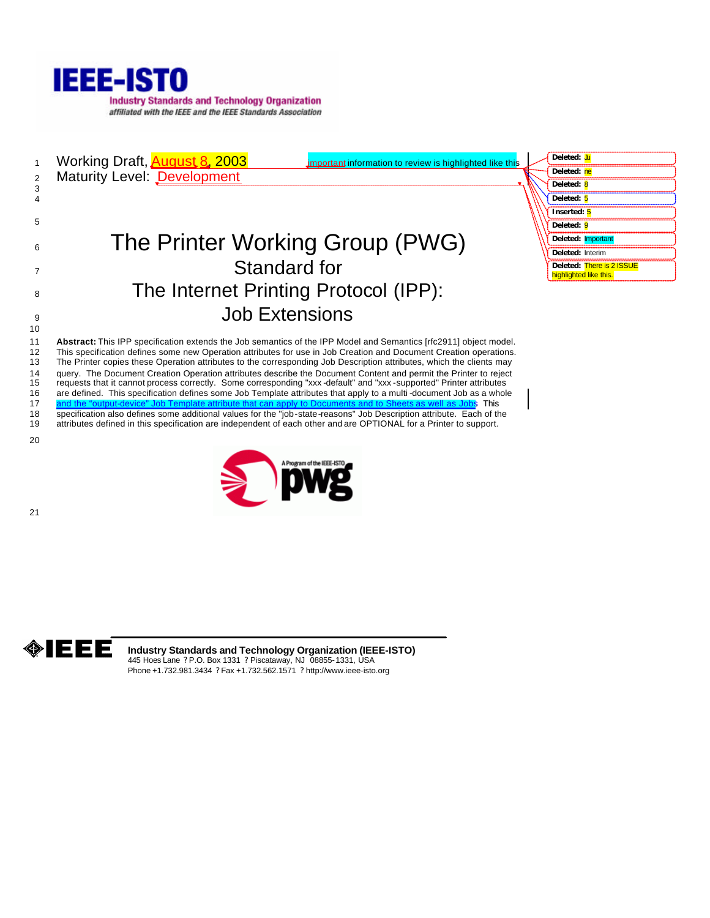

1 Working Draft, **August 8, 2003** important information to review is highlighted like this 2 Maturity Level: Development

# 6 The Printer Working Group (PWG) <sup>7</sup> Standard for 8 The Internet Printing Protocol (IPP): **9** Job Extensions

| Deleted: Ju                                         |
|-----------------------------------------------------|
| Deleted: ne                                         |
| Deleted: 8                                          |
| Deleted: 5                                          |
| Inserted: 5                                         |
| Deleted: 9                                          |
| Deleted: Important                                  |
| Deleted: Interim                                    |
| Deleted: There is 2 ISSUE<br>highlighted like this. |

 **Abstract:** This IPP specification extends the Job semantics of the IPP Model and Semantics [rfc2911] object model. This specification defines some new Operation attributes for use in Job Creation and Document Creation operations. The Printer copies these Operation attributes to the corresponding Job Description attributes, which the clients may 14 query. The Document Creation Operation attributes describe the Document Content and permit the Printer to reject<br>15 requests that it cannot process correctly. Some corresponding "xxx -default" and "xxx -supported" Print requests that it cannot process correctly. Some corresponding "xxx -default" and "xxx -supported" Printer attributes are defined. This specification defines some Job Template attributes that apply to a multi -document Job as a whole 17 and the "output-device" Job Template attribute that can apply to Documents and to Sheets as well as Jobs. This specification also defines some additional values for the "job-state-reasons" Job Description attribute. Each of the attributes defined in this specification are independent of each other and are OPTIONAL for a Printer to support.

20

21

10

3 4 5





**Industry Standards and Technology Organization (IEEE-ISTO)** 445 Hoes Lane ? P.O. Box 1331 ? Piscataway, NJ 08855-1331, USA Phone +1.732.981.3434 ? Fax +1.732.562.1571 ? http://www.ieee-isto.org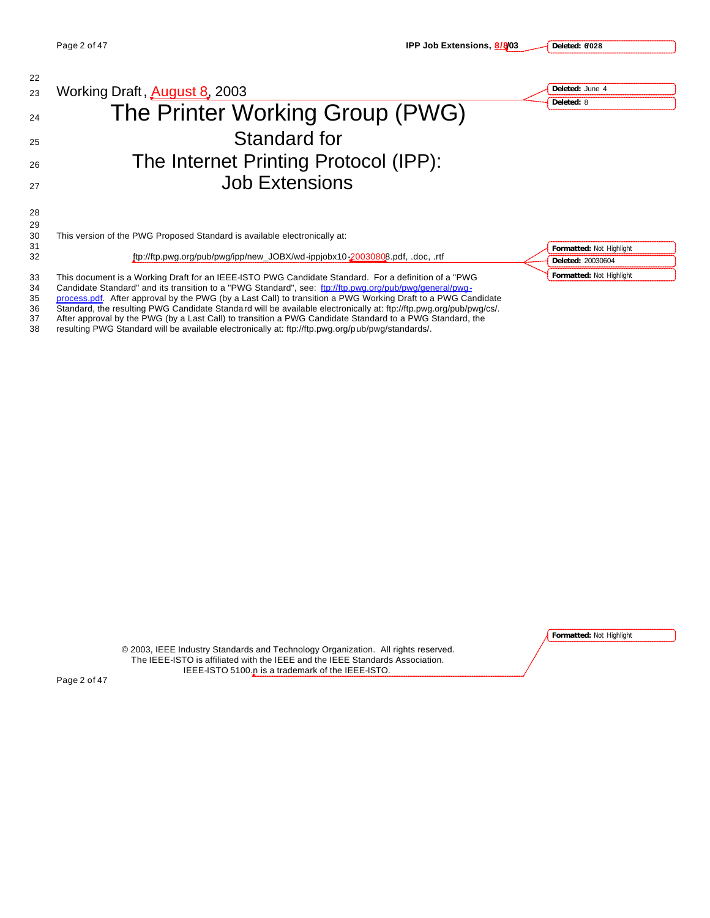| 22             |                                                                                                                                                                                                                                                                                                                                 |                          |  |
|----------------|---------------------------------------------------------------------------------------------------------------------------------------------------------------------------------------------------------------------------------------------------------------------------------------------------------------------------------|--------------------------|--|
| 23             | Working Draft, <b>August 8</b> , 2003                                                                                                                                                                                                                                                                                           | Deleted: June 4          |  |
| 24             | The Printer Working Group (PWG)                                                                                                                                                                                                                                                                                                 | Deleted: 8               |  |
| 25             | Standard for                                                                                                                                                                                                                                                                                                                    |                          |  |
| 26             | The Internet Printing Protocol (IPP):                                                                                                                                                                                                                                                                                           |                          |  |
| 27             | <b>Job Extensions</b>                                                                                                                                                                                                                                                                                                           |                          |  |
| 28<br>29       |                                                                                                                                                                                                                                                                                                                                 |                          |  |
| 30<br>31       | This version of the PWG Proposed Standard is available electronically at:                                                                                                                                                                                                                                                       | Formatted: Not Highlight |  |
| 32             | ftp://ftp.pwg.org/pub/pwg/ipp/new_JOBX/wd-ippjobx10-20030808.pdf, .doc, .rtf                                                                                                                                                                                                                                                    | Deleted: 20030604        |  |
| 33<br>34<br>35 | This document is a Working Draft for an IEEE-ISTO PWG Candidate Standard. For a definition of a "PWG<br>Candidate Standard" and its transition to a "PWG Standard", see: ftp://ftp.pwg.org/pub/pwg/general/pwg-<br>process.pdf. After approval by the PWG (by a Last Call) to transition a PWG Working Draft to a PWG Candidate | Formatted: Not Highlight |  |

36 Standard, the resulting PWG Candidate Standard will be available electronically at: ftp://ftp.pwg.org/pub/pwg/cs/. 37 After approval by the PWG (by a Last Call) to transition a PWG Candidate Standard to a PWG Standard, the

38 resulting PWG Standard will be available electronically at: ftp://ftp.pwg.org/pub/pwg/standards/.

**Formatted:** Not Highlight

© 2003, IEEE Industry Standards and Technology Organization. All rights reserved. The IEEE-ISTO is affiliated with the IEEE and the IEEE Standards Association. IEEE-ISTO 5100.n is a trademark of the IEEE-ISTO.

Page 2 of 47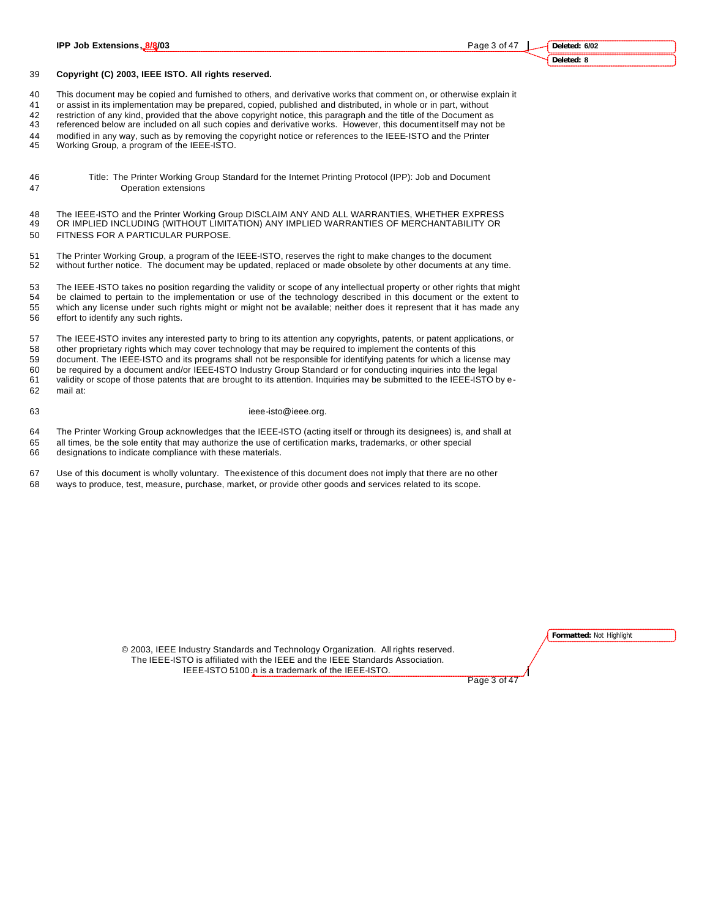#### **Copyright (C) 2003, IEEE ISTO. All rights reserved.**

This document may be copied and furnished to others, and derivative works that comment on, or otherwise explain it

or assist in its implementation may be prepared, copied, published and distributed, in whole or in part, without

restriction of any kind, provided that the above copyright notice, this paragraph and the title of the Document as

referenced below are included on all such copies and derivative works. However, this document itself may not be

modified in any way, such as by removing the copyright notice or references to the IEEE-ISTO and the Printer

Working Group, a program of the IEEE-ISTO.

- Title: The Printer Working Group Standard for the Internet Printing Protocol (IPP): Job and Document Operation extensions
- 48 The IEEE-ISTO and the Printer Working Group DISCLAIM ANY AND ALL WARRANTIES, WHETHER EXPRESS<br>49 OR IMPLIED INCLUDING (WITHOUT LIMITATION) ANY IMPLIED WARRANTIES OF MERCHANTABILITY OR OR IMPLIED INCLUDING (WITHOUT LIMITATION) ANY IMPLIED WARRANTIES OF MERCHANTABILITY OR FITNESS FOR A PARTICULAR PURPOSE.
- The Printer Working Group, a program of the IEEE-ISTO, reserves the right to make changes to the document without further notice. The document may be updated, replaced or made obsolete by other documents at any time.

 The IEEE-ISTO takes no position regarding the validity or scope of any intellectual property or other rights that might be claimed to pertain to the implementation or use of the technology described in this document or the extent to which any license under such rights might or might not be available; neither does it represent that it has made any effort to identify any such rights.

 The IEEE-ISTO invites any interested party to bring to its attention any copyrights, patents, or patent applications, or other proprietary rights which may cover technology that may be required to implement the contents of this

 document. The IEEE-ISTO and its programs shall not be responsible for identifying patents for which a license may be required by a document and/or IEEE-ISTO Industry Group Standard or for conducting inquiries into the legal

 validity or scope of those patents that are brought to its attention. Inquiries may be submitted to the IEEE-ISTO by e-mail at:

#### 63 ieee-isto@ieee.org.

The Printer Working Group acknowledges that the IEEE-ISTO (acting itself or through its designees) is, and shall at

 all times, be the sole entity that may authorize the use of certification marks, trademarks, or other special designations to indicate compliance with these materials.

 Use of this document is wholly voluntary. The existence of this document does not imply that there are no other ways to produce, test, measure, purchase, market, or provide other goods and services related to its scope.

**Formatted:** Not Highlight

© 2003, IEEE Industry Standards and Technology Organization. All rights reserved. The IEEE-ISTO is affiliated with the IEEE and the IEEE Standards Association. IEEE-ISTO 5100.n is a trademark of the IEEE-ISTO.

Page 3 of 47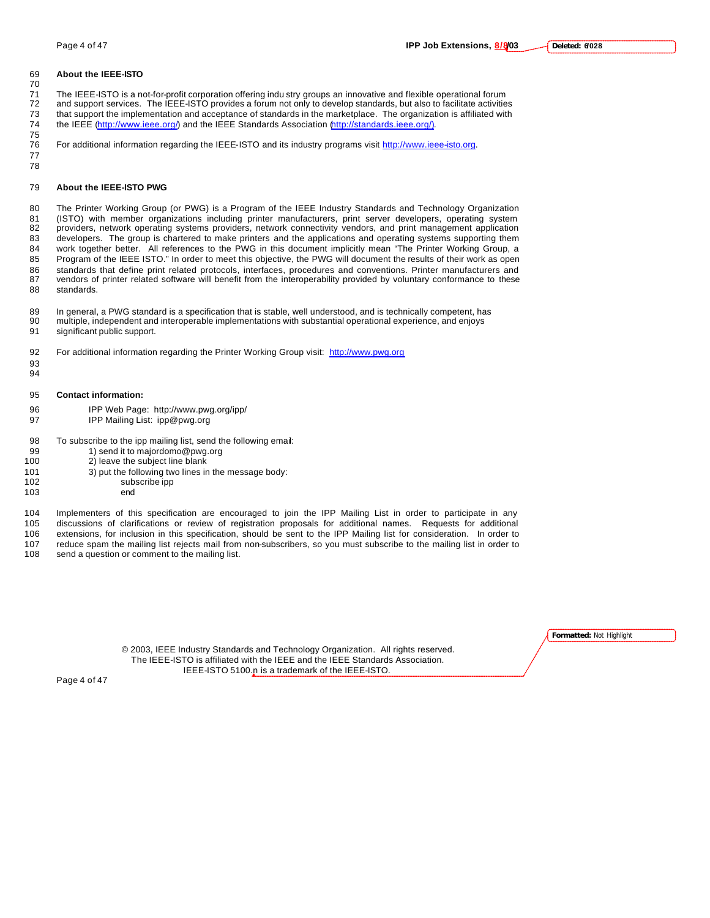#### **About the IEEE-ISTO**

 The IEEE-ISTO is a not-for-profit corporation offering indu stry groups an innovative and flexible operational forum and support services. The IEEE-ISTO provides a forum not only to develop standards, but also to facilitate activities

- that support the implementation and acceptance of standards in the marketplace. The organization is affiliated with the IEEE (http://www.ieee.org/) and the IEEE Standards Association (http://standards.ieee.org/).
- For additional information regarding the IEEE-ISTO and its industry programs visit http://www.ieee-isto.org.
- **About the IEEE-ISTO PWG**

 

 

 The Printer Working Group (or PWG) is a Program of the IEEE Industry Standards and Technology Organization (ISTO) with member organizations including printer manufacturers, print server developers, operating system providers, network operating systems providers, network connectivity vendors, and print management application developers. The group is chartered to make printers and the applications and operating systems supporting them work together better. All references to the PWG in this document implicitly mean "The Printer Working Group, a Program of the IEEE ISTO." In order to meet this objective, the PWG will document the results of their work as open standards that define print related protocols, interfaces, procedures and conventions. Printer manufacturers and vendors of printer related software will benefit from the interoperability provided by voluntary conformance to these standards.

 In general, a PWG standard is a specification that is stable, well understood, and is technically competent, has multiple, independent and interoperable implementations with substantial operational experience, and enjoys significant public support.

- For additional information regarding the Printer Working Group visit: http://www.pwg.org
- **Contact information:**
- IPP Web Page: http://www.pwg.org/ipp/
- IPP Mailing List: ipp@pwg.org
- To subscribe to the ipp mailing list, send the following email:
- 99 1) send it to majordomo@pwg.org
- 2) leave the subject line blank
- 3) put the following two lines in the message body: subscribe ipp
- end
	-

 Implementers of this specification are encouraged to join the IPP Mailing List in order to participate in any discussions of clarifications or review of registration proposals for additional names. Requests for additional extensions, for inclusion in this specification, should be sent to the IPP Mailing list for consideration. In order to

107 reduce spam the mailing list rejects mail from non-subscribers, so you must subscribe to the mailing list in order to 108 send a question or comment to the mailing list in order to send a question or comment to the mailing list.

**Formatted:** Not Highlight

© 2003, IEEE Industry Standards and Technology Organization. All rights reserved. The IEEE-ISTO is affiliated with the IEEE and the IEEE Standards Association. IEEE-ISTO 5100.n is a trademark of the IEEE-ISTO.

Page 4 of 47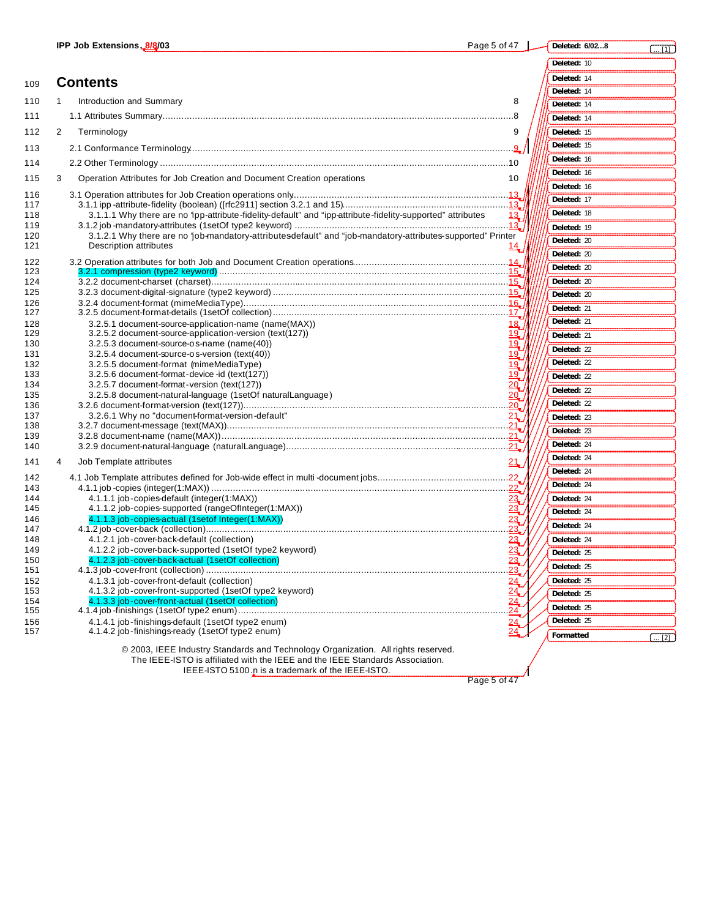| a٢<br>∽.⊌ | /02…8<br>eted: 6. |  |
|-----------|-------------------|--|
|           | ed: 10            |  |

| 109        | <b>Contents</b>                                                                                                                                                                                                          | Deleted: 14               |
|------------|--------------------------------------------------------------------------------------------------------------------------------------------------------------------------------------------------------------------------|---------------------------|
|            |                                                                                                                                                                                                                          | Deleted: 14               |
| 110        | Introduction and Summary<br>8<br>1                                                                                                                                                                                       | Deleted: 14               |
| 111        |                                                                                                                                                                                                                          | Deleted: 14               |
| 112        | 2<br>Terminology<br>9                                                                                                                                                                                                    | Deleted: 15               |
| 113        |                                                                                                                                                                                                                          | Deleted: 15               |
| 114        |                                                                                                                                                                                                                          | Deleted: 16               |
| 115        | Operation Attributes for Job Creation and Document Creation operations<br>3<br>10                                                                                                                                        | Deleted: 16               |
| 116        |                                                                                                                                                                                                                          | Deleted: 16               |
| 117        |                                                                                                                                                                                                                          | Deleted: 17               |
| 118        | 3.1.1.1 Why there are no 'ipp-attribute-fidelity-default" and "ipp-attribute-fidelity-supported" attributes<br>13.1                                                                                                      | Deleted: 18               |
| 119<br>120 | 3.1.2.1 Why there are no 'job-mandatory-attributesdefault" and "job-mandatory-attributes-supported" Printer                                                                                                              | Deleted: 19               |
| 121        | <b>Description attributes</b><br>$\frac{14}{1}$                                                                                                                                                                          | Deleted: 20               |
| 122        |                                                                                                                                                                                                                          | Deleted: 20               |
| 123        |                                                                                                                                                                                                                          | Deleted: 20               |
| 124        |                                                                                                                                                                                                                          | Deleted: 20               |
| 125<br>126 |                                                                                                                                                                                                                          | Deleted: 20               |
| 127        |                                                                                                                                                                                                                          | Deleted: 21               |
| 128        | 3.2.5.1 document-source-application-name (name(MAX))<br>18                                                                                                                                                               | Deleted: 21               |
| 129<br>130 | 3.2.5.2 document-source-application-version (text(127))<br><u> 19.</u><br>3.2.5.3 document-source-os-name (name(40))<br>19.                                                                                              | Deleted: 21               |
| 131        | 3.2.5.4 document-source-os-version (text(40))<br>19_                                                                                                                                                                     | Deleted: 22               |
| 132        | 3.2.5.5 document-format (mimeMediaType)                                                                                                                                                                                  | Deleted: 22               |
| 133<br>134 | 3.2.5.6 document-format-device-id (text(127))<br>3.2.5.7 document-format-version (text(127))                                                                                                                             | Deleted: 22               |
| 135        | 3.2.5.8 document-natural-language (1setOf naturalLanguage)                                                                                                                                                               | Deleted: 22               |
| 136        |                                                                                                                                                                                                                          | Deleted: 22               |
| 137<br>138 | 3.2.6.1 Why no "document-format-version-default"<br>21                                                                                                                                                                   | Deleted: 23               |
| 139        |                                                                                                                                                                                                                          | Deleted: 23               |
| 140        |                                                                                                                                                                                                                          | Deleted: 24               |
| 141        | Job Template attributes<br>21<br>4                                                                                                                                                                                       | Deleted: 24               |
| 142        |                                                                                                                                                                                                                          | Deleted: 24               |
| 143        |                                                                                                                                                                                                                          | Deleted: 24               |
| 144<br>145 | 4.1.1.1 job-copies-default (integer(1:MAX))<br>23<br>4.1.1.2 job-copies-supported (rangeOfInteger(1:MAX))                                                                                                                | Deleted: 24               |
| 146        | 23/<br>4.1.1.3 job-copies-actual (1setof Integer(1:MAX))<br>23                                                                                                                                                           | Deleted: 24               |
| 147        | 23                                                                                                                                                                                                                       | Deleted: 24               |
| 148<br>149 | 4.1.2.1 job-cover-back-default (collection)<br>23<br>4.1.2.2 job-cover-back-supported (1setOf type2 keyword)                                                                                                             | Deleted: 24               |
| 150        | 23<br>4.1.2.3 job-cover-back-actual (1setOf collection)                                                                                                                                                                  | Deleted: 25               |
| 151        |                                                                                                                                                                                                                          | Deleted: 25               |
| 152<br>153 | 4.1.3.1 job-cover-front-default (collection)<br>24<br>4.1.3.2 job-cover-front-supported (1setOf type2 keyword)                                                                                                           | Deleted: 25               |
| 154        | $\frac{24}{24}$<br>4.1.3.3 job-cover-front-actual (1setOf collection)                                                                                                                                                    | Deleted: 25               |
| 155        | 24                                                                                                                                                                                                                       | Deleted: 25               |
| 156<br>157 | 4.1.4.1 job-finishings-default (1setOf type2 enum)<br>4.1.4.2 job-finishings-ready (1setOf type2 enum)                                                                                                                   | Deleted: 25               |
|            |                                                                                                                                                                                                                          | Formatted<br>$\ldots$ [2] |
|            | © 2003, IEEE Industry Standards and Technology Organization. All rights reserved.<br>The IEEE-ISTO is affiliated with the IEEE and the IEEE Standards Association.<br>IEEE-ISTO 5100 .p is a trademark of the IEEE-ISTO. |                           |

 $P$ age 5 of 47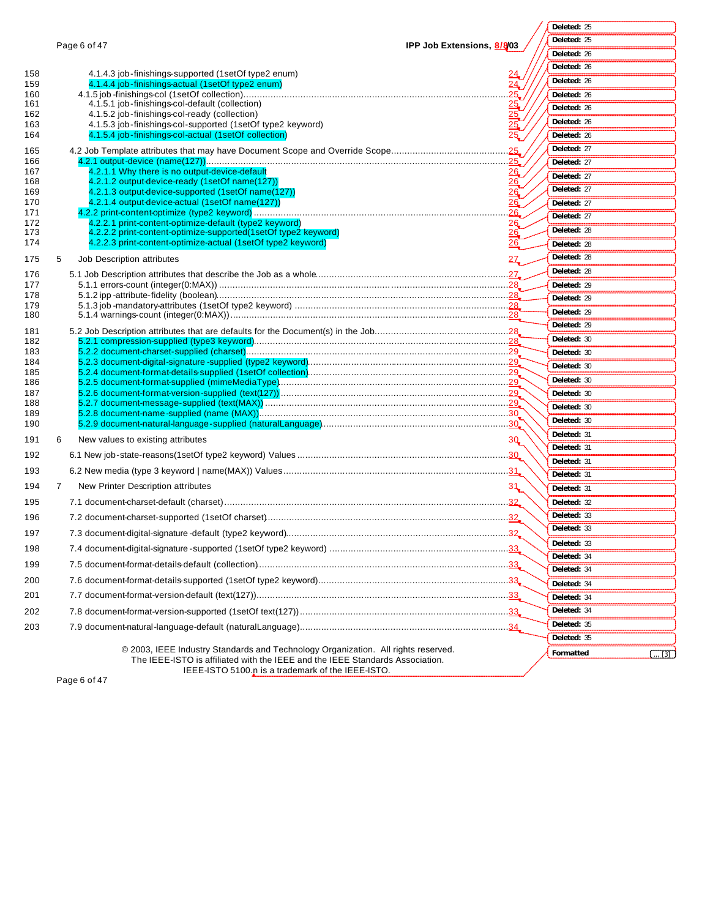| Page 6 of 47 |  |  |
|--------------|--|--|
|              |  |  |

**Deleted:** 25

|            |                                                                                                                                    |                            | Deleted: 25                |
|------------|------------------------------------------------------------------------------------------------------------------------------------|----------------------------|----------------------------|
|            | Page 6 of 47                                                                                                                       | IPP Job Extensions, 8/8/03 | Deleted: 26                |
|            |                                                                                                                                    |                            | Deleted: 26                |
| 158<br>159 | 4.1.4.3 job-finishings-supported (1setOf type2 enum)<br>4.1.4.4 job-finishings-actual (1setOf type2 enum)                          | $\overline{24}$            | Deleted: 26                |
| 160        |                                                                                                                                    | 25/                        | Deleted: 26                |
| 161<br>162 | 4.1.5.1 job-finishings-col-default (collection)<br>4.1.5.2 job-finishings-col-ready (collection)                                   | $\frac{25}{25}$            | Deleted: 26                |
| 163        | 4.1.5.3 job-finishings-col-supported (1setOf type2 keyword)                                                                        | 25                         | Deleted: 26                |
| 164        | 4.1.5.4 job-finishings-col-actual (1setOf collection)                                                                              | 25                         | Deleted: 26                |
| 165        |                                                                                                                                    |                            | Deleted: 27                |
| 166        |                                                                                                                                    |                            | Deleted: 27                |
| 167<br>168 | 4.2.1.1 Why there is no output-device-default<br>4.2.1.2 output-device-ready (1setOf name(127))                                    | 26 <sub>c</sub><br>26      | Deleted: 27                |
| 169        | 4.2.1.3 output-device-supported (1setOf name(127))                                                                                 | 26                         | Deleted: 27                |
| 170        | 4.2.1.4 output-device-actual (1setOf name(127))                                                                                    | 26                         | Deleted: 27                |
| 171<br>172 | 4.2.2.1 print-content-optimize-default (type2 keyword)                                                                             | 26<br>26                   | Deleted: 27                |
| 173        | 4.2.2.2 print-content-optimize-supported(1setOf type2 keyword)                                                                     | <u> 26.</u>                | Deleted: 28                |
| 174        | 4.2.2.3 print-content-optimize-actual (1setOf type2 keyword)                                                                       | <u> 26.</u>                | Deleted: 28                |
| 175        | Job Description attributes<br>5                                                                                                    | 27 <sub>•</sub>            | Deleted: 28                |
| 176        |                                                                                                                                    |                            | Deleted: 28                |
| 177<br>178 |                                                                                                                                    |                            | Deleted: 29                |
| 179        |                                                                                                                                    |                            | Deleted: 29                |
| 180        |                                                                                                                                    |                            | Deleted: 29                |
| 181        |                                                                                                                                    |                            | Deleted: 29                |
| 182        |                                                                                                                                    |                            | Deleted: 30                |
| 183<br>184 |                                                                                                                                    |                            | Deleted: 30                |
| 185        |                                                                                                                                    |                            | Deleted: 30                |
| 186        |                                                                                                                                    |                            | Deleted: 30                |
| 187<br>188 |                                                                                                                                    |                            | Deleted: 30                |
| 189        |                                                                                                                                    |                            | Deleted: 30                |
| 190        |                                                                                                                                    |                            | Deleted: 30                |
| 191        | New values to existing attributes<br>6                                                                                             | 3Q                         | Deleted: 31<br>Deleted: 31 |
| 192        |                                                                                                                                    |                            | Deleted: 31                |
| 193        |                                                                                                                                    |                            | Deleted: 31                |
| 194        | New Printer Description attributes<br>$\overline{7}$                                                                               | 31                         | Deleted: 31                |
| 195        |                                                                                                                                    |                            | Deleted: 32                |
| 196        |                                                                                                                                    |                            | Deleted: 33                |
|            |                                                                                                                                    |                            | Deleted: 33                |
| 197        |                                                                                                                                    |                            | Deleted: 33                |
| 198        |                                                                                                                                    |                            | Deleted: 34                |
| 199        |                                                                                                                                    |                            | Deleted: 34                |
| 200        |                                                                                                                                    |                            | Deleted: 34                |
| 201        |                                                                                                                                    |                            | Deleted: 34                |
| 202        |                                                                                                                                    |                            | Deleted: 34                |
| 203        |                                                                                                                                    |                            | Deleted: 35                |
|            |                                                                                                                                    |                            | Deleted: 35                |
|            | © 2003, IEEE Industry Standards and Technology Organization. All rights reserved.                                                  |                            | Formatted<br>$\ldots$ [3]  |
|            | The IEEE-ISTO is affiliated with the IEEE and the IEEE Standards Association.<br>IEEE-ISTO 5100.p is a trademark of the IEEE-ISTO. |                            |                            |

Page 6 of 47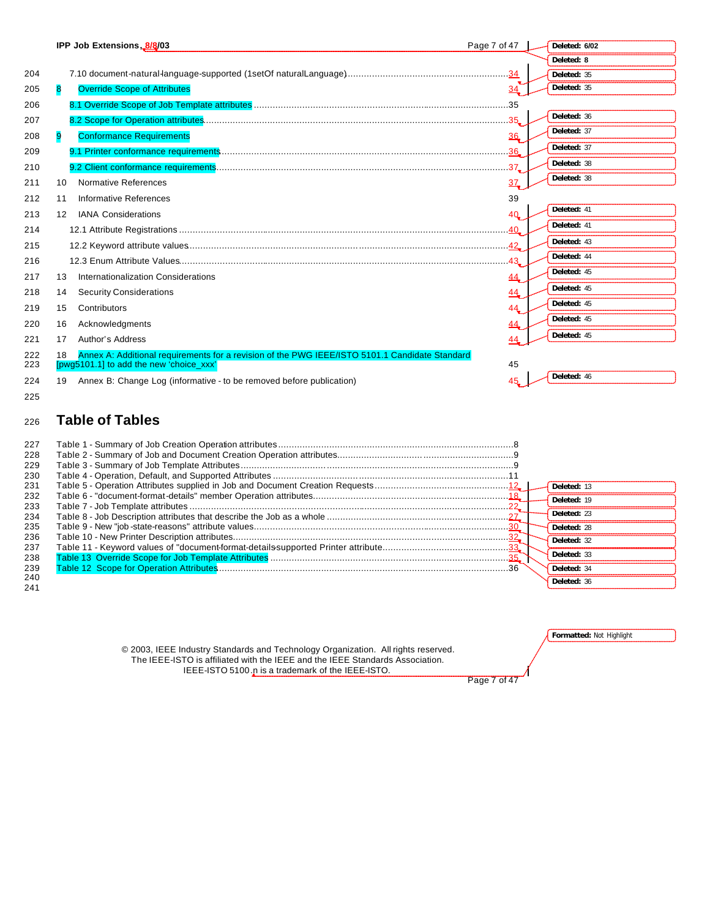|            |                   | IPP Job Extensions, 8/8/03                                                                                                                | Page 7 of 47    | Deleted: 6/02 |
|------------|-------------------|-------------------------------------------------------------------------------------------------------------------------------------------|-----------------|---------------|
|            |                   |                                                                                                                                           |                 | Deleted: 8    |
| 204        |                   |                                                                                                                                           | 34              | Deleted: 35   |
| 205        | 8                 | <b>Override Scope of Attributes</b>                                                                                                       | 34              | Deleted: 35   |
| 206        |                   |                                                                                                                                           |                 |               |
| 207        |                   |                                                                                                                                           |                 | Deleted: 36   |
| 208        | 9                 | <b>Conformance Requirements</b>                                                                                                           | 36              | Deleted: 37   |
| 209        |                   |                                                                                                                                           |                 | Deleted: 37   |
| 210        |                   |                                                                                                                                           | 37 <sub>•</sub> | Deleted: 38   |
| 211        | 10                | Normative References                                                                                                                      | 37 <sub>•</sub> | Deleted: 38   |
| 212        | 11                | Informative References                                                                                                                    | 39              |               |
| 213        | $12 \overline{ }$ | <b>IANA Considerations</b>                                                                                                                | 40              | Deleted: 41   |
| 214        |                   |                                                                                                                                           | $\ldots$ 40     | Deleted: 41   |
| 215        |                   |                                                                                                                                           |                 | Deleted: 43   |
| 216        |                   |                                                                                                                                           | 43              | Deleted: 44   |
| 217        | 13                | Internationalization Considerations                                                                                                       | 44              | Deleted: 45   |
| 218        | 14                | <b>Security Considerations</b>                                                                                                            | 44              | Deleted: 45   |
| 219        | 15                | Contributors                                                                                                                              | 44              | Deleted: 45   |
| 220        | 16                | Acknowledgments                                                                                                                           | 44              | Deleted: 45   |
| 221        | 17                | Author's Address                                                                                                                          | 44              | Deleted: 45   |
| 222<br>223 | 18                | Annex A: Additional requirements for a revision of the PWG IEEE/ISTO 5101.1 Candidate Standard<br>[pwg5101.1] to add the new 'choice_xxx' | 45              |               |
| 224<br>225 | 19                | Annex B: Change Log (informative - to be removed before publication)                                                                      | 45              | Deleted: 46   |
|            |                   |                                                                                                                                           |                 |               |

# <sup>226</sup> **Table of Tables**

| 227<br>228<br>229<br>230 |             |
|--------------------------|-------------|
| 231                      | Deleted: 13 |
| 232                      | Deleted: 19 |
| 233                      |             |
| 234                      | Deleted: 23 |
| 235                      | Deleted: 28 |
| 236                      | Deleted: 32 |
| 237                      |             |
| 238                      | Deleted: 33 |
| 239                      | Deleted: 34 |
| 240                      | Deleted: 36 |
| 241                      |             |

| © 2003, IEEE Industry Standards and Technology Organization. All rights reserved. |  |
|-----------------------------------------------------------------------------------|--|
| The IEEE-ISTO is affiliated with the IEEE and the IEEE Standards Association.     |  |
| IEEE-ISTO 5100 n is a trademark of the IEEE-ISTO.                                 |  |

**Formatted:** Not Highlight

Page 7 of 47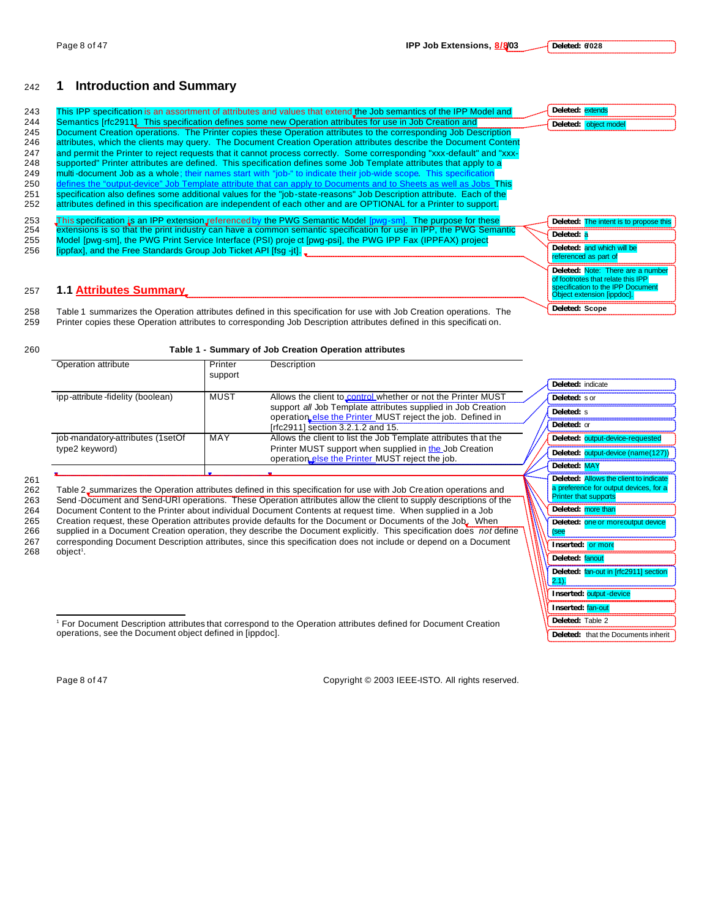## <sup>242</sup> **1 Introduction and Summary**

| 243        | This IPP specification is an assortment of attributes and values that extend the Job semantics of the IPP Model and                                                                                                                   | Deleted: extends                                                       |
|------------|---------------------------------------------------------------------------------------------------------------------------------------------------------------------------------------------------------------------------------------|------------------------------------------------------------------------|
| 244        | Semantics [rfc2911]. This specification defines some new Operation attributes for use in Job Creation and                                                                                                                             | Deleted: object model                                                  |
| 245<br>246 | Document Creation operations. The Printer copies these Operation attributes to the corresponding Job Description<br>attributes, which the clients may query. The Document Creation Operation attributes describe the Document Content |                                                                        |
| 247        | and permit the Printer to reject requests that it cannot process correctly. Some corresponding "xxx-default" and "xxx-                                                                                                                |                                                                        |
| 248        | supported" Printer attributes are defined. This specification defines some Job Template attributes that apply to a                                                                                                                    |                                                                        |
| 249        | multi-document Job as a whole; their names start with "job-" to indicate their job-wide scope. This specification                                                                                                                     |                                                                        |
| 250        | defines the "output-device" Job Template attribute that can apply to Documents and to Sheets as well as Jobs This                                                                                                                     |                                                                        |
| 251        | specification also defines some additional values for the "job-state-reasons" Job Description attribute. Each of the                                                                                                                  |                                                                        |
| 252        | attributes defined in this specification are independent of each other and are OPTIONAL for a Printer to support.                                                                                                                     |                                                                        |
| 253        | This specification is an IPP extension referenced by the PWG Semantic Model [pwg-sm]. The purpose for these                                                                                                                           | Deleted: The intent is to propose this                                 |
| 254        | extensions is so that the print industry can have a common semantic specification for use in IPP, the PWG Semantic                                                                                                                    | Deleted: a                                                             |
| 255<br>256 | Model [pwg-sm], the PWG Print Service Interface (PSI) proje ct [pwg-psi], the PWG IPP Fax (IPPFAX) project<br>[ippfax], and the Free Standards Group Job Ticket API [fsq -it].                                                        | Deleted: and which will be                                             |
|            |                                                                                                                                                                                                                                       | referenced as part of                                                  |
|            |                                                                                                                                                                                                                                       | Deleted: Note: There are a number                                      |
|            |                                                                                                                                                                                                                                       | of footnotes that relate this IPP<br>specification to the IPP Document |
| 257        | <b>1.1 Attributes Summary</b>                                                                                                                                                                                                         | Object extension [ippdoc].                                             |
| 258        | Table 1 summarizes the Operation attributes defined in this specification for use with Job Creation operations. The                                                                                                                   | Deleted: Scope                                                         |
| oro.       | Delatar aantaa thaan Onavattan attelhutaa ta aavaananallan Iah Dagadattan attelhutaa dafinad ja thia anaaifiaattan                                                                                                                    |                                                                        |

259 Printer copies these Operation attributes to corresponding Job Description attributes defined in this specificati on.

#### 260 **Table 1 - Summary of Job Creation Operation attributes**

| Operation attribute              | Printer<br>support | <b>Description</b>                                                                                                         |                                        |
|----------------------------------|--------------------|----------------------------------------------------------------------------------------------------------------------------|----------------------------------------|
|                                  |                    |                                                                                                                            | Deleted: indicate                      |
| ipp-attribute-fidelity (boolean) | MUST               | Allows the client to control whether or not the Printer MUST                                                               | Deleted: s or                          |
|                                  |                    | support all Job Template attributes supplied in Job Creation<br>operation else the Printer MUST reject the job. Defined in | Deleted: s                             |
|                                  |                    | [rfc2911] section 3.2.1.2 and 15.                                                                                          | Deleted: or                            |
| job-mandatory-attributes (1setOf | MAY                | Allows the client to list the Job Template attributes that the                                                             | Deleted: output-device-requested       |
| type2 keyword)                   |                    | Printer MUST support when supplied in the Job Creation<br>operation else the Printer MUST reject the job.                  | Deleted: output-device (name(127))     |
|                                  |                    |                                                                                                                            | Deleted: MAY                           |
|                                  |                    |                                                                                                                            | Deleted: Allows the client to indicate |

261<br>262

Table 2 summarizes the Operation attributes defined in this specification for use with Job Creation operations and 263 Send -Document and Send-URI operations. These Operation attributes allow the client to supply descriptions of the 264 Document Content to the Printer about individual Document Contents at request time. When supplied in a Job

265 Creation request, these Operation attributes provide defaults for the Document or Documents of the Job. When

266 supplied in a Document Creation operation, they describe the Document explicitly. This specification does *not* define 267 corresponding Document Description attributes, since this specification does not include or depend on a Document<br>268 object<sup>t</sup>.  $object<sup>i</sup>$ .

| Deleted: s                                                                                                       |
|------------------------------------------------------------------------------------------------------------------|
| Deleted: or                                                                                                      |
| Deleted: output-device-requested                                                                                 |
| output-device (name(127))<br>Deleted:                                                                            |
| Deleted: MAY                                                                                                     |
| Deleted: Allows the client to indicate<br>a preference for output devices, for a<br><b>Printer that supports</b> |
| Deleted:<br>more than                                                                                            |
| Deleted: one or more output device<br>(see                                                                       |
| Inserted:<br>or more                                                                                             |
| Deleted: fanout                                                                                                  |
| Deleted: fan-out in [rfc2911] section<br>2.1).                                                                   |
| <b>Inserted: output-device</b>                                                                                   |
| <b>Inserted: fan-out</b>                                                                                         |
| Deleted: Table 2                                                                                                 |
| <b>Deleted:</b><br>that the Documents inherit                                                                    |

1 For Document Description attributes that correspond to the Operation attributes defined for Document Creation operations, see the Document object defined in [ippdoc].

 $\overline{a}$ 

Page 8 of 47 Copyright © 2003 IEEE-ISTO. All rights reserved.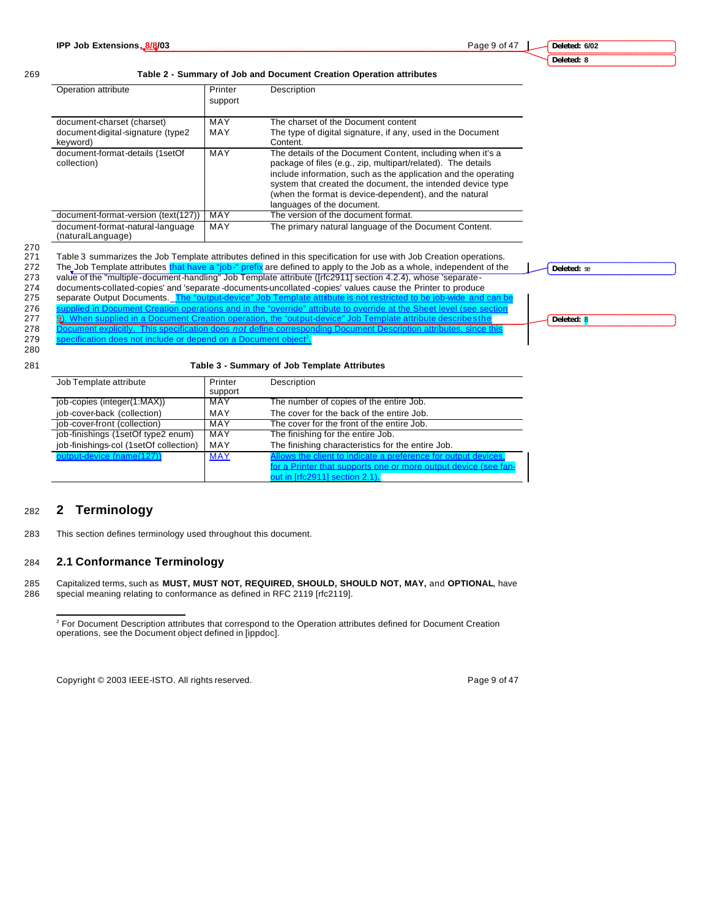#### **Deleted: 6/02 Deleted: 8**

**Deleted:** se

#### 269 **Table 2 - Summary of Job and Document Creation Operation attributes**

| Operation attribute                                   | Printer<br>support | Description                                                                                                                                                                                                                                                                                                                                        |  |  |  |  |  |
|-------------------------------------------------------|--------------------|----------------------------------------------------------------------------------------------------------------------------------------------------------------------------------------------------------------------------------------------------------------------------------------------------------------------------------------------------|--|--|--|--|--|
| document-charset (charset)                            | MAY                | The charset of the Document content                                                                                                                                                                                                                                                                                                                |  |  |  |  |  |
| document-digital-signature (type2<br>keyword)         | MAY                | The type of digital signature, if any, used in the Document<br>Content.                                                                                                                                                                                                                                                                            |  |  |  |  |  |
| document-format-details (1setOf<br>collection)        | MAY                | The details of the Document Content, including when it's a<br>package of files (e.g., zip, multipart/related). The details<br>include information, such as the application and the operating<br>system that created the document, the intended device type<br>(when the format is device-dependent), and the natural<br>languages of the document. |  |  |  |  |  |
| document-format-version (text(127))                   | MAY                | The version of the document format.                                                                                                                                                                                                                                                                                                                |  |  |  |  |  |
| document-format-natural-language<br>(naturalLanguage) | MAY                | The primary natural language of the Document Content.                                                                                                                                                                                                                                                                                              |  |  |  |  |  |

270

271 Table 3 summarizes the Job Template attributes defined in this specification for use with Job Creation operations.<br>272 The Job Template attributes that have a "job-" prefix are defined to apply to the Job as a whole, i The Job Template attributes that have a "job-" prefix are defined to apply to the Job as a whole, independent of the 273 value of the "multiple-document-handling" Job Template attribute ([rfc2911] section 4.2.4), whose 'separate-

274 documents-collated-copies' and 'separate -documents-uncollated -copies' values cause the Printer to produce<br>275 separate Output Documents. The "output-device" Job Template attribute is not restricted to be job-wide and separate Output Documents. The "

276 supplied in Document Creation operations and in the "override" attribute to override at the Sheet level (see section operations and in the "output-device" Job Template attribute describe sthe 277 9). When supplied in a Document Creation operation, the "output-device" Job Template attribute describe sthe

278 Document explicitly. This specification does *not* define corresponding Document Description attributes, since this 279 specification does not include or depend on a Document ob

**Deleted:** 8

280

#### 281 **Table 3 - Summary of Job Template Attributes**

| Job Template attribute                 | Printer    | Description                                                     |
|----------------------------------------|------------|-----------------------------------------------------------------|
|                                        | support    |                                                                 |
| job-copies (integer(1:MAX))            | MAY        | The number of copies of the entire Job.                         |
| job-cover-back (collection)            | MAY        | The cover for the back of the entire Job.                       |
| job-cover-front (collection)           | MAY        | The cover for the front of the entire Job.                      |
| job-finishings (1setOf type2 enum)     | MAY        | The finishing for the entire Job.                               |
| job-finishings-col (1setOf collection) | MAY        | The finishing characteristics for the entire Job.               |
| output-device (name(127))              | <b>MAY</b> | Allows the client to indicate a preference for output devices,  |
|                                        |            | for a Printer that supports one or more output device (see fan- |
|                                        |            | out in [rfc2911] section 2.1).                                  |

## <sup>282</sup> **2 Terminology**

 $\overline{a}$ 

283 This section defines terminology used throughout this document.

#### 284 **2.1 Conformance Terminology**

285 Capitalized terms, such as **MUST, MUST NOT, REQUIRED, SHOULD, SHOULD NOT, MAY,** and **OPTIONAL**, have special meaning relating to conformance as defined in RFC 2119 [rfc2119].

Copyright © 2003 IEEE-ISTO. All rights reserved. Page 9 of 47

<sup>&</sup>lt;sup>2</sup> For Document Description attributes that correspond to the Operation attributes defined for Document Creation operations, see the Document object defined in [ippdoc].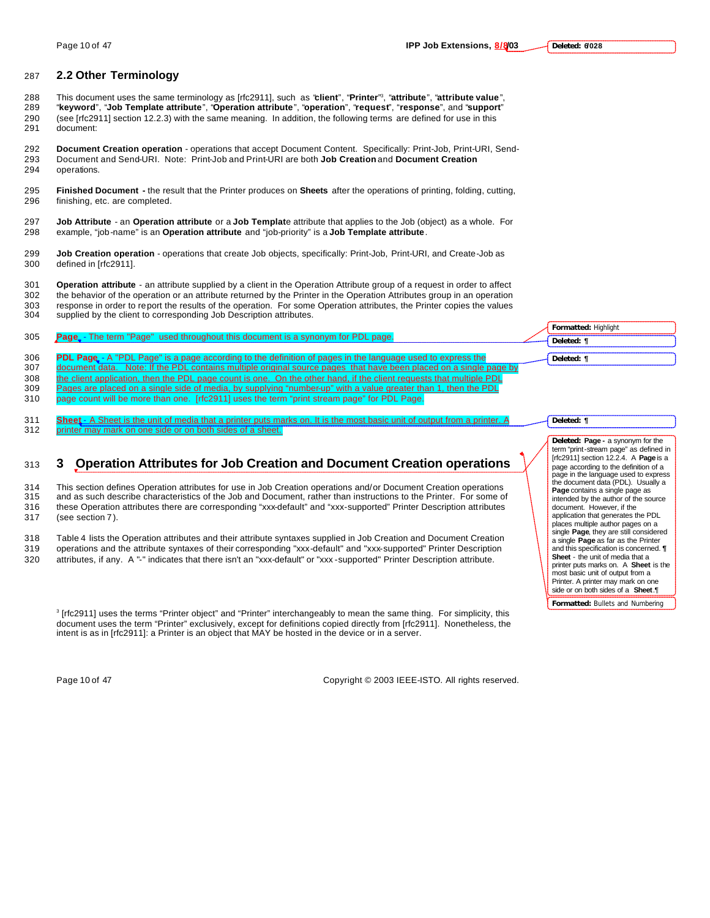- This document uses the same terminology as [rfc2911], such as "**client**", "**Printer**" <sup>3</sup> 288 , "**attribute**", "**attribute value**", 289 "**keyword**", "**Job Template attribute**", "**Operation attribute**", "**operation**", "**request**", "**response**", and "**support**" 290 (see [rfc2911] section 12.2.3) with the same meaning. In addition, the following terms are defined for use in this 291 document:
- 292 **Document Creation operation**  operations that accept Document Content. Specifically: Print-Job, Print-URI, Send-293 Document and Send-URI. Note: Print-Job and Print-URI are both **Job Creation** and **Document Creation** 294 operations.
- 295 **Finished Document -** the result that the Printer produces on **Sheets** after the operations of printing, folding, cutting, 296 finishing, etc. are completed.
- 297 **Job Attribute** an **Operation attribute** or a **Job Templat**e attribute that applies to the Job (object) as a whole. For 298 example, "job-name" is an **Operation attribute** and "job-priority" is a **Job Template attribute**.
- 299 **Job Creation operation** operations that create Job objects, specifically: Print-Job, Print-URI, and Create-Job as 300 defined in [rfc2911].
- 301 **Operation attribute** an attribute supplied by a client in the Operation Attribute group of a request in order to affect 302 the behavior of the operation or an attribute returned by the Printer in the Operation Attributes group in an operation
- 303 response in order to report the results of the operation. For some Operation attributes, the Printer copies the values 304 supplied by the client to corresponding Job Description attributes.

|     |                                                                                                                    | <b>Formatted: Highlight</b> |
|-----|--------------------------------------------------------------------------------------------------------------------|-----------------------------|
| 305 | <b>Page</b> - The term "Page" used throughout this document is a synonym for PDL page.                             | Deleted: ¶                  |
| 306 | <b>PDL Page.</b> - A "PDL Page" is a page according to the definition of pages in the language used to express the | Deleted: ¶                  |
| 307 | document data. Note: If the PDL contains multiple original source pages that have been placed on a single page by  |                             |

- 308 the client application, then the PDL page count is one. On the other hand, if the client requests that multiple PDL 309 Pages are placed on a single side of media, by supplying "number-up" with a value greater than 1, then the PDL
- 310 page count will be more than one. [rfc2911] uses the term "print stream page" for PDL Page.
- 311 **Sheet** A Sheet is the unit of media that a printer puts marks on. It is the most basic unit of output from a printer. A 312 printer may mark on one side or on both sides of a sheet.

## <sup>313</sup> **3 Operation Attributes for Job Creation and Document Creation operations**

314 This section defines Operation attributes for use in Job Creation operations and/or Document Creation operations 315 and as such describe characteristics of the Job and Document, rather than instructions to the Printer. For some of

316 these Operation attributes there are corresponding "xxx-default" and "xxx-supported" Printer Description attributes

317 (see section 7 ).

318 Table 4 lists the Operation attributes and their attribute syntaxes supplied in Job Creation and Document Creation 319 operations and the attribute syntaxes of their corresponding "xxx-default" and "xxx-supported" Printer Description 320 attributes, if any. A "-" indicates that there isn't an "xxx-default" or "xxx -supported" Printer Description attribute.

3 [rfc2911] uses the terms "Printer object" and "Printer" interchangeably to mean the same thing. For simplicity, this document uses the term "Printer" exclusively, except for definitions copied directly from [rfc2911]. Nonetheless, the intent is as in [rfc2911]: a Printer is an object that MAY be hosted in the device or in a server.

Page 10 of 47 Copyright © 2003 IEEE-ISTO. All rights reserved.

**Deleted: ¶ Deleted: Page -** a synonym for the term "print-stream page" as defined in [rfc2911] section 12.2.4. A **Page** is a page according to the definition of a page in the language used to express the document data (PDL). Usually a **Page** contains a single page as intended by the author of the source document. However, if the application that generates the PDL places multiple author pages on a single **Page**, they are still considered a single **Page** as far as the Printer and this specification is concerned. **¶ Sheet** - the unit of media that a printer puts marks on. A **Sheet** is the most basic unit of output from a Printer. A printer may mark on one

**Formatted:** Bullets and Numbering side or on both sides of a **Sheet**.¶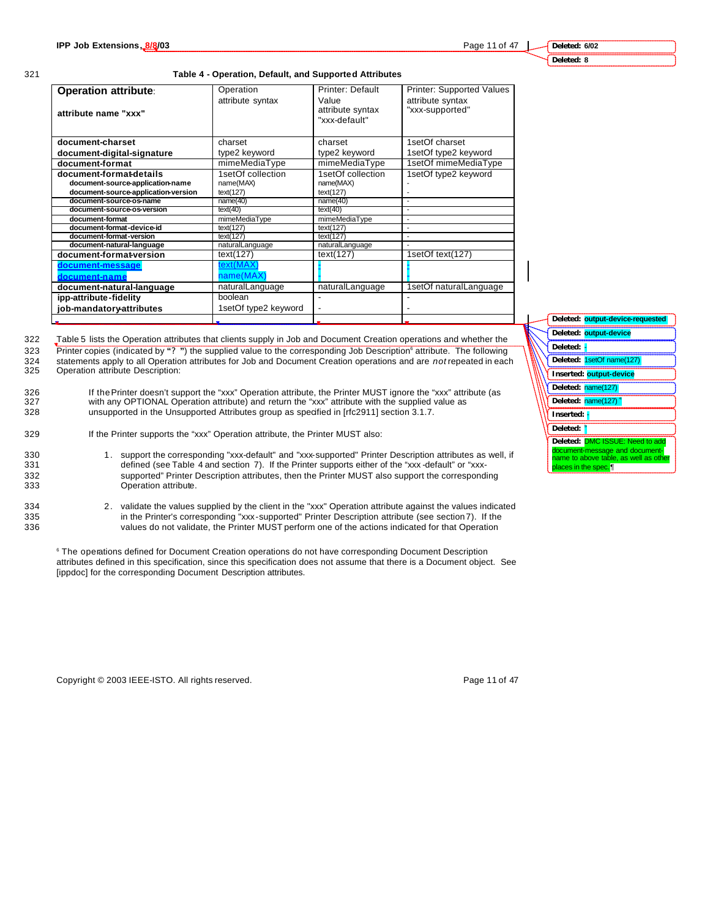#### **Deleted: 6/02 Deleted: 8**

#### 321 **Table 4 - Operation, Default, and Supported Attributes**

| <b>Operation attribute:</b><br>attribute name "xxx"                                                | Operation<br>attribute syntax               | Printer: Default<br>Value<br>attribute syntax<br>"xxx-default" | Printer: Supported Values<br>attribute syntax<br>"xxx-supported" |
|----------------------------------------------------------------------------------------------------|---------------------------------------------|----------------------------------------------------------------|------------------------------------------------------------------|
| document-charset                                                                                   | charset                                     | charset                                                        | 1setOf charset                                                   |
| document-digital-signature                                                                         | type2 keyword                               | type2 keyword                                                  | 1setOf type2 keyword                                             |
| document-format                                                                                    | mimeMediaType                               | mimeMediaType                                                  | 1setOf mimeMediaType                                             |
| document-format-details<br>document-source-application-name<br>document-source-application-version | 1setOf collection<br>name(MAX)<br>text(127) | 1setOf collection<br>name(MAX)<br>text(127)                    | 1setOf type2 keyword                                             |
| document-source-os-name                                                                            | name(40)                                    | name(40)                                                       |                                                                  |
| document-source-os-version                                                                         | text(40)                                    | text(40)                                                       | $\overline{a}$                                                   |
| document-format                                                                                    | mimeMediaType                               | mimeMediaType                                                  | $\overline{a}$                                                   |
| document-format-device-id                                                                          | text(127)                                   | text(127)                                                      |                                                                  |
| document-format-version                                                                            | text(127)                                   | text(127)                                                      | $\overline{a}$                                                   |
| document-natural-language                                                                          | naturalLanguage                             | naturalLanguage                                                |                                                                  |
| document-format-version                                                                            | text(127)                                   | text(127)                                                      | 1setOf text(127)                                                 |
| document-message<br>document-name                                                                  | text(MAX<br>name(MA)                        |                                                                |                                                                  |
| document-natural-language                                                                          | naturalLanguage                             | naturalLanguage                                                | 1setOf naturalLanguage                                           |
| ipp-attribute-fidelity                                                                             | boolean                                     |                                                                |                                                                  |
| job-mandatory-attributes                                                                           | 1setOf type2 keyword                        |                                                                |                                                                  |
|                                                                                                    |                                             |                                                                |                                                                  |

322 Table 5 lists the Operation attributes that clients supply in Job and Document Creation operations and whether the Printer copies (indicated by "?") the supplied value to the corresponding Job Description<sup>6</sup> attribute. The following 324 statements apply to all Operation attributes for Job and Document Creation operations and are *not* repeated in each<br>325 Operation attribute Description:

Operation attribute Description:

326 If the Printer doesn't support the "xxx" Operation attribute, the Printer MUST ignore the "xxx" attribute (as 327 with any OPTIONAL Operation attribute) and return the "xxx" attribute with the supplied value as 328 unsupported in the Unsupported Attributes group as specified in [rfc2911] section 3.1.7.

329 If the Printer supports the "xxx" Operation attribute, the Printer MUST also:

- 330 1. support the corresponding "xxx-default" and "xxx-supported" Printer Description attributes as well, if<br>331 defined (see Table 4 and section 7). If the Printer supports either of the "xxx-default" or "xxxdefined (see Table 4 and section 7). If the Printer supports either of the "xxx -default" or "xxx-332 supported" Printer Description attributes, then the Printer MUST also support the corresponding 333 Operation attribute.
- 
- 334 2. validate the values supplied by the client in the "xxx" Operation attribute against the values indicated 335 in the Printer's corresponding "xxx-supported" Printer Description attribute (see section 7). If the 336 values do not validate, the Printer MUST perform one of the actions indicated for that Operation

6 The operations defined for Document Creation operations do not have corresponding Document Description attributes defined in this specification, since this specification does not assume that there is a Document object. See [ippdoc] for the corresponding Document Description attributes.

Copyright © 2003 IEEE-ISTO. All rights reserved. Page 11 of 47



|                      | Deleted: output-device-requested      |
|----------------------|---------------------------------------|
|                      | Deleted: output-device                |
| Deleted:             |                                       |
|                      | Deleted: 1setOf name(127)             |
|                      | Inserted: output-device               |
| Deleted: name(127)   |                                       |
|                      | Deleted: name(127) <sup>4</sup>       |
| Inserted:            |                                       |
| Deleted: P           |                                       |
|                      | Deleted: DMC ISSUE: Need to add       |
|                      | document-message and document-        |
|                      | name to above table, as well as other |
| places in the spec.¶ |                                       |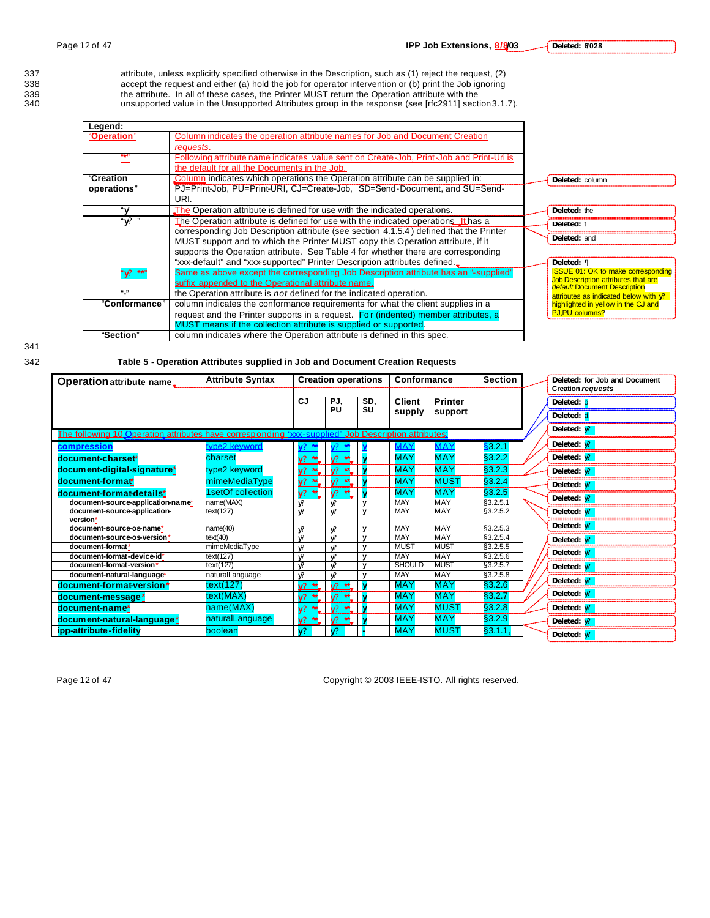**Deleted: 6/028**

337 attribute, unless explicitly specified otherwise in the Description, such as (1) reject the request, (2) 338 accept the request and either (a) hold the job for operator intervention or (b) print the Job ignoring 338 accept the request and either (a) hold the job for operator intervention or (b) print the Job ignoring<br>339 the attribute. In all of these cases, the Printer MUST return the Operation attribute with the<br>340 unsupported the attribute. In all of these cases, the Printer MUST return the Operation attribute with the unsupported value in the Unsupported Attributes group in the response (see [rfc2911] section 3.1.7).

| Legend:           |                                                                                         |                                                                     |
|-------------------|-----------------------------------------------------------------------------------------|---------------------------------------------------------------------|
| "Operation"       | Column indicates the operation attribute names for Job and Document Creation            |                                                                     |
|                   | requests.                                                                               |                                                                     |
| 66499             | Following attribute name indicates value sent on Create-Job, Print-Job and Print-Uri is |                                                                     |
|                   | the default for all the Documents in the Job.                                           |                                                                     |
| "Creation         | Column indicates which operations the Operation attribute can be supplied in:           | Deleted: column                                                     |
| operations"       | PJ=Print-Job, PU=Print-URI, CJ=Create-Job, SD=Send-Document, and SU=Send-               |                                                                     |
|                   | URI.                                                                                    |                                                                     |
| "v"               | The Operation attribute is defined for use with the indicated operations.               | Deleted: the                                                        |
| " የ "             | The Operation attribute is defined for use with the indicated operations It has a       | Deleted: t                                                          |
|                   | corresponding Job Description attribute (see section 4.1.5.4) defined that the Printer  |                                                                     |
|                   | MUST support and to which the Printer MUST copy this Operation attribute, if it         | Deleted: and                                                        |
|                   | supports the Operation attribute. See Table 4 for whether there are corresponding       |                                                                     |
|                   | "xxx-default" and "xxx-supported" Printer Description attributes defined.               | Deleted: ¶                                                          |
| $\frac{m}{2}$ **" | Same as above except the corresponding Job Description attribute has an "-supplied"     | <b>ISSUE 01: OK to make corresponding</b>                           |
|                   | suffix appended to the Operational attribute name.                                      | Job Description attributes that are<br>default Document Description |
| (1, 3)            | the Operation attribute is not defined for the indicated operation.                     | attributes as indicated below with v?                               |
| "Conformance"     | column indicates the conformance requirements for what the client supplies in a         | highlighted in yellow in the CJ and                                 |
|                   | request and the Printer supports in a request. For (indented) member attributes, a      | <b>PJ,PU columns?</b>                                               |
|                   | MUST means if the collection attribute is supplied or supported.                        |                                                                     |
| "Section"         | column indicates where the Operation attribute is defined in this spec.                 |                                                                     |

342 **Table 5 - Operation Attributes supplied in Job and Document Creation Requests**

| Operation attribute name.                                                                           | <b>Attribute Syntax</b>    |               | <b>Creation operations</b>             |                              | Conformance               |                           | <b>Section</b>       | Deleted: for Job and Document<br><b>Creation requests</b> |
|-----------------------------------------------------------------------------------------------------|----------------------------|---------------|----------------------------------------|------------------------------|---------------------------|---------------------------|----------------------|-----------------------------------------------------------|
|                                                                                                     |                            | CJ            | PJ,<br>PU                              | SD,<br>SU                    | Client                    | <b>Printer</b>            |                      | Deleted: 0                                                |
|                                                                                                     |                            |               |                                        |                              | supply                    | support                   |                      | Deleted: a                                                |
| The following 10 Operation attributes have corresponding "xxx-supplied" Job Description attributes: |                            |               |                                        |                              |                           |                           |                      | Deleted: $\sqrt{?}$                                       |
| compression                                                                                         | type2 keyword              |               |                                        |                              | <b>MAY</b>                | <b>MAY</b>                | <u>\$</u> 3.2.1      | Deleted: $\sqrt{?}$                                       |
| document-charset*                                                                                   | charset                    | $V^2$ **      | $\sqrt{2}$<br>$*$                      |                              | <b>MAY</b>                | <b>MAY</b>                | §3.2.2               | Deleted: $\sqrt{?}$                                       |
| document-digital-signature*                                                                         | type2 keyword              | $V^2$ **      |                                        |                              | <b>MAY</b>                | <b>MAY</b>                | §3.2.3               | Deleted: $\sqrt{?}$                                       |
| document-format*                                                                                    | mimeMediaType              | $V^2$ **      | $\mathsf{V}^{\bullet\rightarrow\star}$ |                              | <b>MAY</b>                | <b>MUST</b>               | §3.2.4               | Deleted: $\sqrt{?}$                                       |
| document-format-details*                                                                            | 1setOf collection          | $\sqrt{?}$ ** | $V^2$ **                               |                              | <b>MAY</b>                | <b>MAY</b>                | §3.2.5               | Deleted: $V^2$                                            |
| document-source-application-name*<br>document-source-application-                                   | name(MAX)<br>text(127)     | y?<br>V.      | v?<br>V.                               |                              | <b>MAY</b><br>MAY         | <b>MAY</b><br>MAY         | §3.2.5.1<br>§3.2.5.2 | Deleted: $\sqrt{?}$                                       |
| version*<br>document-source-os-name*                                                                | name(40)                   | у?            | у?                                     |                              | MAY                       | MAY                       | §3.2.5.3             | Deleted: $\sqrt{?}$                                       |
| document-source-os-version*                                                                         | text(40)                   | V.            | V.                                     |                              | MAY                       | MAY                       | §3.2.5.4             | Deleted: $V^2$                                            |
| document-format*<br>document-format-device-id'                                                      | mimeMediaType<br>text(127) | V.            | V.<br>$\mathbf{v}$                     | $\mathbf{v}$<br>$\mathbf{v}$ | <b>MUST</b><br><b>MAY</b> | <b>MUST</b><br><b>MAY</b> | §3.2.5.5<br>§3.2.5.6 | Deleted: $\sqrt{?}$                                       |
| document-format-version'                                                                            | text(127)                  | V.<br>V.      | V.                                     | $\mathbf{v}$                 | <b>SHOULD</b>             | <b>MUST</b>               | §3.2.5.7             | Deleted: $\sqrt{?}$                                       |
| document-natural-language*                                                                          | naturalLanguage            | v?            | $\mathbf{v}$                           | v                            | <b>MAY</b>                | <b>MAY</b>                | §3.2.5.8             | Deleted: $\sqrt{?}$                                       |
| document-format-version*                                                                            | text(127)                  | $V^2$ **      | $\mathbf{v}$<br>$\star$                |                              | MAY                       | <b>MAY</b>                | \$3.2.6              |                                                           |
| document-message*                                                                                   | text(MAX)                  | $\sqrt{2}$    |                                        |                              | <b>MAY</b>                | <b>MAY</b>                | §3.2.7               | Deleted: $\sqrt{?}$                                       |
| document-name*                                                                                      | name(MAX)                  | $\sqrt{2}$    | $\sqrt{2}$                             |                              | <b>MAY</b>                | <b>MUST</b>               | §3.2.8               | Deleted: $\sqrt{?}$                                       |
| document-natural-language*                                                                          | naturalLanguage            | $V^2$ **      | $\mathbf{v}$<br>$*$                    |                              | <b>MAY</b>                | <b>MAY</b>                | §3.2.9               | Deleted: $\sqrt{?}$                                       |
| ipp-attribute-fidelity                                                                              | boolean                    | V?            |                                        |                              | <b>MAY</b>                | <b>MUST</b>               | §3.1.1               | Deleted: $\sqrt{?}$                                       |

Page 12 of 47 Copyright © 2003 IEEE-ISTO. All rights reserved.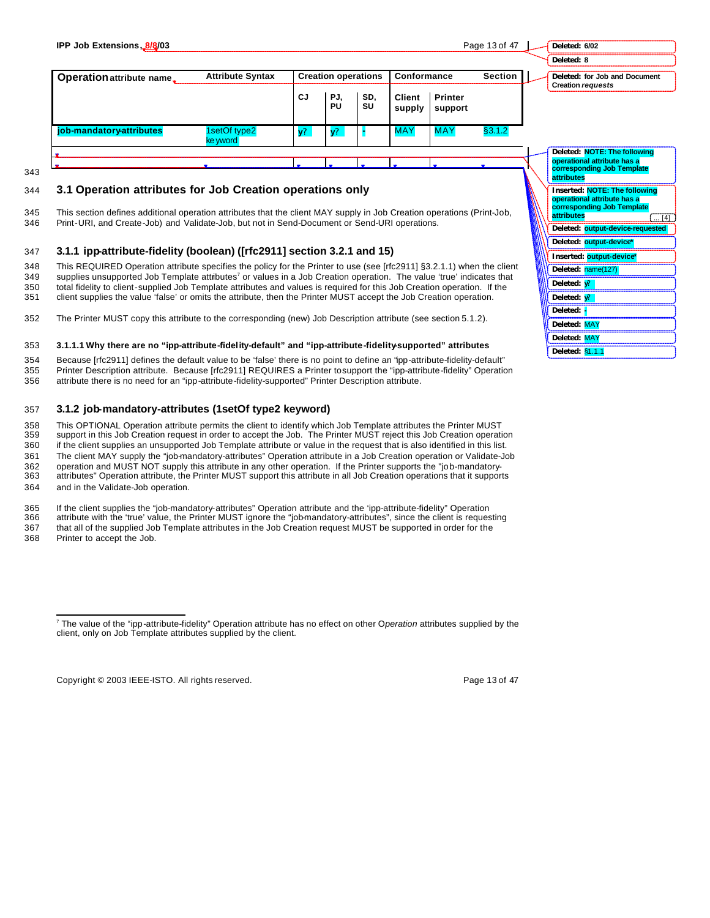| IPP Job Extensions, 8/8/03 |                          |                |                            |           |                         |                           | Page 13 of 47  | Deleted: 6/02                                             |
|----------------------------|--------------------------|----------------|----------------------------|-----------|-------------------------|---------------------------|----------------|-----------------------------------------------------------|
|                            |                          |                |                            |           |                         |                           |                | Deleted: 8                                                |
| Operation attribute name_  | <b>Attribute Syntax</b>  |                | <b>Creation operations</b> |           | Conformance             |                           | <b>Section</b> | Deleted: for Job and Document<br><b>Creation requests</b> |
|                            |                          | CJ             | PJ.<br>PU                  | SD.<br>SU | <b>Client</b><br>supply | <b>Printer</b><br>support |                |                                                           |
| job-mandatory-attributes   | 1setOf type2<br>ke yword | $\mathbf{v}^2$ |                            |           | <b>MAY</b>              | <b>MAY</b>                | §3.1.2         |                                                           |
|                            |                          |                |                            |           |                         |                           |                | Deleted: NOTE: The following                              |
|                            |                          |                |                            |           |                         |                           |                | operational attribute has a<br>corresponding Job Template |
|                            |                          |                |                            |           |                         |                           |                | attributes                                                |

## 344 **3.1 Operation attributes for Job Creation operations only**

345 This section defines additional operation attributes that the client MAY supply in Job Creation operations (Print-Job, 346 Print-URI, and Create-Job) and Validate-Job, but not in Send-Document or Send-URI operations.

#### 347 **3.1.1 ipp-attribute-fidelity (boolean) ([rfc2911] section 3.2.1 and 15)**

348 This REQUIRED Operation attribute specifies the policy for the Printer to use (see [rfc2911] §3.2.1.1) when the client 349 supplies unsupported Job Template attributes<sup>7</sup> or values in a Job Creation operation. The value 'true' indicates that 350 total fidelity to client-supplied Job Template attributes and values is required for this Job Creation operation. If the

- 351 client supplies the value 'false' or omits the attribute, then the Printer MUST accept the Job Creation operation.
- 352 The Printer MUST copy this attribute to the corresponding (new) Job Description attribute (see section 5.1.2).

#### 353 **3.1.1.1 Why there are no "ipp-attribute-fidelity-default" and "ipp-attribute-fidelity-supported" attributes**

354 Because [rfc2911] defines the default value to be 'false' there is no point to define an "ipp-attribute-fidelity-default" 355 Printer Description attribute. Because [rfc2911] REQUIRES a Printer to support the "ipp-attribute-fidelity" Operation 356 attribute there is no need for an "ipp-attribute-fidelity-supported" Printer Description attribute.

#### 357 **3.1.2 job-mandatory-attributes (1setOf type2 keyword)**

 This OPTIONAL Operation attribute permits the client to identify which Job Template attributes the Printer MUST support in this Job Creation request in order to accept the Job. The Printer MUST reject this Job Creation operation if the client supplies an unsupported Job Template attribute or value in the request that is also identified in this list. The client MAY supply the "job-mandatory-attributes" Operation attribute in a Job Creation operation or Validate-Job operation and MUST NOT supply this attribute in any other operation. If the Printer supports the "job-mandatory- attributes" Operation attribute, the Printer MUST support this attribute in all Job Creation operations that it supports and in the Validate-Job operation.

#### 365 If the client supplies the "job-mandatory-attributes" Operation attribute and the 'ipp-attribute-fidelity" Operation attribute with the 'true' value, the Printer MUST ignore the "job-mandatory-attributes", since the client is requesting 367 that all of the supplied Job Template attributes in the Job Creation request MUST be supported in order for the

368 Printer to accept the Job.

 $\overline{a}$ 

343

Copyright © 2003 IEEE-ISTO. All rights reserved. Copyright C 2003 IEEE-ISTO. All rights reserved.

**Inserted: NOTE: The following operational attribute has a corresponding Job Template** 

**Deleted: output-device-requested Deleted: output-device\* Inserted: output-device\* Deleted:** name(127) **Deleted: y? Deleted: y? Deleted: - Deleted:** MAY **Deleted:** MAY **Deleted:** §1.1.1

 $\overline{[4]}$ 

**attributes**

<sup>7</sup> The value of the "ipp-attribute-fidelity" Operation attribute has no effect on other O*peration* attributes supplied by the client, only on Job Template attributes supplied by the client.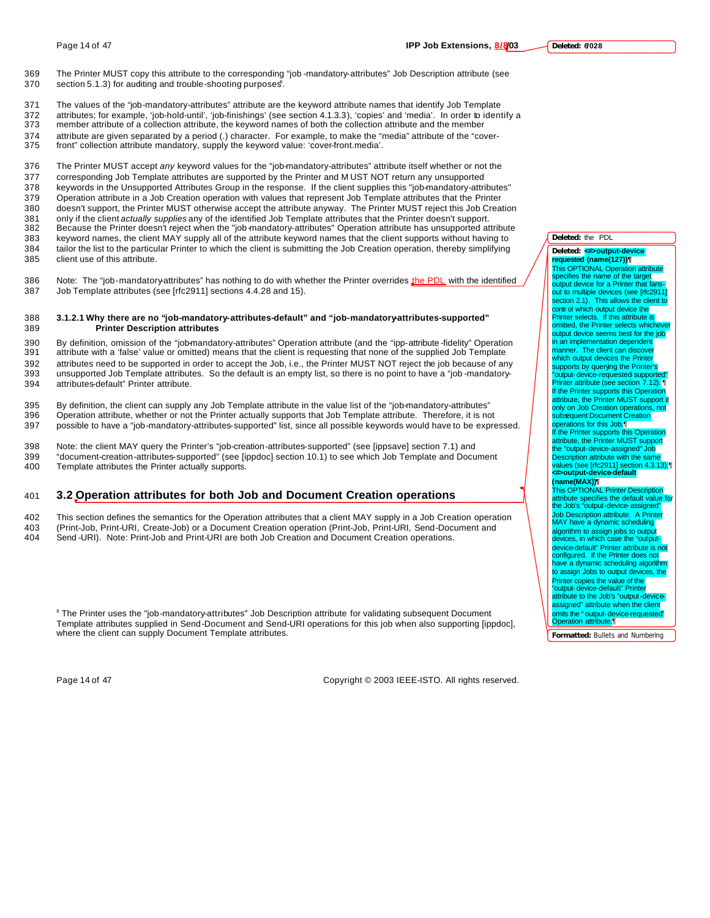The values of the "job-mandatory-attributes" attribute are the keyword attribute names that identify Job Template attributes; for example, 'job-hold-until', 'job-finishings' (see section 4.1.3.3), 'copies' and 'media'. In order to identify a member attribute of a collection attribute, the keyword names of both the collection attribute and the member attribute are given separated by a period (.) character. For example, to make the "media" attribute of the "cover-front" collection attribute mandatory, supply the keyword value: 'cover-front.media'.

 The Printer MUST accept *any* keyword values for the "job-mandatory-attributes" attribute itself whether or not the corresponding Job Template attributes are supported by the Printer and M UST NOT return any unsupported keywords in the Unsupported Attributes Group in the response. If the client supplies this "job-mandatory-attributes" Operation attribute in a Job Creation operation with values that represent Job Template attributes that the Printer doesn't support, the Printer MUST otherwise accept the attribute anyway. The Printer MUST reject this Job Creation only if the client *actually supplies* any of the identified Job Template attributes that the Printer doesn't support. Because the Printer doesn't reject when the "job-mandatory-attributes" Operation attribute has unsupported attribute keyword names, the client MAY supply all of the attribute keyword names that the client supports without having to tailor the list to the particular Printer to which the client is submitting the Job Creation operation, thereby simplifying client use of this attribute.

386 Note: The "job-mandatory-attributes" has nothing to do with whether the Printer overrides the PDL with the identified 387 Job Template attributes (see [rfc2911] sections 4.4.28 and 15).

#### 388 **3.1.2.1 Why there are no "job-mandatory-attributes-default" and "job-mandatory-attributes-supported"**  389 **Printer Description attributes**

 By definition, omission of the "job-mandatory-attributes" Operation attribute (and the "ipp-attribute -fidelity" Operation attribute with a 'false' value or omitted) means that the client is requesting that none of the supplied Job Template attributes need to be supported in order to accept the Job, i.e., the Printer MUST NOT reject the job because of any unsupported Job Template attributes. So the default is an empty list, so there is no point to have a "job -mandatory-attributes-default" Printer attribute.

395 By definition, the client can supply any Job Template attribute in the value list of the "job-mandatory-attributes" 396 Operation attribute, whether or not the Printer actually supports that Job Template attribute. Therefore, it is not 397 possible to have a "job-mandatory-attributes-supported" list, since all possible keywords would have to be expressed.

398 Note: the client MAY query the Printer's "job-creation-attributes-supported" (see [ippsave] section 7.1) and 399 "document-creation-attributes-supported" (see [ippdoc] section 10.1) to see which Job Template and Document 400 Template attributes the Printer actually supports.

## 401 **3.2 Operation attributes for both Job and Document Creation operations**

402 This section defines the semantics for the Operation attributes that a client MAY supply in a Job Creation operation 403 (Print-Job, Print-URI, Create-Job) or a Document Creation operation (Print-Job, Print-URI, Send-Document and 404 Send -URI). Note: Print-Job and Print-URI are both Job Creation and Document Creation operations.

<sup>8</sup> The Printer uses the "job-mandatory-attributes" Job Description attribute for validating subsequent Document Template attributes supplied in Send-Document and Send-URI operations for this job when also supporting [ippdoc], where the client can supply Document Template attributes.

Page 14 of 47 Copyright © 2003 IEEE-ISTO. All rights reserved.

**Deleted:** the PDL

Deleted: <**#>output-device** 

**requested (name(127))¶** This OPTIONAL Opera specifies the name of the target output device for a Printer that f out to multiple devices (see [rfc2911] section 2.1). This allows the client to contr ol which output device the Printer selects. If this attribute is omitted, the Printer selects whichever output device seems best for the job in an implementation dependent manner. The client can discove which output devices the Printer supports by querying the Printer's "output-device-requested-supported"<br>Printer attribute (see section 7.12). ¶ If the Printer supports this Operation attribute, the Printer MUST support it only on Job Creation operations, not subsequent Document Creation operations for this Job.¶ If the Printer supports this Operation attribute, the Printer MUST support the "output-device-assigned" Job Description attribute with the same values (see [rfc2911] section 4.3.13).¶ **<#>output-device-default (name(MAX))¶** This OPTIONAL Printer Description

attribute specifies the default value for the Job's "output-device-assigned" Job Description attribute. A Printer MAY have a dynamic scheduling algorithm to assign jobs to output<br>devices, in which case the "outputdevice-default" Printer attribute is not configured. If the Printer does not have a dynamic scheduling algorithm to assign Jobs to output devices, the Printer copies the value of the "output-device-default" Printer attribute to the Job's "output-de assigned" attribute when the client omits the " output-devic<del>e re</del>quested"<br>Operation attribute.¶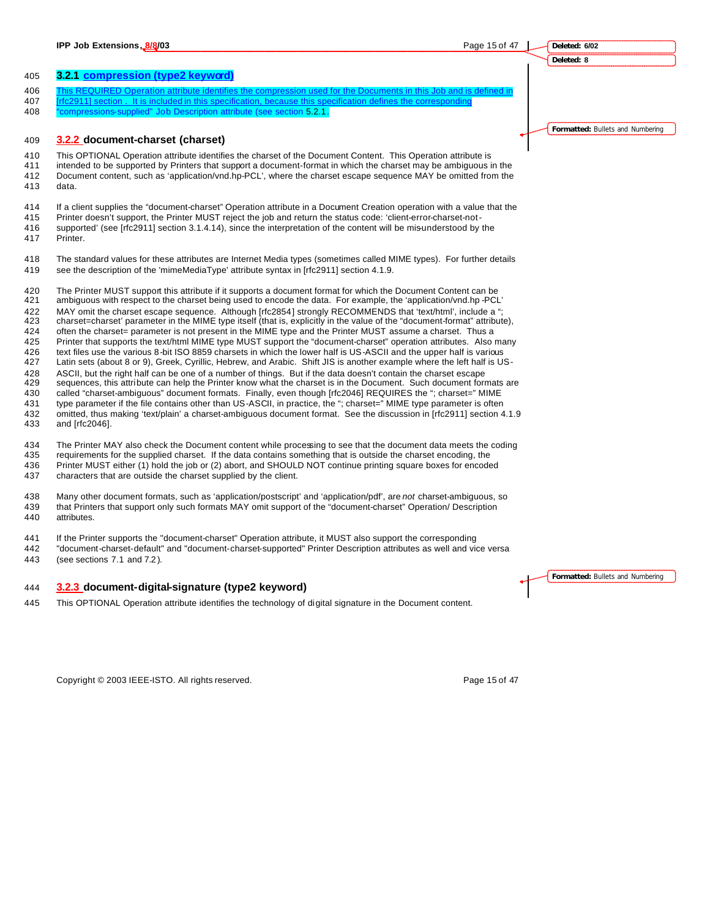**Deleted: 6/02**

**Deleted: 8**

#### **3.2.1 compression (type2 keyword)**

- 406 This REQUIRED Operation attribute identifies the compression used for the Documents in this Job and is defined in
- [rfc2911] section . It is included in this specification, because this specification defines the corresponding
- "compressions-supplied" Job Description attribute (see section 5.2.1.

## **3.2.2 document-charset (charset)**

 This OPTIONAL Operation attribute identifies the charset of the Document Content. This Operation attribute is intended to be supported by Printers that support a document-format in which the charset may be ambiguous in the Document content, such as 'application/vnd.hp-PCL', where the charset escape sequence MAY be omitted from the data.

 If a client supplies the "document-charset" Operation attribute in a Document Creation operation with a value that the Printer doesn't support, the Printer MUST reject the job and return the status code: 'client-error-charset-not-supported' (see [rfc2911] section 3.1.4.14), since the interpretation of the content will be mis-understood by the

Printer.

 The standard values for these attributes are Internet Media types (sometimes called MIME types). For further details see the description of the 'mimeMediaType' attribute syntax in [rfc2911] section 4.1.9.

 The Printer MUST support this attribute if it supports a document format for which the Document Content can be ambiguous with respect to the charset being used to encode the data. For example, the 'application/vnd.hp -PCL' 422 MAY omit the charset escape sequence. Although [rfc2854] strongly RECOMMENDS that 'text/html', include a " charset=charset' parameter in the MIME type itself (that is, explicitly in the value of the "document-format" attribute), often the charset= parameter is not present in the MIME type and the Printer MUST assume a charset. Thus a Printer that supports the text/html MIME type MUST support the "document-charset" operation attributes. Also many text files use the various 8-bit ISO 8859 charsets in which the lower half is US-ASCII and the upper half is various Latin sets (about 8 or 9), Greek, Cyrillic, Hebrew, and Arabic. Shift JIS is another example where the left half is US-428 ASCII, but the right half can be one of a number of things. But if the data doesn't contain the charset escape<br>429 sequences, this attribute can help the Printer know what the charset is in the Document. Such document sequences, this attribute can help the Printer know what the charset is in the Document. Such document formats are called "charset-ambiguous" document formats. Finally, even though [rfc2046] REQUIRES the "; charset=" MIME 431 type parameter if the file contains other than US-ASCII, in practice, the "; charset=" MIME type parameter is often omitted, thus making 'text/plain' a charset-ambiguous document format. See the discussion in [rfc2911] section 4.1.9 and [rfc2046].

 The Printer MAY also check the Document content while processing to see that the document data meets the coding requirements for the supplied charset. If the data contains something that is outside the charset encoding, the Printer MUST either (1) hold the job or (2) abort, and SHOULD NOT continue printing square boxes for encoded characters that are outside the charset supplied by the client.

 Many other document formats, such as 'application/postscript' and 'application/pdf', are *not* charset-ambiguous, so that Printers that support only such formats MAY omit support of the "document-charset" Operation/ Description attributes.

If the Printer supports the "document-charset" Operation attribute, it MUST also support the corresponding

 "document-charset-default" and "document-charset-supported" Printer Description attributes as well and vice versa (see sections 7.1 and 7.2 ).

## **3.2.3 document-digital-signature (type2 keyword)**

This OPTIONAL Operation attribute identifies the technology of digital signature in the Document content.

**Formatted:** Bullets and Numbering

Copyright © 2003 IEEE-ISTO. All rights reserved. Copyright C 2003 IEEE-ISTO. All rights reserved.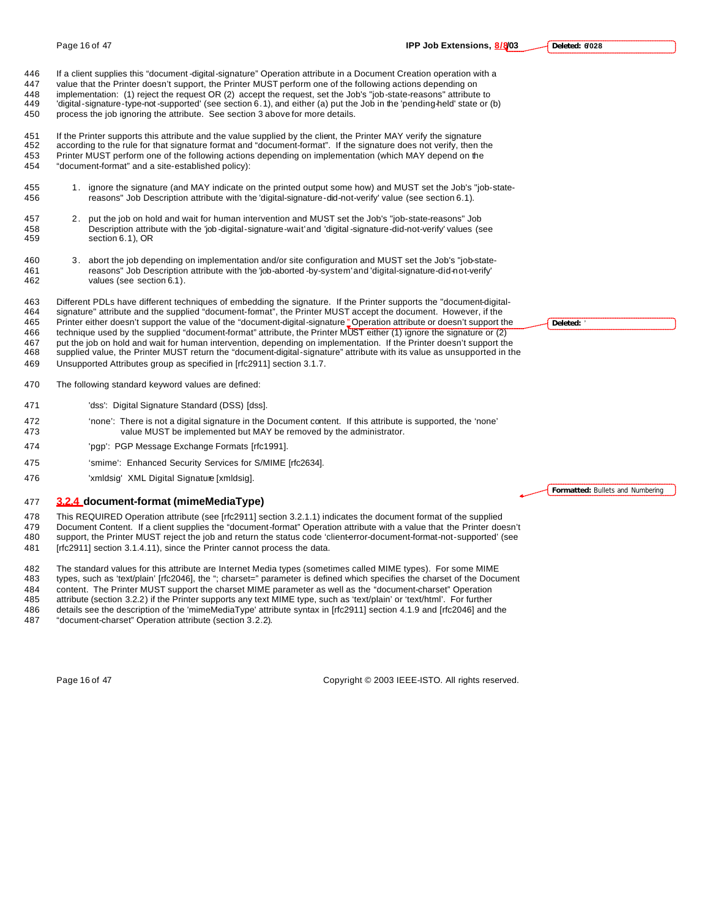**Deleted: 6/028**

 If a client supplies this "document -digital-signature" Operation attribute in a Document Creation operation with a value that the Printer doesn't support, the Printer MUST perform one of the following actions depending on implementation: (1) reject the request OR (2) accept the request, set the Job's "job-state-reasons" attribute to 'digital-signature-type-not -supported' (see section 6.1), and either (a) put the Job in the 'pending-held' state or (b) process the job ignoring the attribute. See section 3 above for more details.

 If the Printer supports this attribute and the value supplied by the client, the Printer MAY verify the signature according to the rule for that signature format and "document-format". If the signature does not verify, then the Printer MUST perform one of the following actions depending on implementation (which MAY depend on the "document-format" and a site-established policy):

- 1. ignore the signature (and MAY indicate on the printed output some how) and MUST set the Job's "job-state-reasons" Job Description attribute with the 'digital-signature-did-not-verify' value (see section 6.1).
- 2. put the job on hold and wait for human intervention and MUST set the Job's "job-state-reasons" Job Description attribute with the 'job -digital-signature-wait' and 'digital -signature-did-not-verify' values (see section 6.1), OR
- 3. abort the job depending on implementation and/or site configuration and MUST set the Job's "job-state- reasons" Job Description attribute with the 'job-aborted -by-system' and 'digital-signature-did-not-verify' values (see section 6.1).

 Different PDLs have different techniques of embedding the signature. If the Printer supports the "document-digital- signature" attribute and the supplied "document-format", the Printer MUST accept the document. However, if the Printer either doesn't support the value of the "document-digital-signature " Operation attribute or doesn't support the technique used by the supplied "document-format" attribute, the Printer MUST either (1) ignore the signature or (2) put the job on hold and wait for human intervention, depending on implementation. If the Printer doesn't support the supplied value, the Printer MUST return the "document-digital-signature" attribute with its value as unsupported in the Unsupported Attributes group as specified in [rfc2911] section 3.1.7.

- The following standard keyword values are defined:
- 'dss': Digital Signature Standard (DSS) [dss].
- 'none': There is not a digital signature in the Document content. If this attribute is supported, the 'none' value MUST be implemented but MAY be removed by the administrator.
- 'pgp': PGP Message Exchange Formats [rfc1991].
- 'smime': Enhanced Security Services for S/MIME [rfc2634].
- 476 'xmldsig' XML Digital Signature [xmldsig].

#### **3.2.4 document-format (mimeMediaType)**

 This REQUIRED Operation attribute (see [rfc2911] section 3.2.1.1) indicates the document format of the supplied Document Content. If a client supplies the "document-format" Operation attribute with a value that the Printer doesn't 480 support, the Printer MUST reject the job and return the status code 'clienterror-document-format-not-supported' (see 481 [rfc2911] section 3.1.4.11), since the Printer cannot process the data.

482 The standard values for this attribute are Internet Media types (sometimes called MIME types). For some MIME<br>483 types, such as 'text/plain' [rfc2046], the "; charset=" parameter is defined which specifies the charset

- types, such as 'text/plain' [rfc2046], the "; charset=" parameter is defined which specifies the charset of the Document
- content. The Printer MUST support the charset MIME parameter as well as the "document-charset" Operation attribute (section 3.2.2) if the Printer supports any text MIME type, such as 'text/plain' or 'text/html'. For further
- details see the description of the 'mimeMediaType' attribute syntax in [rfc2911] section 4.1.9 and [rfc2046] and the
- "document-charset" Operation attribute (section 3.2.2).

Page 16 of 47 Copyright © 2003 IEEE-ISTO. All rights reserved.

| Deleted: | ------------------- |
|----------|---------------------|
|          |                     |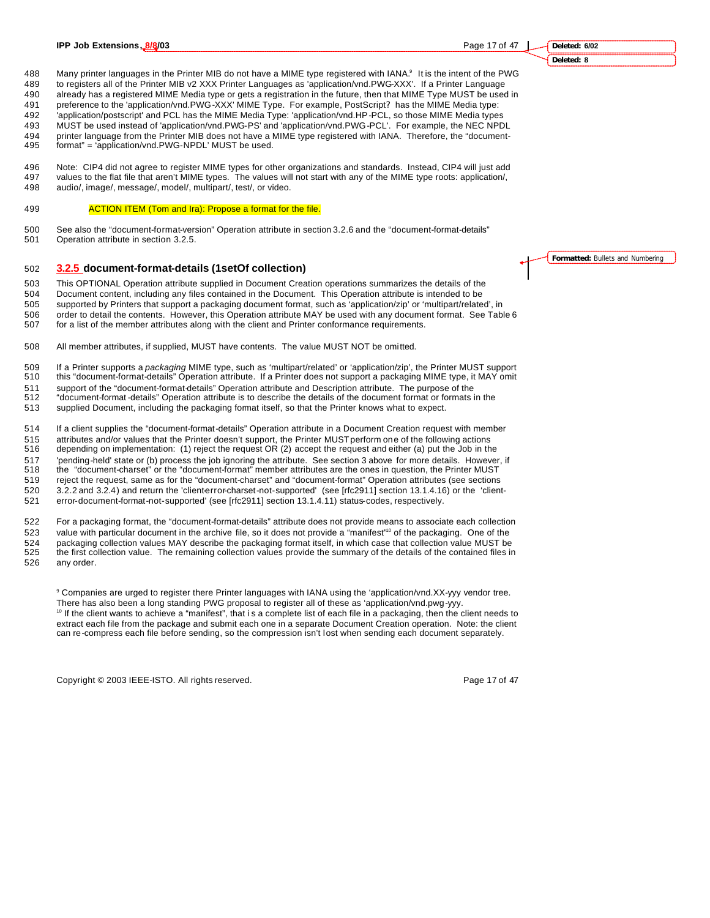488 Many printer languages in the Printer MIB do not have a MIME type registered with IANA.<sup>9</sup> It is the intent of the PWG to registers all of the Printer MIB v2 XXX Printer Languages as 'application/vnd.PWG-XXX'. If a Printer Language

already has a registered MIME Media type or gets a registration in the future, then that MIME Type MUST be used in

preference to the 'application/vnd.PWG-XXX' MIME Type. For example, PostScript? has the MIME Media type:

'application/postscript' and PCL has the MIME Media Type: 'application/vnd.HP-PCL, so those MIME Media types

MUST be used instead of 'application/vnd.PWG-PS' and 'application/vnd.PWG-PCL'. For example, the NEC NPDL

- printer language from the Printer MIB does not have a MIME type registered with IANA. Therefore, the "document-
- format" = 'application/vnd.PWG-NPDL' MUST be used.

 Note: CIP4 did not agree to register MIME types for other organizations and standards. Instead, CIP4 will just add values to the flat file that aren't MIME types. The values will not start with any of the MIME type roots: application/, audio/, image/, message/, model/, multipart/, test/, or video.

#### 499 ACTION ITEM (Tom and Ira): Propose a format for the file.

 See also the "document-format-version" Operation attribute in section 3.2.6 and the "document-format-details" Operation attribute in section 3.2.5.

#### **3.2.5 document-format-details (1setOf collection)**

This OPTIONAL Operation attribute supplied in Document Creation operations summarizes the details of the

 Document content, including any files contained in the Document. This Operation attribute is intended to be supported by Printers that support a packaging document format, such as 'application/zip' or 'multipart/related', in

506 order to detail the contents. However, this Operation attribute MAY be used with any document format. See Table 6<br>507 for a list of the member attributes along with the client and Printer conformance requirements. for a list of the member attributes along with the client and Printer conformance requirements.

- All member attributes, if supplied, MUST have contents. The value MUST NOT be omitted.
- If a Printer supports a *packaging* MIME type, such as 'multipart/related' or 'application/zip', the Printer MUST support

this "document-format-details" Operation attribute. If a Printer does not support a packaging MIME type, it MAY omit

 support of the "document-format-details" Operation attribute and Description attribute. The purpose of the "document-format -details" Operation attribute is to describe the details of the document format or formats in the

supplied Document, including the packaging format itself, so that the Printer knows what to expect.

If a client supplies the "document-format-details" Operation attribute in a Document Creation request with member

attributes and/or values that the Printer doesn't support, the Printer MUST perform one of the following actions

 depending on implementation: (1) reject the request OR (2) accept the request and either (a) put the Job in the 'pending-held' state or (b) process the job ignoring the attribute. See section 3 above for more details. However, if

the "document-charset" or the "document-format" member attributes are the ones in question, the Printer MUST

reject the request, same as for the "document-charset" and "document-format" Operation attributes (see sections

520 3.2.2 and 3.2.4) and return the 'client-error-charset-not-supported' (see [rfc2911] section 13.1.4.16) or the 'client-

error-document-format-not-supported' (see [rfc2911] section 13.1.4.11) status-codes, respectively.

 For a packaging format, the "document-format-details" attribute does not provide means to associate each collection value with particular document in the archive file, so it does not provide a "manifest"<sup>10</sup> of the packaging. One of the

 packaging collection values MAY describe the packaging format itself, in which case that collection value MUST be the first collection value. The remaining collection values provide the summary of the details of the contained files in

any order.

 Companies are urged to register there Printer languages with IANA using the 'application/vnd.XX-yyy vendor tree. There has also been a long standing PWG proposal to register all of these as 'application/vnd.pwg-yyy. <sup>10</sup> If the client wants to achieve a "manifest", that is a complete list of each file in a packaging, then the client needs to extract each file from the package and submit each one in a separate Document Creation operation. Note: the client can re-compress each file before sending, so the compression isn't lost when sending each document separately.

Copyright © 2003 IEEE-ISTO. All rights reserved. Page 17 of 47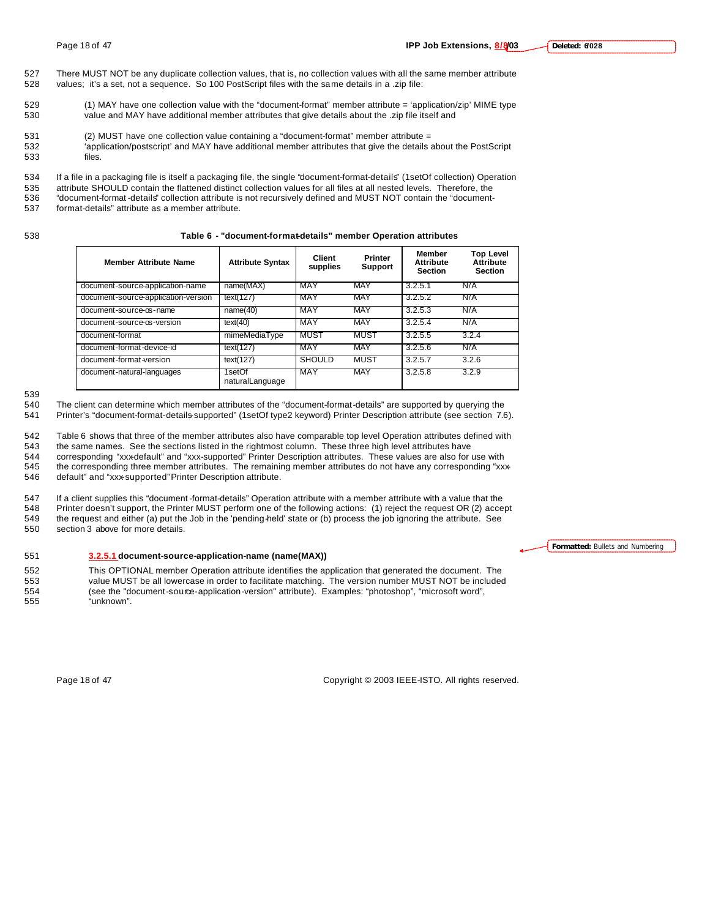- 527 There MUST NOT be any duplicate collection values, that is, no collection values with all the same member attribute 528 values; it's a set, not a sequence. So 100 PostScript files with the same details in a .zip file:
- 529 (1) MAY have one collection value with the "document-format" member attribute = 'application/zip' MIME type 530 value and MAY have additional member attributes that give details about the .zip file itself and
- 531 (2) MUST have one collection value containing a "document-format" member attribute =
- 532 'application/postscript' and MAY have additional member attributes that give the details about the PostScript 533 files.
- 534 If a file in a packaging file is itself a packaging file, the single "document-format-details" (1setOf collection) Operation 535 attribute SHOULD contain the flattened distinct collection values for all files at all nested levels. Therefore, the 536 "document-format -details" collection attribute is not recursively defined and MUST NOT contain the "document-
- 537 format-details" attribute as a member attribute.

#### 538 **Table 6 - "document-format-details" member Operation attributes**

| <b>Member Attribute Name</b>        | <b>Attribute Syntax</b>      | <b>Client</b><br>supplies | <b>Printer</b><br><b>Support</b> | <b>Member</b><br><b>Attribute</b><br><b>Section</b> | <b>Top Level</b><br><b>Attribute</b><br><b>Section</b> |
|-------------------------------------|------------------------------|---------------------------|----------------------------------|-----------------------------------------------------|--------------------------------------------------------|
| document-source-application-name    | name(MAX)                    | MAY                       | MAY                              | 3.2.5.1                                             | N/A                                                    |
| document-source-application-version | text(127)                    | MAY                       | MAY                              | 3.2.5.2                                             | N/A                                                    |
| document-source-os-name             | name(40)                     | MAY                       | <b>MAY</b>                       | 3.2.5.3                                             | N/A                                                    |
| document-source-os-version          | text(40)                     | MAY                       | <b>MAY</b>                       | 3.2.5.4                                             | N/A                                                    |
| document-format                     | mimeMediaType                | MUST                      | <b>MUST</b>                      | 3.2.5.5                                             | 3.2.4                                                  |
| document-format-device-id           | text(127)                    | MAY                       | <b>MAY</b>                       | 3.2.5.6                                             | N/A                                                    |
| document-format-version             | text(127)                    | <b>SHOULD</b>             | <b>MUST</b>                      | 3.2.5.7                                             | 3.2.6                                                  |
| document-natural-languages          | $1$ setOf<br>naturalLanguage | <b>MAY</b>                | <b>MAY</b>                       | 3.2.5.8                                             | 3.2.9                                                  |

539

542 Table 6 shows that three of the member attributes also have comparable top level Operation attributes defined with

543 the same names. See the sections listed in the rightmost column. These three high level attributes have

544 corresponding "xxx-default" and "xxx-supported" Printer Description attributes. These values are also for use with 545 the corresponding three member attributes. The remaining member attributes do not have any corresponding "xxx-

546 default" and "xxx-supported" Printer Description attribute.

547 If a client supplies this "document -format-details" Operation attribute with a member attribute with a value that the 548 Printer doesn't support, the Printer MUST perform one of the following actions: (1) reject the Printer doesn't support, the Printer MUST perform one of the following actions: (1) reject the request OR (2) accept the request and either (a) put the Job in the 'pending-held' state or (b) process the job ignoring the attribute. See section 3 above for more details.

#### 551 **3.2.5.1 document-source-application-name (name(MAX))**

 This OPTIONAL member Operation attribute identifies the application that generated the document. The value MUST be all lowercase in order to facilitate matching. The version number MUST NOT be included (see the "document-source-application-version" attribute). Examples: "photoshop", "microsoft word", "unknown".

**Formatted:** Bullets and Numbering

Page 18 of 47 Copyright © 2003 IEEE-ISTO. All rights reserved.

<sup>540</sup> The client can determine which member attributes of the "document-format-details" are supported by querying the 541 Printer's "document-format-details-supported" (1setOf type2 keyword) Printer Description attribute (see section 7.6).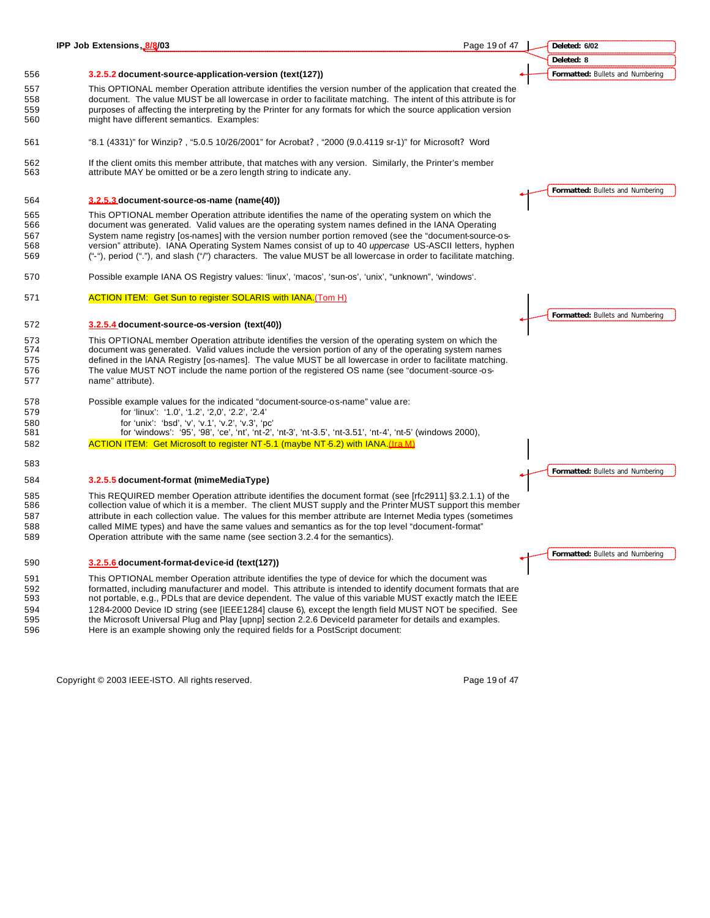|            | IPP Job Extensions, 8/8/03<br>Page 19 of 47                                                                                                                                                         |  | Deleted: 6/02                    |
|------------|-----------------------------------------------------------------------------------------------------------------------------------------------------------------------------------------------------|--|----------------------------------|
|            |                                                                                                                                                                                                     |  | Deleted: 8                       |
| 556        | 3.2.5.2 document-source-application-version (text(127))                                                                                                                                             |  | Formatted: Bullets and Numbering |
| 557        | This OPTIONAL member Operation attribute identifies the version number of the application that created the                                                                                          |  |                                  |
| 558        | document. The value MUST be all lowercase in order to facilitate matching. The intent of this attribute is for                                                                                      |  |                                  |
| 559        | purposes of affecting the interpreting by the Printer for any formats for which the source application version                                                                                      |  |                                  |
| 560        | might have different semantics. Examples:                                                                                                                                                           |  |                                  |
| 561        | "8.1 (4331)" for Winzip?, "5.0.5 10/26/2001" for Acrobat?, "2000 (9.0.4119 sr-1)" for Microsoft? Word                                                                                               |  |                                  |
| 562<br>563 | If the client omits this member attribute, that matches with any version. Similarly, the Printer's member<br>attribute MAY be omitted or be a zero length string to indicate any.                   |  |                                  |
| 564        | 3.2.5.3 document-source-os-name (name(40))                                                                                                                                                          |  | Formatted: Bullets and Numbering |
| 565        | This OPTIONAL member Operation attribute identifies the name of the operating system on which the                                                                                                   |  |                                  |
| 566        | document was generated. Valid values are the operating system names defined in the IANA Operating                                                                                                   |  |                                  |
| 567        | System name registry [os-names] with the version number portion removed (see the "document-source-os-                                                                                               |  |                                  |
| 568        | version" attribute). IANA Operating System Names consist of up to 40 uppercase US-ASCII letters, hyphen                                                                                             |  |                                  |
| 569        | ("-"), period ("."), and slash ("/") characters. The value MUST be all lowercase in order to facilitate matching.                                                                                   |  |                                  |
| 570        | Possible example IANA OS Registry values: 'linux', 'macos', 'sun-os', 'unix', "unknown", 'windows'.                                                                                                 |  |                                  |
| 571        | <b>ACTION ITEM: Get Sun to register SOLARIS with IANA.</b> (Tom H)                                                                                                                                  |  |                                  |
|            |                                                                                                                                                                                                     |  |                                  |
| 572        | 3.2.5.4 document-source-os-version (text(40))                                                                                                                                                       |  | Formatted: Bullets and Numbering |
| 573        | This OPTIONAL member Operation attribute identifies the version of the operating system on which the                                                                                                |  |                                  |
| 574        | document was generated. Valid values include the version portion of any of the operating system names                                                                                               |  |                                  |
| 575        | defined in the IANA Registry [os-names]. The value MUST be all lowercase in order to facilitate matching.                                                                                           |  |                                  |
| 576        | The value MUST NOT include the name portion of the registered OS name (see "document-source-os-                                                                                                     |  |                                  |
| 577        | name" attribute).                                                                                                                                                                                   |  |                                  |
| 578        | Possible example values for the indicated "document-source-os-name" value are:                                                                                                                      |  |                                  |
| 579        | for 'linux': '1.0', '1.2', '2,0', '2.2', '2.4'                                                                                                                                                      |  |                                  |
| 580<br>581 | for 'unix': 'bsd', 'v', 'v.1', 'v.2', 'v.3', 'pc'                                                                                                                                                   |  |                                  |
| 582        | for 'windows': '95', '98', 'ce', 'nt', 'nt-2', 'nt-3', 'nt-3.5', 'nt-3.51', 'nt-4', 'nt-5' (windows 2000),<br><b>ACTION ITEM:</b> Get Microsoft to register NT-5.1 (maybe NT-5.2) with IANA.(Ira M) |  |                                  |
|            |                                                                                                                                                                                                     |  |                                  |
| 583        |                                                                                                                                                                                                     |  | Formatted: Bullets and Numbering |
| 584        | 3.2.5.5 document-format (mimeMediaType)                                                                                                                                                             |  |                                  |
| 585        | This REQUIRED member Operation attribute identifies the document format (see [rfc2911] §3.2.1.1) of the                                                                                             |  |                                  |
| 586        | collection value of which it is a member. The client MUST supply and the Printer MUST support this member                                                                                           |  |                                  |
| 587        | attribute in each collection value. The values for this member attribute are Internet Media types (sometimes                                                                                        |  |                                  |
| 588        | called MIME types) and have the same values and semantics as for the top level "document-format"                                                                                                    |  |                                  |
| 589        | Operation attribute with the same name (see section 3.2.4 for the semantics).                                                                                                                       |  |                                  |
| 590        | 3.2.5.6 document-format-device-id (text(127))                                                                                                                                                       |  | Formatted: Bullets and Numbering |
| 591        | This OPTIONAL member Operation attribute identifies the type of device for which the document was                                                                                                   |  |                                  |
| 592        | formatted, including manufacturer and model. This attribute is intended to identify document formats that are                                                                                       |  |                                  |
| 593        | not portable, e.g., PDLs that are device dependent. The value of this variable MUST exactly match the IEEE                                                                                          |  |                                  |
| 594        | 1284-2000 Device ID string (see [IEEE1284] clause 6), except the length field MUST NOT be specified. See                                                                                            |  |                                  |
| 595        | the Microsoft Universal Plug and Play [upnp] section 2.2.6 Deviceld parameter for details and examples.                                                                                             |  |                                  |
| 596        | Here is an example showing only the required fields for a PostScript document:                                                                                                                      |  |                                  |
|            |                                                                                                                                                                                                     |  |                                  |

Copyright © 2003 IEEE-ISTO. All rights reserved. example 2003 19 of 47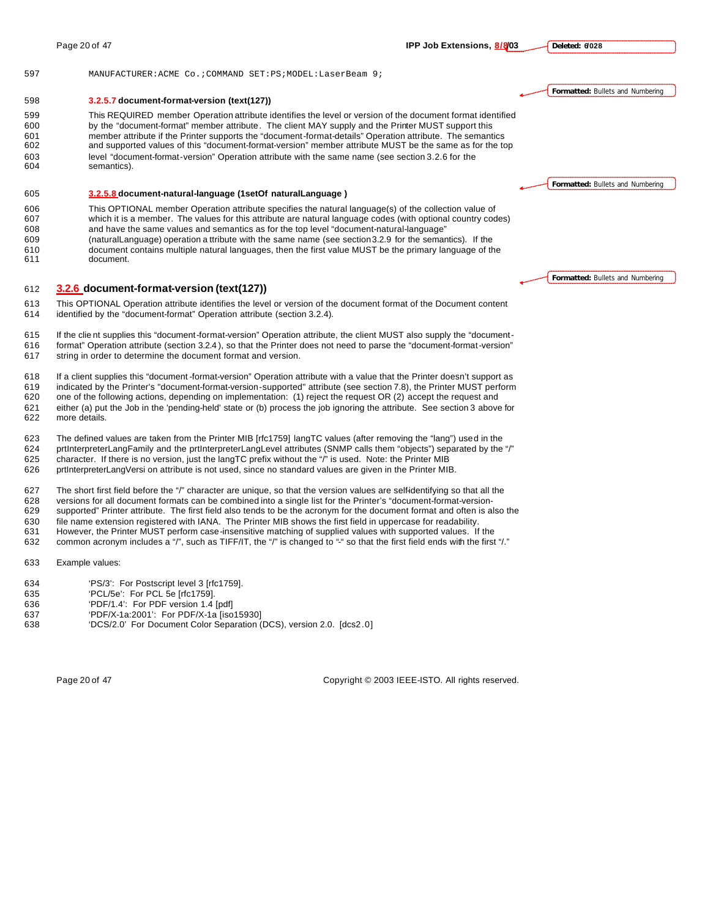**Deleted: 6/028**

**Formatted:** Bullets and Numbering

**Formatted:** Bullets and Numbering

#### MANUFACTURER:ACME Co.;COMMAND SET:PS;MODEL:LaserBeam 9;

#### **3.2.5.7 document-format-version (text(127))**

 This REQUIRED member Operation attribute identifies the level or version of the document format identified by the "document-format" member attribute. The client MAY supply and the Printer MUST support this member attribute if the Printer supports the "document-format-details" Operation attribute. The semantics and supported values of this "document-format-version" member attribute MUST be the same as for the top level "document-format-version" Operation attribute with the same name (see section 3.2.6 for the semantics).

#### **3.2.5.8 document-natural-language (1setOf naturalLanguage )**

 This OPTIONAL member Operation attribute specifies the natural language(s) of the collection value of which it is a member. The values for this attribute are natural language codes (with optional country codes)

and have the same values and semantics as for the top level "document-natural-language"

 (naturalLanguage) operation a ttribute with the same name (see section 3.2.9 for the semantics). If the document contains multiple natural languages, then the first value MUST be the primary language of the document.

#### **3.2.6 document-format-version (text(127))**

 This OPTIONAL Operation attribute identifies the level or version of the document format of the Document content identified by the "document-format" Operation attribute (section 3.2.4).

 If the clie nt supplies this "document-format-version" Operation attribute, the client MUST also supply the "document- format" Operation attribute (section 3.2.4 ), so that the Printer does not need to parse the "document-format-version" string in order to determine the document format and version.

 If a client supplies this "document -format-version" Operation attribute with a value that the Printer doesn't support as indicated by the Printer's "document-format-version-supported" attribute (see section 7.8), the Printer MUST perform one of the following actions, depending on implementation: (1) reject the request OR (2) accept the request and either (a) put the Job in the 'pending-held' state or (b) process the job ignoring the attribute. See section 3 above for

more details.

The defined values are taken from the Printer MIB [rfc1759] langTC values (after removing the "lang") used in the

 prtInterpreterLangFamily and the prtInterpreterLangLevel attributes (SNMP calls them "objects") separated by the "/" character. If there is no version, just the langTC prefix without the "/" is used. Note: the Printer MIB

prtInterpreterLangVersi on attribute is not used, since no standard values are given in the Printer MIB.

 The short first field before the "/" character are unique, so that the version values are self-identifying so that all the versions for all document formats can be combined into a single list for the Printer's "document-format-version- supported" Printer attribute. The first field also tends to be the acronym for the document format and often is also the file name extension registered with IANA. The Printer MIB shows the first field in uppercase for readability. However, the Printer MUST perform case-insensitive matching of supplied values with supported values. If the

632 common acronym includes a "/", such as TIFF/IT, the "/" is changed to "-" so that the first field ends with the first "/."

Example values:

- 'PS/3': For Postscript level 3 [rfc1759].
- 'PCL/5e': For PCL 5e [rfc1759].
- 'PDF/1.4': For PDF version 1.4 [pdf]
- 'PDF/X-1a:2001': For PDF/X-1a [iso15930]
- 'DCS/2.0' For Document Color Separation (DCS), version 2.0. [dcs2.0]

Page 20 of 47 Copyright © 2003 IEEE-ISTO. All rights reserved.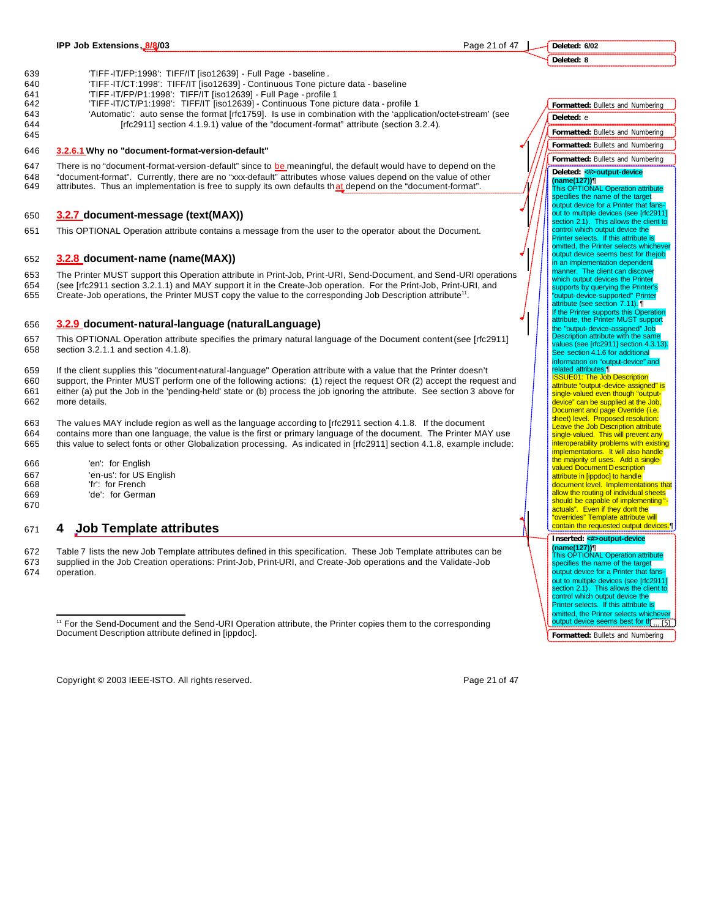**Deleted: 6/02 Deleted: 8**

- 639 'TIFF-IT/FP:1998': TIFF/IT [iso12639] Full Page baseline .
- 640 'TIFF-IT/CT:1998': TIFF/IT [iso12639] Continuous Tone picture data baseline
- 641 'TIFF-IT/FP/P1:1998': TIFF/IT [iso12639] Full Page profile 1
- 642 'TIFF-IT/CT/P1:1998': TIFF/IT [iso12639] Continuous Tone picture data profile 1
- 643 'Automatic': auto sense the format [rfc1759]. Is use in combination with the 'application/octet-stream' (see 644 [rfc2911] section 4.1.9.1) value of the "document-format" attribute (section 3.2.4). 645

#### 646 **3.2.6.1 Why no "document-format-version-default"**

647 There is no "document-format-version-default" since to be meaningful, the default would have to depend on the 648 "document-format". Currently, there are no "xxx-default" attributes whose values depend on the value of other 649 attributes. Thus an implementation is free to supply its own defaults that depend on the "document-format".

#### 650 **3.2.7 document-message (text(MAX))**

651 This OPTIONAL Operation attribute contains a message from the user to the operator about the Document.

#### 652 **3.2.8 document-name (name(MAX))**

653 The Printer MUST support this Operation attribute in Print-Job, Print-URI, Send-Document, and Send-URI operations 654 (see [rfc2911 section 3.2.1.1) and MAY support it in the Create-Job operation. For the Print-Job, Print-URI, and

655 Create-Job operations, the Printer MUST copy the value to the corresponding Job Description attribute<sup>11</sup>.

#### 656 **3.2.9 document-natural-language (naturalLanguage)**

- 657 This OPTIONAL Operation attribute specifies the primary natural language of the Document content (see [rfc2911] 658 section 3.2.1.1 and section 4.1.8).
- 659 If the client supplies this "document-natural-language" Operation attribute with a value that the Printer doesn't 660 support, the Printer MUST perform one of the following actions: (1) reject the request OR (2) accept the request and 661 either (a) put the Job in the 'pending-held' state or (b) process the job ignoring the attribute. See section 3 above for 662 more details.
- 663 The values MAY include region as well as the language according to [rfc2911 section 4.1.8. If the document 664 contains more than one language, the value is the first or primary language of the document. The Printer MAY use 665 this value to select fonts or other Globalization processing. As indicated in [rfc2911] section 4.1.8, example include:
- 666 'en': for English 667 'en-us': for US English 668 'fr': for French
- 669 'de': for German

## <sup>671</sup> **4 Job Template attributes**

672 Table 7 lists the new Job Template attributes defined in this specification. These Job Template attributes can be 673 supplied in the Job Creation operations: Print-Job, Print-URI, and Create-Job operations and the Validate-Job

674 operation.

 $\overline{a}$ 

670

Copyright © 2003 IEEE-ISTO. All rights reserved. Page 21 of 47

**Formatted:** Bullets and Numbering

... [5]

out to multiple devices (see [rfc2911] section 2.1). This allows the client to control which output device the Printer selects. If this attribute is omitted, the Printer selects whichever<br>output device seems best for the light

<sup>&</sup>lt;sup>11</sup> For the Send-Document and the Send-URI Operation attribute, the Printer copies them to the corresponding Document Description attribute defined in [ippdoc].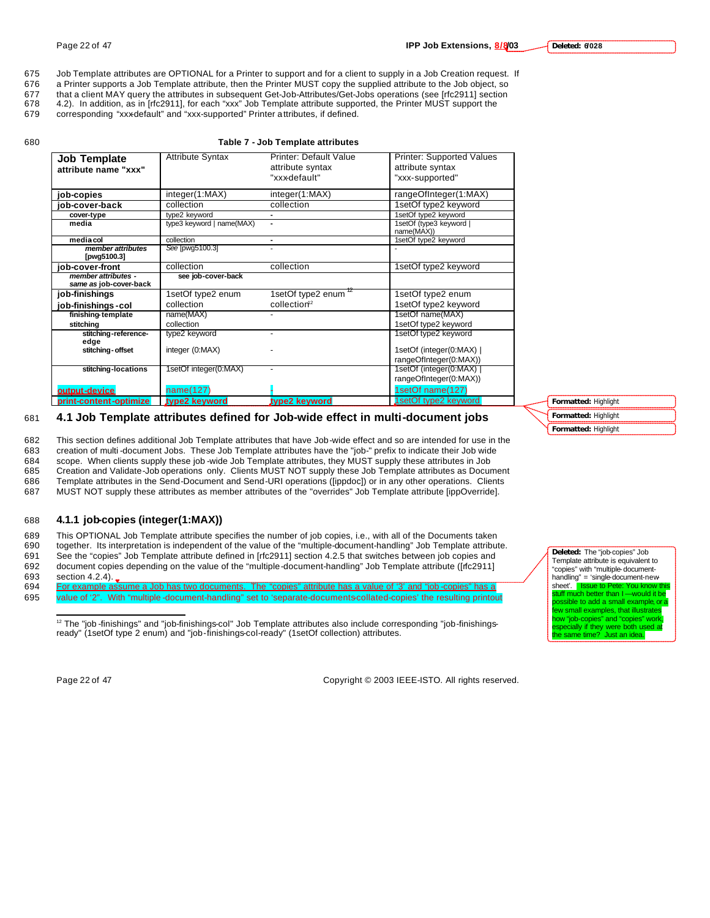- 676 a Printer supports a Job Template attribute, then the Printer MUST copy the supplied attribute to the Job object, so
- 677 that a client MAY query the attributes in subsequent Get-Job-Attributes/Get-Jobs operations (see [rfc2911] section<br>678 4.2). In addition, as in [rfc2911], for each "xxx" Job Template attribute supported, the Printer MU
- 4.2). In addition, as in [rfc2911], for each "xxx" Job Template attribute supported, the Printer MUST support the
- 679 corresponding "xxx-default" and "xxx-supported" Printer attributes, if defined.

#### 680 **Table 7 - Job Template attributes**

| <b>Job Template</b><br>attribute name "xxx"   | <b>Attribute Syntax</b>   | Printer: Default Value<br>attribute syntax | <b>Printer: Supported Values</b><br>attribute syntax |
|-----------------------------------------------|---------------------------|--------------------------------------------|------------------------------------------------------|
|                                               |                           | "xxx-default"                              | "xxx-supported"                                      |
| job-copies                                    | integer(1:MAX)            | integer(1:MAX)                             | rangeOfInteger(1:MAX)                                |
| iob-cover-back                                | collection                | collection                                 | 1setOf type2 keyword                                 |
| cover-type                                    | type2 keyword             |                                            | 1setOf type2 keyword                                 |
| media                                         | type3 keyword   name(MAX) |                                            | 1setOf (type3 keyword  <br>name(MAX))                |
| media col                                     | collection                | ۰                                          | 1setOf type2 keyword                                 |
| member attributes<br>[pwg5100.3]              | See [pwq5100.3]           |                                            |                                                      |
| iob-cover-front                               | collection                | collection                                 | 1setOf type2 keyword                                 |
| member attributes -<br>same as job-cover-back | see job-cover-back        |                                            |                                                      |
| job-finishings                                | 1setOf type2 enum         | 1setOf type2 enum <sup>12</sup>            | 1setOf type2 enum                                    |
| job-finishings-col                            | collection                | collection <sup>12</sup>                   | 1setOf type2 keyword                                 |
| finishing-template                            | name(MAX)                 |                                            | 1setOf name(MAX)                                     |
| stitching                                     | collection                |                                            | 1setOf type2 keyword                                 |
| stitching-reference-<br>edge                  | type2 keyword             |                                            | 1setOf type2 keyword                                 |
| stitching-offset                              | integer (0:MAX)           |                                            | 1setOf (integer(0:MAX)  <br>rangeOfInteger(0:MAX))   |
| stitching-locations                           | 1setOf integer(0:MAX)     |                                            | 1setOf (integer(0:MAX)                               |
|                                               |                           |                                            | rangeOfInteger(0:MAX))                               |
| output-device                                 | name(127)                 |                                            | 1setOf name(127)                                     |
| print-content-optimize                        | type2 keyword             | type2 keyword                              | 1setOf type2 keyword                                 |

## 681 **4.1 Job Template attributes defined for Job-wide effect in multi-document jobs**

 This section defines additional Job Template attributes that have Job-wide effect and so are intended for use in the creation of multi -document Jobs. These Job Template attributes have the "job-" prefix to indicate their Job wide 684 scope. When clients supply these job -wide Job Template attributes, they MUST supply these attributes in Job<br>685 Creation and Validate Job operations only. Clients MUST NOT supply these Job Template attributes as Docur Creation and Validate-Job operations only. Clients MUST NOT supply these Job Template attributes as Document

686 Template attributes in the Send-Document and Send-URI operations ([ippdoc]) or in any other operations. Clients

687 MUST NOT supply these attributes as member attributes of the "overrides" Job Template attribute [ippOverride].

## 688 **4.1.1 job-copies (integer(1:MAX))**

 This OPTIONAL Job Template attribute specifies the number of job copies, i.e., with all of the Documents taken together. Its interpretation is independent of the value of the "multiple-document-handling" Job Template attribute. See the "copies" Job Template attribute defined in [rfc2911] section 4.2.5 that switches between job copies and document copies depending on the value of the "multiple-document-handling" Job Template attribute ([rfc2911]

- 693 section 4.2.4).
- 694 For example assume a Job has two documents. The "copies" attribute has a value of '3' and "job -copies" has a 695 value of '2". With "multiple -document-handling" set to 'separate-documents-collated-copies' the resulting printout

 $\overline{a}$ 

Page 22 of 47 Copyright © 2003 IEEE-ISTO. All rights reserved.

**Formatted:** Highlight **Formatted:** Highlight **Formatted:** Highlight

Template attribute is equivalent to "copies" with "multiple-documenthandling" = 'single-document-newsheet'. **Issue to Pete: You know this stuff much better than I** — would it be  $\frac{1}{2}$  much better than I. ssible to add a small example, or a few small examples, that illustrates how "job-copies" and "copies" work, especially if they were both used at<br>the same time? Just an idea.

**Deleted:** The "job-copies" Job

<sup>&</sup>lt;sup>12</sup> The "job -finishings" and "job-finishings-col" Job Template attributes also include corresponding "job-finishingsready" (1setOf type 2 enum) and "job-finishings-col-ready" (1setOf collection) attributes.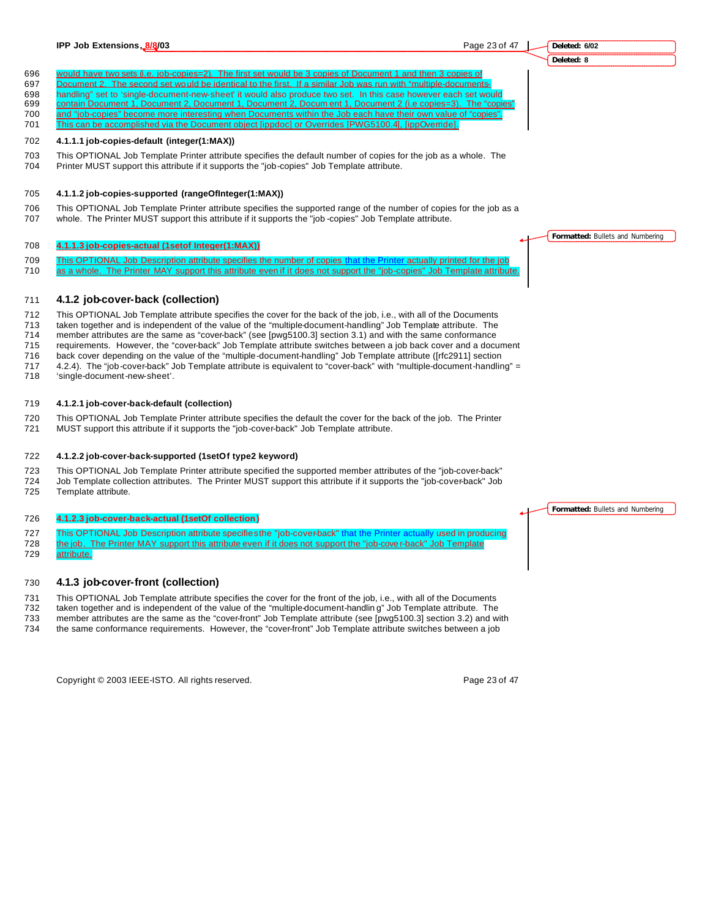This can be accomplished via the Document object [ippdoc] or Overrides [PWG5100.4], [ippOverride].

### **4.1.1.1 job-copies-default (integer(1:MAX))**

 This OPTIONAL Job Template Printer attribute specifies the default number of copies for the job as a whole. The Printer MUST support this attribute if it supports the "job-copies" Job Template attribute.

#### **4.1.1.2 job-copies-supported (rangeOfInteger(1:MAX))**

 This OPTIONAL Job Template Printer attribute specifies the supported range of the number of copies for the job as a whole. The Printer MUST support this attribute if it supports the "job -copies" Job Template attribute.

#### **4.1.1.3 job-copies-actual (1setof Integer(1:MAX))**

 This OPTIONAL Job Description attribute specifies the number of copies that the Printer actually printed for the job 710 as a whole. The Printer MAY support this attribute even if it does not support the "job-copies" Job Template attribute

#### **4.1.2 job-cover-back (collection)**

 This OPTIONAL Job Template attribute specifies the cover for the back of the job, i.e., with all of the Documents taken together and is independent of the value of the "multiple-document-handling" Job Template attribute. The member attributes are the same as "cover-back" (see [pwg5100.3] section 3.1) and with the same conformance requirements. However, the "cover-back" Job Template attribute switches between a job back cover and a document back cover depending on the value of the "multiple-document-handling" Job Template attribute ([rfc2911] section

717 4.2.4). The "job-cover-back" Job Template attribute is equivalent to "cover-back" with "multiple-document-handling" =<br>718 Single-document-new-sheet'.

'single-document-new-sheet'.

#### **4.1.2.1 job-cover-back-default (collection)**

This OPTIONAL Job Template Printer attribute specifies the default the cover for the back of the job. The Printer

MUST support this attribute if it supports the "job-cover-back" Job Template attribute.

#### **4.1.2.2 job-cover-back-supported (1setOf type2 keyword)**

 This OPTIONAL Job Template Printer attribute specified the supported member attributes of the "job-cover-back" Job Template collection attributes. The Printer MUST support this attribute if it supports the "job-cover-back" Job Template attribute.

#### **4.1.2.3 job-cover-back-actual (1setOf collection)**

727 This OPTIONAL Job Description attribute specifies the "job-cover-back" that the Printer actually used in producing the job. The Printer MAY support this attribute even if it does not support the "job-cove r-back" Job Template

attribute.

#### **4.1.3 job-cover-front (collection)**

This OPTIONAL Job Template attribute specifies the cover for the front of the job, i.e., with all of the Documents

 taken together and is independent of the value of the "multiple-document-handlin g" Job Template attribute. The member attributes are the same as the "cover-front" Job Template attribute (see [pwg5100.3] section 3.2) and with

the same conformance requirements. However, the "cover-front" Job Template attribute switches between a job

Copyright © 2003 IEEE-ISTO. All rights reserved. Copyright C 2003 IEEE-ISTO. All rights reserved.

**Formatted:** Bullets and Numbering

**Formatted:** Bullets and Numbering

**IPP Job Extensions, 8/8/03 Page 23 of 47** 

**Deleted: 6/02 Deleted: 8**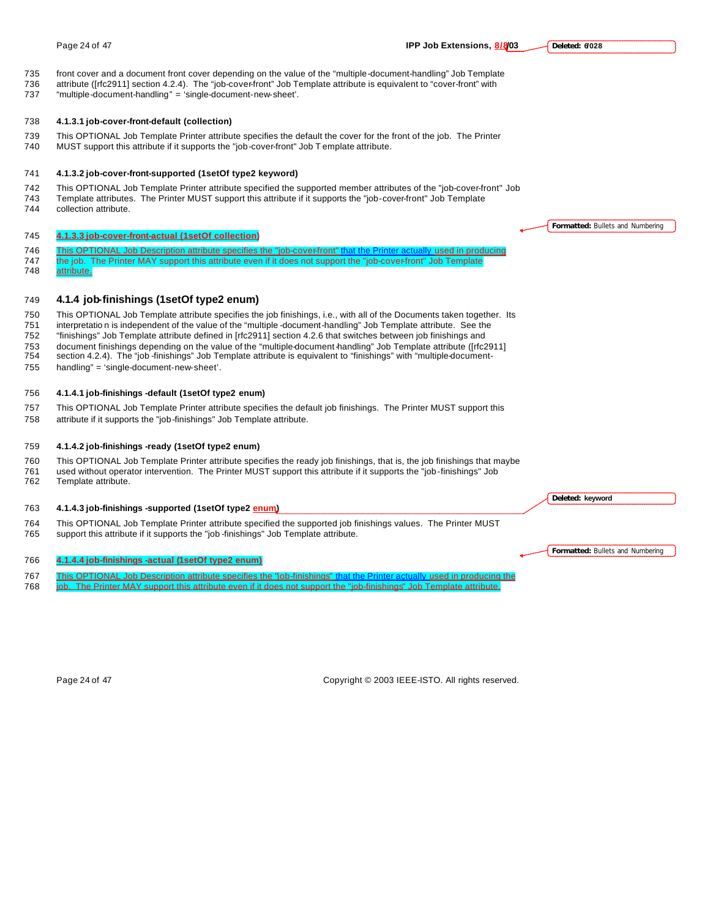front cover and a document front cover depending on the value of the "multiple-document-handling" Job Template attribute ([rfc2911] section 4.2.4). The "job-cover-front" Job Template attribute is equivalent to "cover-front" with "multiple-document-handling" = 'single-document-new-sheet'. **4.1.3.1 job-cover-front-default (collection)** This OPTIONAL Job Template Printer attribute specifies the default the cover for the front of the job. The Printer MUST support this attribute if it supports the "job-cover-front" Job T emplate attribute. **4.1.3.2 job-cover-front-supported (1setOf type2 keyword)** This OPTIONAL Job Template Printer attribute specified the supported member attributes of the "job-cover-front" Job Template attributes. The Printer MUST support this attribute if it supports the "job-cover-front" Job Template collection attribute. **4.1.3.3 job-cover-front-actual (1setOf collection)** 746 This OPTIONAL Job Description attribute specifies the "job-cover-front" that the Printer actually used in producing 747 the job. The Printer MAY support this attribute even if it does not support the "job-cover-front" Job Template attribute. **4.1.4 job-finishings (1setOf type2 enum)** This OPTIONAL Job Template attribute specifies the job finishings, i.e., with all of the Documents taken together. Its interpretatio n is independent of the value of the "multiple -document-handling" Job Template attribute. See the "finishings" Job Template attribute defined in [rfc2911] section 4.2.6 that switches between job finishings and document finishings depending on the value of the "multiple-document-handling" Job Template attribute ([rfc2911] section 4.2.4). The "job -finishings" Job Template attribute is equivalent to "finishings" with "multiple-document- handling" = 'single-document-new-sheet'. **4.1.4.1 job-finishings -default (1setOf type2 enum)** This OPTIONAL Job Template Printer attribute specifies the default job finishings. The Printer MUST support this attribute if it supports the "job-finishings" Job Template attribute. **4.1.4.2 job-finishings -ready (1setOf type2 enum)** This OPTIONAL Job Template Printer attribute specifies the ready job finishings, that is, the job finishings that maybe used without operator intervention. The Printer MUST support this attribute if it supports the "job-finishings" Job Template attribute. **4.1.4.3 job-finishings -supported (1setOf type2 enum)** This OPTIONAL Job Template Printer attribute specified the supported job finishings values. The Printer MUST support this attribute if it supports the "job -finishings" Job Template attribute. **Formatted:** Bullets and Numbering **Deleted: keyword**

#### **4.1.4.4 job-finishings -actual (1setOf type2 enum)**

- This OPTIONAL Job Description attribute specifies the "job-finishings" that the Printer actually used in producing the
- job. The Printer MAY support this attribute even if it does not support the "job-finishings" Job Template attribute.

Page 24 of 47 Copyright © 2003 IEEE-ISTO. All rights reserved.

#### Page 24 of 47 **IPP Job Extensions, 8/8/03**

**Deleted: 6/028**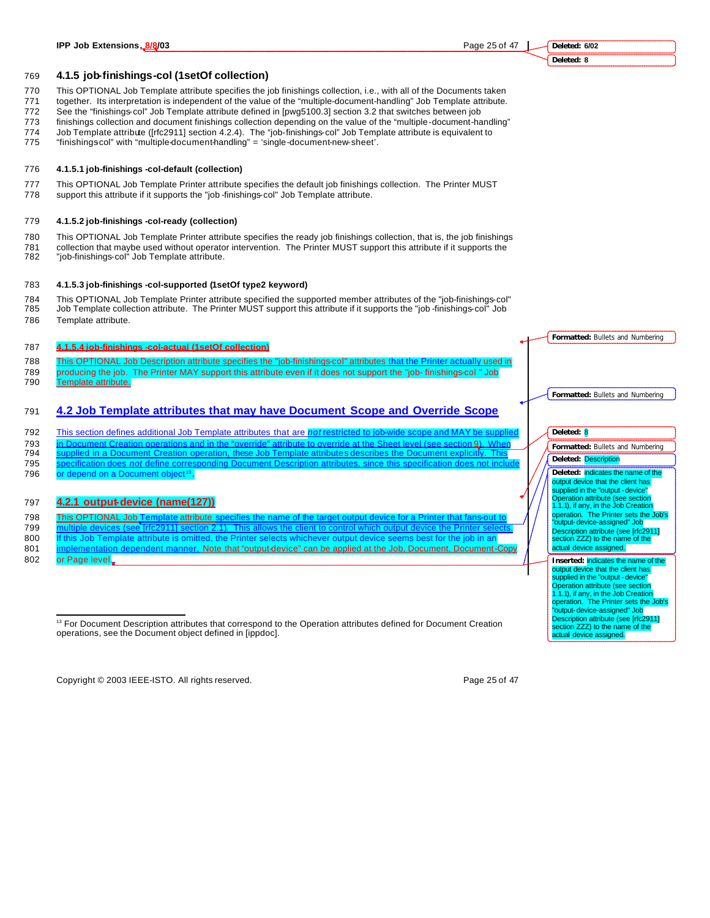**Deleted: 8**

**Formatted:** Bullets and Numbering

**Formatted:** Bullets and Numbering

**Formatted:** Bullets and Numbering

**Deleted:** indicates the name of the output device that the client has supplied in the "output - device" Operation attribute (see section 1.1.1), if any, in the Job Creation operation. The Printer sets the Job's "output-device-assigned" Job Description attribute (see [rfc2911] section ZZZ) to the name of the actual device assigned. **Inserted:** indicates the name of the output device that the client has supplied in the "output - device" Operation attribute (see section 1.1.1), if any, in the Job Creation operation. The Printer sets the Job's "output-device-assigned" Job Description attribute (see [rfc2911] ection ZZZ) to the name of the actual device assigned.

**Deleted:** 8

**Deleted:** Description

769 **4.1.5 job-finishings-col (1setOf collection)**

770 This OPTIONAL Job Template attribute specifies the job finishings collection, i.e., with all of the Documents taken

- 771 together. Its interpretation is independent of the value of the "multiple-document-handling" Job Template attribute.
- 772 See the "finishings-col" Job Template attribute defined in [pwg5100.3] section 3.2 that switches between job
- 773 finishings collection and document finishings collection depending on the value of the "multiple-document-handling"
- 774 Job Template attribute ([rfc2911] section 4.2.4). The "job-finishings-col" Job Template attribute is equivalent to
- 775 "finishingscol" with "multiple-document-handling" = 'single-document-new-sheet'.

#### 776 **4.1.5.1 job-finishings -col-default (collection)**

- 777 This OPTIONAL Job Template Printer attribute specifies the default job finishings collection. The Printer MUST
- 778 support this attribute if it supports the "job -finishings-col" Job Template attribute.

#### 779 **4.1.5.2 job-finishings -col-ready (collection)**

- 780 This OPTIONAL Job Template Printer attribute specifies the ready job finishings collection, that is, the job finishings
- 781 collection that maybe used without operator intervention. The Printer MUST support this attribute if it supports the<br>782 "job-finishings-col" Job Template attribute. "job-finishings-col" Job Template attribute.
- 

#### 783 **4.1.5.3 job-finishings -col-supported (1setOf type2 keyword)**

- 784 This OPTIONAL Job Template Printer attribute specified the supported member attributes of the "job-finishings-col" 785 Job Template collection attribute. The Printer MUST support this attribute if it supports the "job -finishings-col" Job 786 Template attribute.
- 

#### 787 **4.1.5.4 job-finishings -col-actual (1setOf collection)**

788 This OPTIONAL Job Description attribute specifies the "job-finishings-col" attributes that the Printer actually used in 789 producing the job. The Printer MAY support this attribute even if it does not support the "job- finishings-col " Job

790 Template attribute.

## 791 **4.2 Job Template attributes that may have Document Scope and Override Scope**

- 792 This section defines additional Job Template attributes that are restricted to  $\overline{r}$
- 793 in Document Creation operations and in the "override" attribute to override at the Sheet level (see section 9).<br>794 supplied in a Document Creation operation, these Job Template attributes describes the Document explic
- 794 supplied in a Document Creation operation, these Job Template attributes describes the Document explicitly. This 795 specification does *not* define corresponding Document Description attributes, since this specification does not include
- 796 or depend on a Document object<sup>13</sup>.

## 797 **4.2.1 output-device (name(127))**

798 This OPTIONAL Job Template attribute s

- 799 multiple devices (see [rfc2911] section 2.1). This allows the client to control which output de
- 800 If this Job Template attribute is omitted, the Printer selects whichever output device seems best for the job in an 801 implementation dependent manner. Note that "output-device" can be applied at the Job, Document, Document-Copy
- 802 or Page level.

 $\overline{a}$ 

<sup>13</sup> For Document Description attributes that correspond to the Operation attributes defined for Document Creation operations, see the Document object defined in [ippdoc].

Copyright © 2003 IEEE-ISTO. All rights reserved. Copyright C 2003 IEEE-ISTO. All rights reserved.

## **Deleted: 6/02**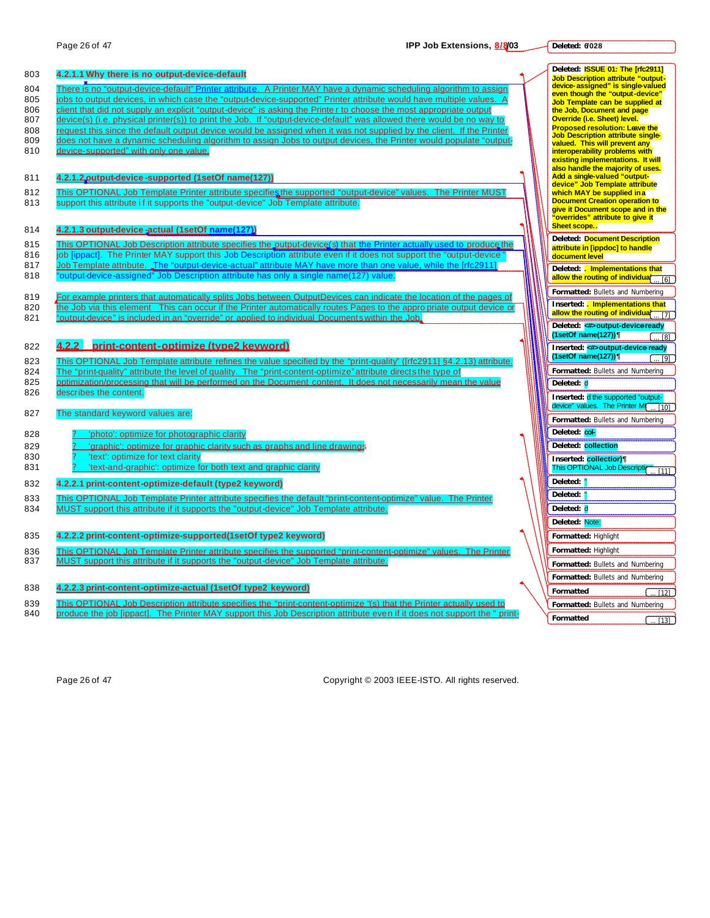**Deleted: 6/028**

| 803        | 4.2.1.1 Why there is no output-device-default                                                                                                                                                                                                   | Deleted: <b>ISSUE 01: The [rfc2911]</b><br><b>Job Description attribute "output-</b> |
|------------|-------------------------------------------------------------------------------------------------------------------------------------------------------------------------------------------------------------------------------------------------|--------------------------------------------------------------------------------------|
| 804        | There is no "output-device-default" Printer attribute. A Printer MAY have a dynamic scheduling algorithm to assign                                                                                                                              | device-assigned" is single-valued<br>even though the "output-device"                 |
| 805        | jobs to output devices, in which case the "output-device-supported" Printer attribute would have multiple values. A                                                                                                                             | Job Template can be supplied at                                                      |
| 806        | client that did not supply an explicit "output-device" is asking the Printe r to choose the most appropriate output                                                                                                                             | the Job, Document and page                                                           |
| 807<br>808 | device(s) (i.e. physical printer(s)) to print the Job. If "output-device-default" was allowed there would be no way to<br>request this since the default output device would be assigned when it was not supplied by the client. If the Printer | Override (i.e. Sheet) level.<br><b>Proposed resolution: Leave the</b>                |
| 809        | does not have a dynamic scheduling algorithm to assign Jobs to output devices, the Printer would populate "output-                                                                                                                              | <b>Job Description attribute single-</b>                                             |
| 810        | device-supported" with only one value.                                                                                                                                                                                                          | valued. This will prevent any<br>interoperability problems with                      |
|            |                                                                                                                                                                                                                                                 | existing implementations. It will                                                    |
| 811        | 4.2.1.2, putput-device-supported (1set Of name (127))                                                                                                                                                                                           | also handle the majority of uses.<br>Add a single-valued "output-                    |
| 812        | This OPTIONAL Job Template Printer attribute specifies the supported "output-device" values. The Printer MUST                                                                                                                                   | device" Job Template attribute<br>which MAY be supplied in a                         |
| 813        | support this attribute if it supports the "output-device" Job Template attribute.                                                                                                                                                               | <b>Document Creation operation to</b>                                                |
|            |                                                                                                                                                                                                                                                 | give it Document scope and in the<br>"overrides" attribute to give it                |
| 814        | 4.2.1.3 output-device -actual (1setOf name(127))                                                                                                                                                                                                | Sheet scope                                                                          |
| 815        | This OPTIONAL Job Description attribute specifies the output-device (s) that the Printer actually used to produce the                                                                                                                           | <b>Deleted: Document Description</b><br>attribute in [ippdoc] to handle              |
| 816        | job [ippact]. The Printer MAY support this Job Description attribute even if it does not support the "output-device"                                                                                                                            | document level                                                                       |
| 817        | Job Template attribute. The "output-device-actual" attribute MAY have more than one value, while the [rfc2911]                                                                                                                                  | Deleted: . Implementations that                                                      |
| 818        | "output-device-assigned" Job Description attribute has only a single name(127) value.                                                                                                                                                           | allow the routing of individual<br>$\overline{5}$ [6]                                |
| 819        | For example printers that automatically splits Jobs between OutputDevices can indicate the location of the pages of                                                                                                                             | Formatted: Bullets and Numbering                                                     |
| 820        | the Job via this element This can occur if the Printer automatically routes Pages to the appropriate output device or                                                                                                                           | Inserted: <i>. Implementations that</i>                                              |
| 821        | "output-device" is included in an "override" or applied to individual Documents within the Job.                                                                                                                                                 | allow the routing of individual<br>$\overline{171}$                                  |
|            |                                                                                                                                                                                                                                                 | Deleted: >>>>output-deviceready<br>(1setOf name(127))<br>[8]                         |
| 822        | 4.2.2 print-content-optimize (type2 keyword)                                                                                                                                                                                                    | Inserted: <#>output-device ready                                                     |
| 823        | This OPTIONAL Job Template attribute refines the value specified by the "print-quality" ((rfc2911) §4.2.13) attribute.                                                                                                                          | (1setOf name(127))<br>[9]                                                            |
| 824        | The "print-quality" attribute the level of quality. The "print-content-optimize" attribute directs the type of                                                                                                                                  | Formatted: Bullets and Numbering                                                     |
| 825        | optimization/processing that will be performed on the Document content. It does not necessarily mean the value                                                                                                                                  | Deleted: d                                                                           |
| 826        | describes the content.                                                                                                                                                                                                                          | Inserted: d the supported "output-                                                   |
| 827        | The standard keyword values are:                                                                                                                                                                                                                | device" values. The Printer MI<br>. 1101                                             |
|            |                                                                                                                                                                                                                                                 | Formatted: Bullets and Numbering                                                     |
| 828        | 'photo': optimize for photographic clarity                                                                                                                                                                                                      | Deleted: col-                                                                        |
| 829        | 'graphic': optimize for graphic clarity such as graphs and line drawings                                                                                                                                                                        | Deleted: collection                                                                  |
| 830<br>831 | 'text': optimize for text clarity<br>'text-and-graphic': optimize for both text and graphic clarity                                                                                                                                             | Inserted: collectior)¶<br>This OPTIONAL Job Description                              |
|            |                                                                                                                                                                                                                                                 | T111<br>Deleted: '                                                                   |
| 832        | 4.2.2.1 print-content-optimize-default (type2 keyword)                                                                                                                                                                                          | Deleted:                                                                             |
| 833<br>834 | This OPTIONAL Job Template Printer attribute specifies the default "print-content-optimize" value. The Printer                                                                                                                                  | Deleted: d                                                                           |
|            | MUST support this attribute if it supports the "output-device" Job Template attribute.                                                                                                                                                          |                                                                                      |
|            |                                                                                                                                                                                                                                                 | Deleted: Note:                                                                       |
| 835        | 4.2.2.2 print-content-optimize-supported(1setOf type2 keyword)                                                                                                                                                                                  | Formatted: Highlight                                                                 |
| 836<br>837 | This OPTIONAL Job Template Printer attribute specifies the supported "print-content-optimize" values. The Printer<br>MUST support this attribute if it supports the "output-device" Job Template attribute.                                     | Formatted: Highlight                                                                 |
|            |                                                                                                                                                                                                                                                 | Formatted: Bullets and Numbering                                                     |
| 838        | 4.2.2.3 print-content-optimize-actual (1setOf type2 keyword)                                                                                                                                                                                    | Formatted: Bullets and Numbering                                                     |
| 839        | This OPTIONAL Job Description attribute specifies the "print-content-optimize "(s) that the Printer actually used to                                                                                                                            | Formatted<br>[12]                                                                    |
| 840        | produce the job [ippact]. The Printer MAY support this Job Description attribute even if it does not support the "print-                                                                                                                        | Formatted: Bullets and Numbering                                                     |
|            |                                                                                                                                                                                                                                                 | Formatted<br>T131                                                                    |

Page 26 of 47 Copyright © 2003 IEEE-ISTO. All rights reserved.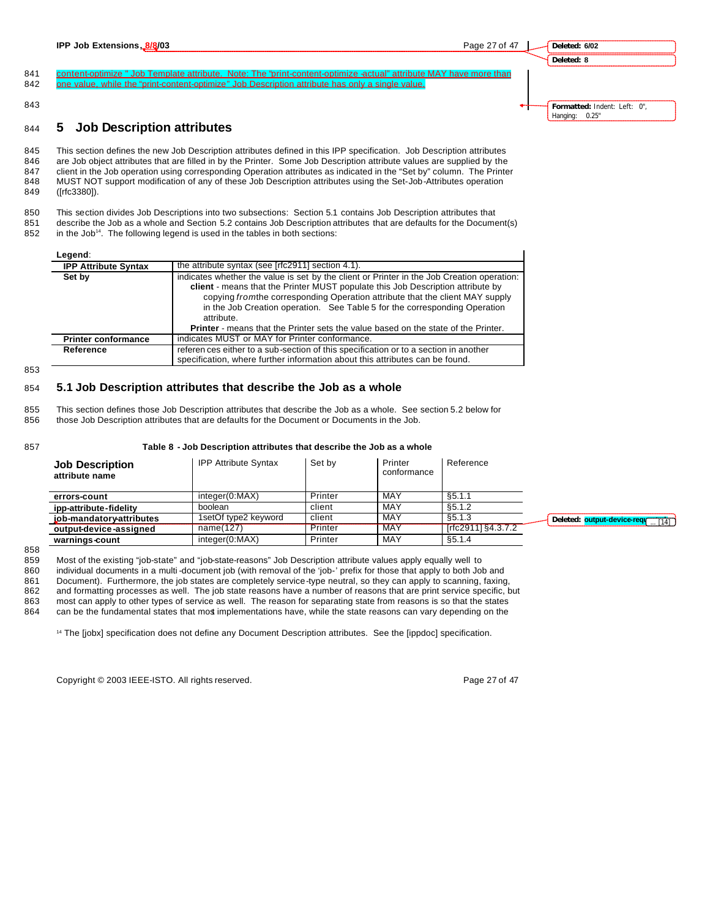**Deleted: 6/02 Deleted: 8**

841 content-optimize " Job Template attribute. Note: The "print-content-optimize -actual" attribute MAY have more than 842 one value, while the "print-content-optimize" Job Description attribute has only a single value.

843

## <sup>844</sup> **5 Job Description attributes**

845 This section defines the new Job Description attributes defined in this IPP specification. Job Description attributes 846 are Job object attributes that are filled in by the Printer. Some Job Description attribute values are supplied by the 847 client in the Job operation using corresponding Operation attributes as indicated in the "Set by" column. The Printer<br>848 MUST NOT support modification of any of these Job Description attributes using the Set-Job-Attri MUST NOT support modification of any of these Job Description attributes using the Set-Job-Attributes operation 849 ([rfc3380]).

850 This section divides Job Descriptions into two subsections: Section 5.1 contains Job Description attributes that 851 describe the Job as a whole and Section 5.2 contains Job Description attributes that are defaults for the Document(s) 852 in the Job<sup>14</sup>. The following legend is used in the tables in both sections:

| Legend:                     |                                                                                                                                                                                                                                                                                                                                                                                                                                                         |
|-----------------------------|---------------------------------------------------------------------------------------------------------------------------------------------------------------------------------------------------------------------------------------------------------------------------------------------------------------------------------------------------------------------------------------------------------------------------------------------------------|
| <b>IPP Attribute Syntax</b> | the attribute syntax (see [rfc2911] section 4.1).                                                                                                                                                                                                                                                                                                                                                                                                       |
| Set by                      | indicates whether the value is set by the client or Printer in the Job Creation operation:<br>client - means that the Printer MUST populate this Job Description attribute by<br>copying from the corresponding Operation attribute that the client MAY supply<br>in the Job Creation operation. See Table 5 for the corresponding Operation<br>attribute.<br><b>Printer</b> - means that the Printer sets the value based on the state of the Printer. |
| <b>Printer conformance</b>  | indicates MUST or MAY for Printer conformance.                                                                                                                                                                                                                                                                                                                                                                                                          |
| Reference                   | referen ces either to a sub-section of this specification or to a section in another<br>specification, where further information about this attributes can be found.                                                                                                                                                                                                                                                                                    |

853

#### 854 **5.1 Job Description attributes that describe the Job as a whole**

855 This section defines those Job Description attributes that describe the Job as a whole. See section 5.2 below for 856 those Job Description attributes that are defaults for the Document or Documents in the Job.

|--|--|--|

#### 857 **Table 8 - Job Description attributes that describe the Job as a whole**

| <b>Job Description</b><br>attribute name | <b>IPP Attribute Syntax</b> | Set by  | Printer<br>conformance | Reference            |
|------------------------------------------|-----------------------------|---------|------------------------|----------------------|
| errors-count                             | integer(0:MAX)              | Printer | MAY                    | \$5.1.1              |
| ipp-attribute-fidelity                   | boolean                     | client  | MAY                    | \$5.1.2              |
| job-mandatory-attributes                 | 1setOf type2 keyword        | client  | MAY                    | \$5.1.3              |
| output-device-assigned                   | name(127)                   | Printer | <b>MAY</b>             | $[rfc2911]$ §4.3.7.2 |
| warnings-count                           | integer(0:MAX)              | Printer | MAY                    | \$5.1.4              |

858

859 Most of the existing "job-state" and "job-state-reasons" Job Description attribute values apply equally well to 860 individual documents in a multi -document job (with removal of the 'job-' prefix for those that apply to both Job and 861 Document). Furthermore, the job states are completely service-type neutral, so they can apply to scanning, faxing, 862 and formatting processes as well. The job state reasons have a number of reasons that are print ser and formatting processes as well. The job state reasons have a number of reasons that are print service specific, but

863 most can apply to other types of service as well. The reason for separating state from reasons is so that the states 864 can be the fundamental states that most implementations have, while the state reasons can vary depending on the

<sup>14</sup> The [jobx] specification does not define any Document Description attributes. See the [ippdoc] specification.

Copyright © 2003 IEEE-ISTO. All rights reserved. Copyright C 2003 IEEE-ISTO. All rights reserved.

**Formatted:** Indent: Left: 0", Hanging: 0.25"

**Deleted: output-device-requested** ...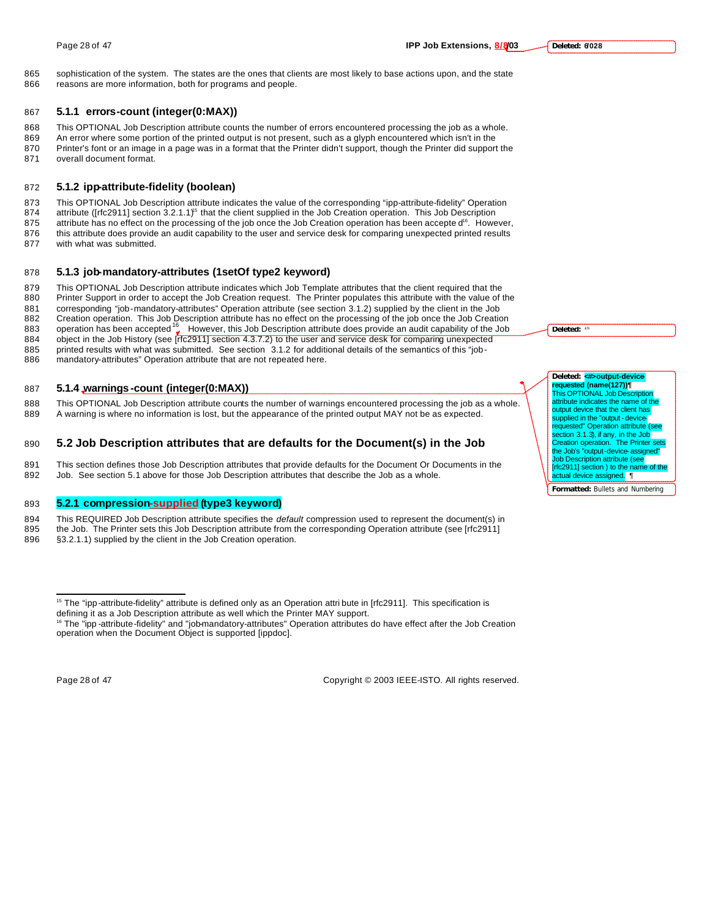865 sophistication of the system. The states are the ones that clients are most likely to base actions upon, and the state 866 reasons are more information, both for programs and people.

#### 867 **5.1.1 errors-count (integer(0:MAX))**

 This OPTIONAL Job Description attribute counts the number of errors encountered processing the job as a whole. An error where some portion of the printed output is not present, such as a glyph encountered which isn't in the Printer's font or an image in a page was in a format that the Printer didn't support, though the Printer did support the overall document format.

### 872 **5.1.2 ipp-attribute-fidelity (boolean)**

873 This OPTIONAL Job Description attribute indicates the value of the corresponding "ipp-attribute-fidelity" Operation 874 attribute ( $[$ rfc2911] section  $3.2.1.1$ )<sup>5</sup> that the client supplied in the Job Creation operation. This Job Description 875 attribute has no effect on the processing of the job once the Job Creation operation has been accepte d<sup>16</sup>. However,

876 this attribute does provide an audit capability to the user and service desk for comparing unexpected printed results

877 with what was submitted.

#### 878 **5.1.3 job-mandatory-attributes (1setOf type2 keyword)**

879 This OPTIONAL Job Description attribute indicates which Job Template attributes that the client required that the Rail end that the Rail end that the value of the Value of the Value of the Value of the Value of the Val Printer Support in order to accept the Job Creation request. The Printer populates this attribute with the value of the 881 corresponding "job-mandatory-attributes" Operation attribute (see section 3.1.2) supplied by the client in the Job<br>882 Creation operation. This Job Description attribute has no effect on the processing of the job once

882 Creation operation. This Job Description attribute has no effect on the processing of the job once the Job Creation<br>883 operation has been accepted <sup>16</sup> However, this Job Description attribute does provide an audit cap 884 object in the Job History (see [rfc2911] section 4.3.7.2) to the user and service desk for comparing unexpected 885 printed results with what was submitted. See section 3.1.2 for additional details of the semantics of this "job-

886 mandatory-attributes" Operation attribute that are not repeated here.

#### 887 **5.1.4 warnings -count (integer(0:MAX))**

888 This OPTIONAL Job Description attribute counts the number of warnings encountered processing the job as a whole. 889 A warning is where no information is lost, but the appearance of the printed output MAY not be as expected.

#### 890 **5.2 Job Description attributes that are defaults for the Document(s) in the Job**

891 This section defines those Job Description attributes that provide defaults for the Document Or Documents in the 892 Job. See section 5.1 above for those Job Description attributes that describe the Job as a whole.

### 893 **5.2.1 compression-supplied (type3 keyword)**

- 894 This REQUIRED Job Description attribute specifies the *default* compression used to represent the document(s) in<br>895 the Job. The Printer sets this Job Description attribute from the corresponding Operation attribute ( the Job. The Printer sets this Job Description attribute from the corresponding Operation attribute (see [rfc2911]
- 896 §3.2.1.1) supplied by the client in the Job Creation operation.

 $\overline{a}$ 

Page 28 of 47 Copyright © 2003 IEEE-ISTO. All rights reserved.

Deleted:

#### Deleted: <**#>output-device requested (name(127))¶**

This OPTIONAL Job Des attribute indicates the name of the output device that the client has supplied in the "output - device-<br>requested" Operation attribute (see section 3.1.3), if any, in the Job Creation operation. The Printer sets the Job's "output-device-assigned" lob Description attribute (see  $[$ rfc $2911]$  section) to the name actual device assigned. ¶

 $15$  The "ipp-attribute-fidelity" attribute is defined only as an Operation attribute in [rfc2911]. This specification is

defining it as a Job Description attribute as well which the Printer MAY support.

<sup>&</sup>lt;sup>16</sup> The "ipp -attribute-fidelity" and "job-mandatory-attributes" Operation attributes do have effect after the Job Creation operation when the Document Object is supported [ippdoc].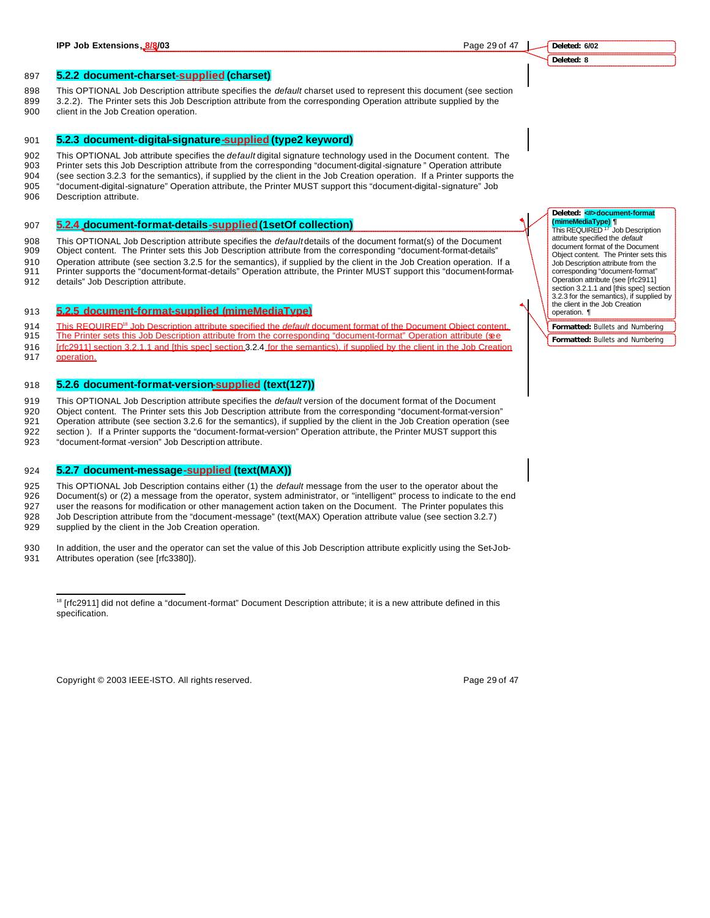**Deleted: 6/02 Deleted: 8**

#### 897 **5.2.2 document-charset-supplied (charset)**

- 898 This OPTIONAL Job Description attribute specifies the *default* charset used to represent this document (see section
- 899 3.2.2). The Printer sets this Job Description attribute from the corresponding Operation attribute supplied by the
- 900 client in the Job Creation operation.

## 901 **5.2.3 document-digital-signature-supplied (type2 keyword)**

 This OPTIONAL Job attribute specifies the *default* digital signature technology used in the Document content. The Printer sets this Job Description attribute from the corresponding "document-digital-signature" Operation attribute (see section 3.2.3 for the semantics), if supplied by the client in the Job Creation operation. If a Printer supports the "document-digital-signature" Operation attribute, the Printer MUST support this "document-digital-signature" Job Description attribute.

#### 907 **5.2.4 document-format-details-supplied (1setOf collection)**

908 This OPTIONAL Job Description attribute specifies the *default* details of the document format(s) of the Document

- 909 Object content. The Printer sets this Job Description attribute from the corresponding "document-format-details"
- 910 Operation attribute (see section 3.2.5 for the semantics), if supplied by the client in the Job Creation operation. If a 911 Printer supports the "document-format-details" Operation attribute, the Printer MUST support this "document-format-
- 912 details" Job Description attribute.

#### 913 **5.2.5 document-format-supplied (mimeMediaType)**

This REQUIRED<sup>18</sup> Job Description attribute specified the *default* document format of the Document Object content.<br>915 The Printer sets this Job Description attribute from the corresponding "document-format" Operation att

- The Printer sets this Job Description attribute from the corresponding "document-format" Operation attribute (see 916 [rfc2911] section 3.2.1.1 and [this spec] section 3.2.4 for the semantics), if supplied by the client in the Job Creation
- 917 operation.

#### 918 **5.2.6 document-format-version-supplied (text(127))**

919 This OPTIONAL Job Description attribute specifies the *default* version of the document format of the Document 920 Object content. The Printer sets this Job Description attribute from the corresponding "document-format-version"

921 Operation attribute (see section 3.2.6 for the semantics), if supplied by the client in the Job Creation operation (see 922 section ). If a Printer supports the "document-format-version" Operation attribute, the Printer MUST support this

923 "document-format -version" Job Description attribute.

#### 924 **5.2.7 document-message-supplied (text(MAX))**

925 This OPTIONAL Job Description contains either (1) the *default* message from the user to the operator about the<br>926 Document(s) or (2) a message from the operator, system administrator, or "intelligent" process to indi Document(s) or (2) a message from the operator, system administrator, or "intelligent" process to indicate to the end 927 user the reasons for modification or other management action taken on the Document. The Printer populates this 928 Job Description attribute from the "document-message" (text(MAX) Operation attribute value (see section 3.2.7) 929 supplied by the client in the Job Creation operation.

930 In addition, the user and the operator can set the value of this Job Description attribute explicitly using the Set-Job-931 Attributes operation (see [rfc3380]).

Copyright © 2003 IEEE-ISTO. All rights reserved. The example of the state of the 29 of 47

## Deleted: <**#>docu (mimeMediaType) ¶** This REQUIRED <sup>17</sup> Job Description

attribute specified the *default* document format of the Document Object content. The Printer sets this Job Description attribute from the corresponding "document-format" Operation attribute (see [rfc2911] section 3.2.1.1 and [this spec] section 3.2.3 for the semantics), if supplied by the client in the Job Creation operation. ¶

**Formatted:** Bullets and Numbering **Formatted:** Bullets and Numbering

 $\overline{a}$ <sup>18</sup> [rfc2911] did not define a "document-format" Document Description attribute; it is a new attribute defined in this specification.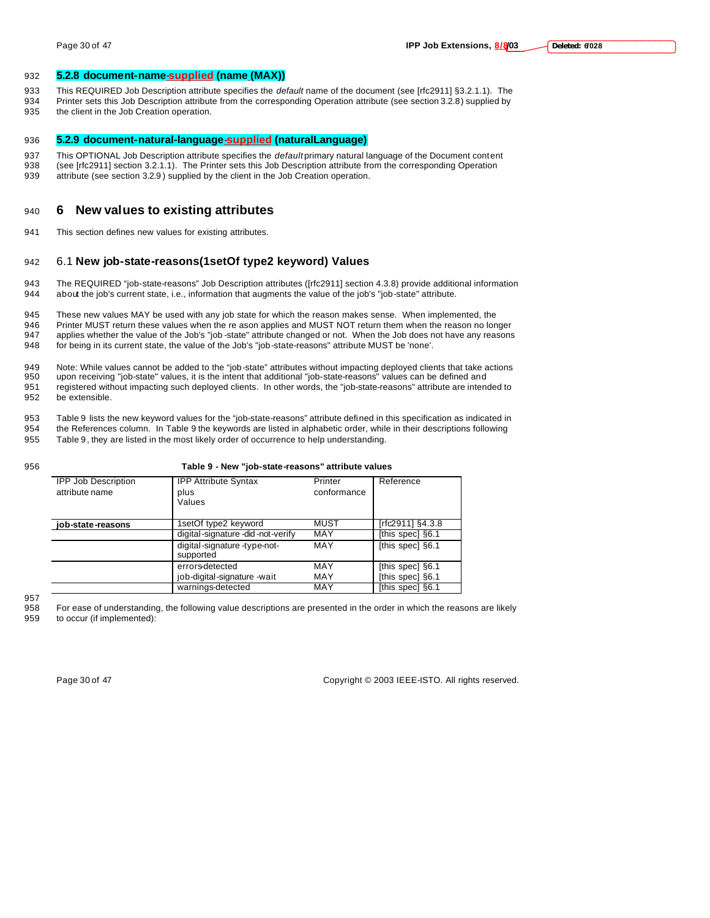#### 932 **5.2.8 document-name-supplied (name (MAX))**

- 933 This REQUIRED Job Description attribute specifies the *default* name of the document (see [rfc2911] §3.2.1.1). The
- 934 Printer sets this Job Description attribute from the corresponding Operation attribute (see section 3.2.8) supplied by 935 the client in the Job Creation operation.

#### 936 **5.2.9 document-natural-language-supplied (naturalLanguage)**

- 937 This OPTIONAL Job Description attribute specifies the *default* primary natural language of the Document content<br>938 (see [rfc2911] section 3.2.1.1). The Printer sets this Job Description attribute from the correspondi (see [rfc2911] section 3.2.1.1). The Printer sets this Job Description attribute from the corresponding Operation
- 939 attribute (see section 3.2.9 ) supplied by the client in the Job Creation operation.

## <sup>940</sup> **6 New values to existing attributes**

941 This section defines new values for existing attributes.

## 942 6.1 **New job-state-reasons(1setOf type2 keyword) Values**

943 The REQUIRED "job-state-reasons" Job Description attributes ([rfc2911] section 4.3.8) provide additional information 944 about the job's current state, i.e., information that augments the value of the job's "job-state" attribute.

 These new values MAY be used with any job state for which the reason makes sense. When implemented, the 946 Printer MUST return these values when the re ason applies and MUST NOT return them when the reason no longer applies whether the value of the Job's "job -state" attribute changed or not. When the Job does not have any reasons for being in its current state, the value of the Job's "job-state-reasons" attribute MUST be 'none'.

949 Note: While values cannot be added to the "job-state" attributes without impacting deployed clients that take actions<br>950 upon receiving "job-state" values, it is the intent that additional "job-state-reasons" values c upon receiving "job-state" values, it is the intent that additional "job-state-reasons" values can be defined and 951 registered without impacting such deployed clients. In other words, the "job-state-reasons" attribute are intended to 952 be extensible.

- 953 Table 9 lists the new keyword values for the "job-state-reasons" attribute defined in this specification as indicated in
- 954 the References column. In Table 9 the keywords are listed in alphabetic order, while in their descriptions following 955 Table 9 , they are listed in the most likely order of occurrence to help understanding.
- 

| 956 |                                              | Table 9 - New "job-state-reasons" attribute values |                        |                  |
|-----|----------------------------------------------|----------------------------------------------------|------------------------|------------------|
|     | <b>IPP Job Description</b><br>attribute name | <b>IPP Attribute Syntax</b><br>plus<br>Values      | Printer<br>conformance | Reference        |
|     | iob-state-reasons                            | 1setOf type2 keyword                               | MUST                   | [rfc2911] §4.3.8 |
|     |                                              | digital-signature-did-not-verify                   | MAY                    | [this spec] §6.1 |
|     |                                              | digital-signature-type-not-<br>supported           | MAY                    | [this spec] §6.1 |
|     |                                              | errors-detected                                    | MAY                    | [this spec] §6.1 |
|     |                                              | job-digital-signature -wait                        | MAY                    | [this spec] §6.1 |
|     |                                              | warnings-detected                                  | MAY                    | [this spec] §6.1 |

957

958 For ease of understanding, the following value descriptions are presented in the order in which the reasons are likely 959 to occur (if implemented):

Page 30 of 47 Copyright © 2003 IEEE-ISTO. All rights reserved.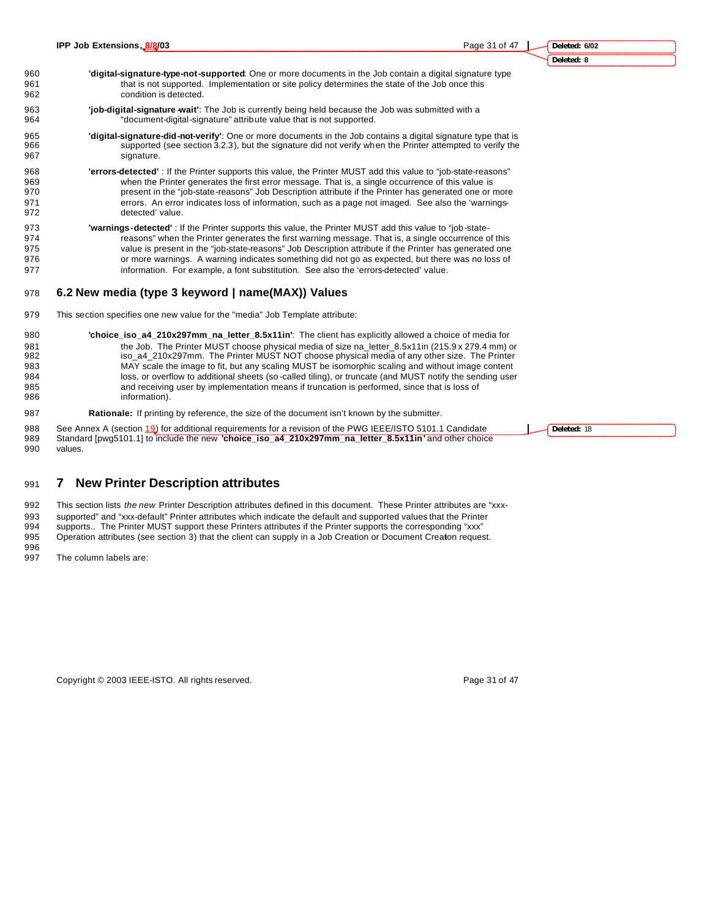- **Deleted: 8**
- **'digital-signature-type-not-supported**: One or more documents in the Job contain a digital signature type that is not supported. Implementation or site policy determines the state of the Job once this condition is detected.
- **'job-digital-signature -wait'**: The Job is currently being held because the Job was submitted with a "document-digital-signature" attribute value that is not supported.
- **'digital-signature-did-not-verify'**: One or more documents in the Job contains a digital signature type that is supported (see section 3.2.3), but the signature did not verify when the Printer attempted to verify the 967 signature.
- **'errors-detected'** : If the Printer supports this value, the Printer MUST add this value to "job-state-reasons" when the Printer generates the first error message. That is, a single occurrence of this value is present in the "job-state-reasons" Job Description attribute if the Printer has generated one or more errors. An error indicates loss of information, such as a page not imaged. See also the 'warnings-detected' value.
- **'warnings-detected'** : If the Printer supports this value, the Printer MUST add this value to "job-state- reasons" when the Printer generates the first warning message. That is, a single occurrence of this value is present in the "job-state-reasons" Job Description attribute if the Printer has generated one or more warnings. A warning indicates something did not go as expected, but there was no loss of information. For example, a font substitution. See also the 'errors-detected' value.

#### **6.2 New media (type 3 keyword | name(MAX)) Values**

- This section specifies one new value for the "media" Job Template attribute:
- **'choice\_iso\_a4\_210x297mm\_na\_letter\_8.5x11in'**: The client has explicitly allowed a choice of media for 981 the Job. The Printer MUST choose physical media of size na\_letter\_8.5x11in (215.9 x 279.4 mm) or iso\_a4\_210x297mm. The Printer MUST NOT choose physical media of any other size. The Printer MAY scale the image to fit, but any scaling MUST be isomorphic scaling and without image content loss, or overflow to additional sheets (so -called tiling), or truncate (and MUST notify the sending user and receiving user by implementation means if truncation is performed, since that is loss of information).
- **Rationale:** If printing by reference, the size of the document isn't known by the submitter.
- 988 See Annex A (section 19) for additional requirements for a revision of the PWG IEEE/ISTO 5101.1 Candidate Standard [pwg5101.1] to include the new **'choice\_iso\_a4\_210x297mm\_na\_letter\_8.5x11in'** and other choice values.

**7 New Printer Description attributes**

 This section lists *the new* Printer Description attributes defined in this document. These Printer attributes are "xxx- supported" and "xxx-default" Printer attributes which indicate the default and supported values that the Printer supports.. The Printer MUST support these Printers attributes if the Printer supports the corresponding "xxx" Operation attributes (see section 3) that the client can supply in a Job Creation or Document Creation request.

The column labels are:

Copyright © 2003 IEEE-ISTO. All rights reserved. Page 31 of 47

**Deleted:** 18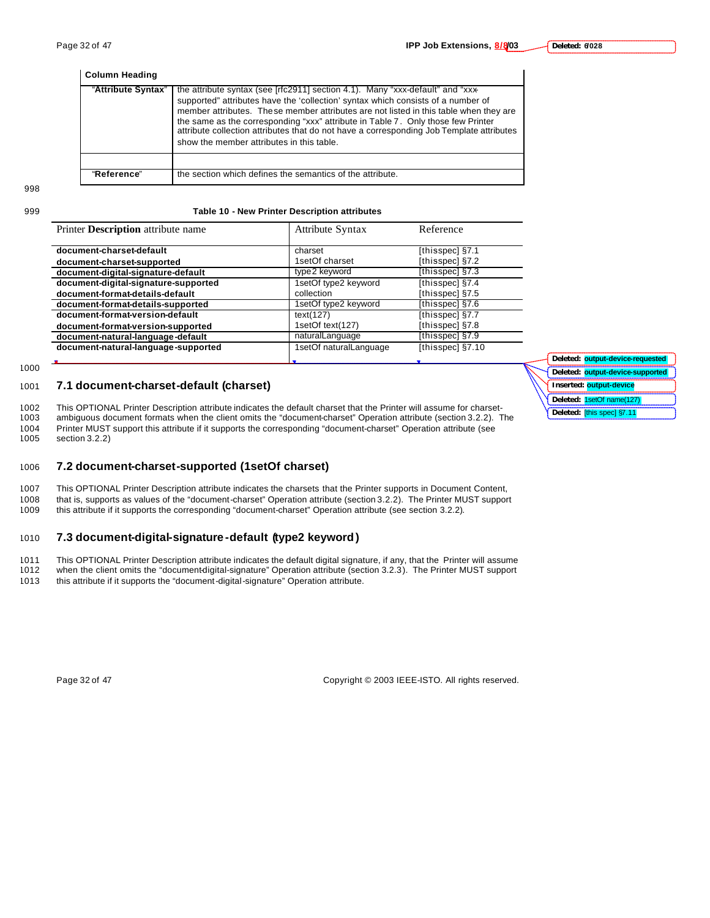| <b>Column Heading</b> |                                                                                                                                                                                                                                                                                                                                                                                                                                                                                          |
|-----------------------|------------------------------------------------------------------------------------------------------------------------------------------------------------------------------------------------------------------------------------------------------------------------------------------------------------------------------------------------------------------------------------------------------------------------------------------------------------------------------------------|
| "Attribute Syntax"    | the attribute syntax (see [rfc2911] section 4.1). Many "xxx-default" and "xxx-<br>supported" attributes have the 'collection' syntax which consists of a number of<br>member attributes. These member attributes are not listed in this table when they are<br>the same as the corresponding "xxx" attribute in Table 7. Only those few Printer<br>attribute collection attributes that do not have a corresponding Job Template attributes<br>show the member attributes in this table. |
|                       |                                                                                                                                                                                                                                                                                                                                                                                                                                                                                          |
| "Reference"           | the section which defines the semantics of the attribute.                                                                                                                                                                                                                                                                                                                                                                                                                                |

998

#### 999 **Table 10 - New Printer Description attributes**

| Printer Description attribute name   | <b>Attribute Syntax</b> | Reference        |
|--------------------------------------|-------------------------|------------------|
| document-charset-default             | charset                 | [thisspec] §7.1  |
| document-charset-supported           | 1setOf charset          | [thisspec] §7.2  |
| document-digital-signature-default   | type2 keyword           | [thisspec] §7.3  |
| document-digital-signature-supported | 1setOf type2 keyword    | [thisspec] §7.4  |
| document-format-details-default      | collection              | [thisspec] §7.5  |
| document-format-details-supported    | 1setOf type2 keyword    | [thisspec] §7.6  |
| document-format-version-default      | text(127)               | [thisspec] §7.7  |
| document-format-version-supported    | 1setOf text(127)        | [thisspec] §7.8  |
| document-natural-language-default    | naturalLanguage         | [thisspec] §7.9  |
| document-natural-language-supported  | 1setOf naturalLanguage  | [thisspec] §7.10 |
|                                      |                         |                  |

1000

#### 1001 **7.1 document-charset-default (charset)**

1002 This OPTIONAL Printer Description attribute indicates the default charset that the Printer will assume for charset-1003 ambiguous document formats when the client omits the "document-charset" Operation attribute (section 3.2.2). The 1004 Printer MUST support this attribute if it supports the corresponding "document-charset" Operation attribute (see

section 3.2.2)

#### 1006 **7.2 document-charset-supported (1setOf charset)**

1007 This OPTIONAL Printer Description attribute indicates the charsets that the Printer supports in Document Content, 1008 that is, supports as values of the "document-charset" Operation attribute (section 3.2.2). The Printer MUST support 1009 this attribute if it supports the corresponding "document-charset" Operation attribute (see section 3.2.2).

#### 1010 **7.3 document-digital-signature -default (type2 keyword)**

1011 This OPTIONAL Printer Description attribute indicates the default digital signature, if any, that the Printer will assume<br>1012 when the client omits the "document-digital-signature" Operation attribute (section 3.2.3) when the client omits the "document-digital-signature" Operation attribute (section 3.2.3). The Printer MUST support

1013 this attribute if it supports the "document-digital-signature" Operation attribute.

Page 32 of 47 Copyright © 2003 IEEE-ISTO. All rights reserved.

| Deleted: output-device-requested |  |
|----------------------------------|--|
| Deleted: output-device-supported |  |
| Inserted: output-device          |  |
| Deleted: 1setOf name(127)        |  |
| Deleted: [this spec] §7.11       |  |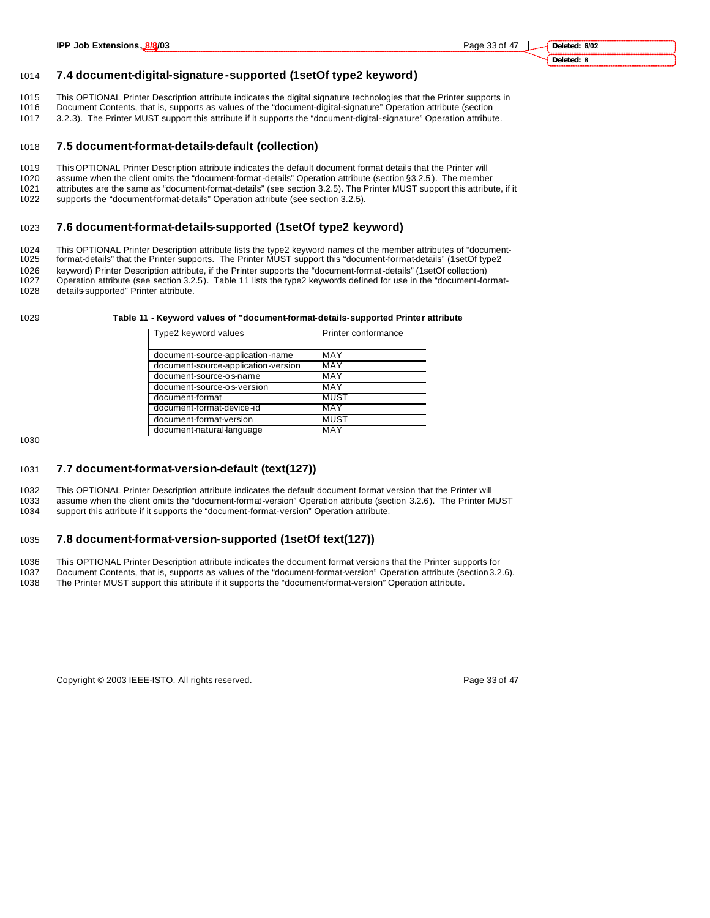## 1014 **7.4 document-digital-signature -supported (1setOf type2 keyword)**

- 1015 This OPTIONAL Printer Description attribute indicates the digital signature technologies that the Printer supports in<br>1016 Document Contents, that is, supports as values of the "document-digital-signature" Operation a
- 1016 Document Contents, that is, supports as values of the "document-digital-signature" Operation attribute (section
- 1017 3.2.3). The Printer MUST support this attribute if it supports the "document-digital-signature" Operation attribute.

#### 1018 **7.5 document-format-details-default (collection)**

- 1019 This OPTIONAL Printer Description attribute indicates the default document format details that the Printer will
- 1020 assume when the client omits the "document-format -details" Operation attribute (section §3.2.5 ). The member 1021 attributes are the same as "document-format-details" (see section 3.2.5). The Printer MUST support this attribute, if it 1022 supports the "document-format-details" Operation attribute (see section 3.2.5).

## 1023 **7.6 document-format-details-supported (1setOf type2 keyword)**

1024 This OPTIONAL Printer Description attribute lists the type2 keyword names of the member attributes of "document-<br>1025 format-details" that the Printer supports. The Printer MUST support this "document-format-details" format-details" that the Printer supports. The Printer MUST support this "document-format-details" (1setOf type2 1026 keyword) Printer Description attribute, if the Printer supports the "document-format-details" (1setOf collection) 1027 Operation attribute (see section 3.2.5). Table 11 lists the type2 keywords defined for use in the "document-format-1028 details-supported" Printer attribute.

#### 1029 **Table 11 - Keyword values of "document-format-details-supported Printer attribute**

| Type2 keyword values                | Printer conformance |
|-------------------------------------|---------------------|
|                                     |                     |
| document-source-application-name    | MAY                 |
| document-source-application-version | MAY                 |
| document-source-os-name             | MAY                 |
| document-source-os-version          | MAY                 |
| document-format                     | <b>MUST</b>         |
| document-format-device-id           | MAY                 |
| document-format-version             | <b>MUST</b>         |
| document-natural-language           | MAY                 |

1030

#### 1031 **7.7 document-format-version-default (text(127))**

1032 This OPTIONAL Printer Description attribute indicates the default document format version that the Printer will 1033 assume when the client omits the "document-format-version" Operation attribute (section 3.2.6). The Printer MUST

1034 support this attribute if it supports the "document-format-version" Operation attribute.

#### 1035 **7.8 document-format-version-supported (1setOf text(127))**

1036 This OPTIONAL Printer Description attribute indicates the document format versions that the Printer supports for 1037 Document Contents, that is, supports as values of the "document-format-version" Operation attribute (section 3.2.6).

1038 The Printer MUST support this attribute if it supports the "document-format-version" Operation attribute.

Copyright © 2003 IEEE-ISTO. All rights reserved. Copyright C 2003 IEEE-ISTO. All rights reserved.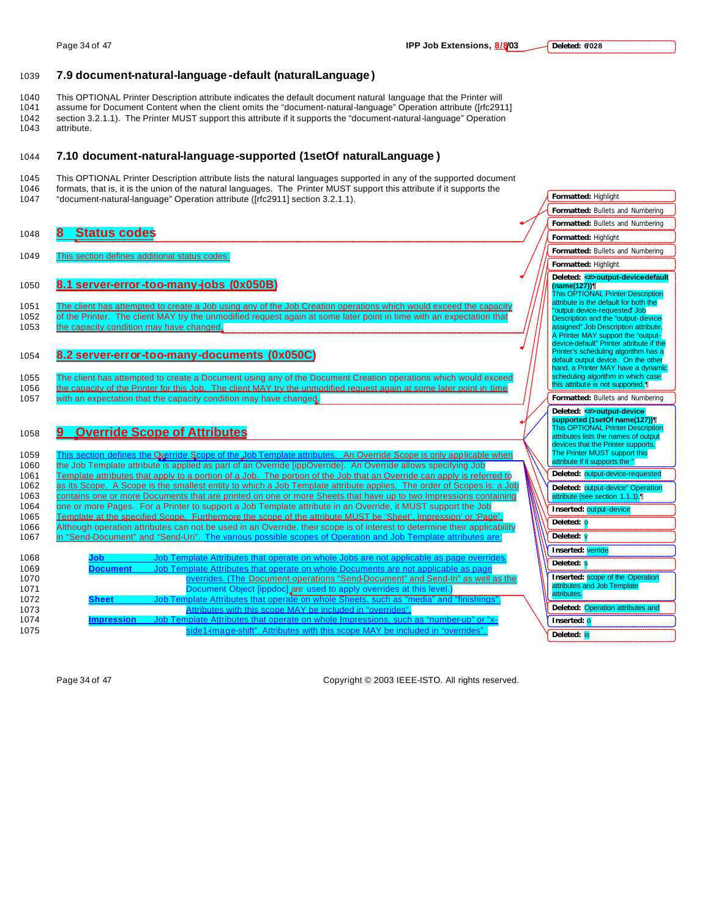### 1039 **7.9 document-natural-language -default (naturalLanguage )**

1040 This OPTIONAL Printer Description attribute indicates the default document natural language that the Printer will assume for Document Content when the client omits the "document-natural-language" Operation attribute ([rfc2911] 1042 section 3.2.1.1). The Printer MUST support this attribute if it supports the "document-natural-language" Operation attribute.

#### 1044 **7.10 document-natural-language-supported (1setOf naturalLanguage )**

- 1045 This OPTIONAL Printer Description attribute lists the natural languages supported in any of the supported document 1046 formats, that is, it is the union of the natural languages. The Printer MUST support this attribute if it supports the
- 1047 "document-natural-language" Operation attribute ([rfc2911] section 3.2.1.1).

#### <sup>1048</sup> **8 Status codes**

1049 This section defines additional status codes.

## 1050 **8.1 server-error-too-many-jobs (0x050B)**

1051 The client has attempted to create a Job using any of the Job Creation operations which would exceed the capacity 1052 of the Printer. The client MAY try the unmodified request again at some later point in time with an expectation that 1053 the capacity condition may have changed.

#### 1054 **8.2 server-error-too-many-documents (0x050C)**

1055 The client has attempted to create a Document using any of the Document Creation operations which would exceed 1056 the capacity of the Printer for this Job. The client MAY try the unmodified request again at some later point in time 1057 with an expectation that the capacity condition may have changed.

#### <sup>1058</sup> **9 Override Scope of Attributes**

1059 This section defines the Override Scope of the Job Template attributes. An Override Scope is only applicable when 1060 the Job Template attribute is applied as part of an Override [ippOverride]. An Override allows specifying Job 1061 Template attributes that apply to a portion of a Job. The portion of the Job that an Override can apply is referred 1062 as its Scope. A Scope is the smallest entity to which a Job Template attribute applies. The order of Scopes is: a Job 1063 contains one or more Documents that are printed on one or more Sheets that have up to two Impressions containing 1064 one or more Pages. For a Printer to support a Job Template attribute in an Override, it MUST support the Job 1065 Template at the specified Scope. Furthermore the scope of the attribute MUST be 'Sheet', Impression' or 'Page'. 1066 Although operation attributes can not be used in an Override, their scope is of interest to determine their applicability 1067 in "Send-Document" and "Send-Uri". The various possible scopes of Operation and Job Template attributes are:

| 1068 |                   | Job Template Attributes that operate on whole Jobs are not applicable as page overrides. |
|------|-------------------|------------------------------------------------------------------------------------------|
| 1069 | Document          | Job Template Attributes that operate on whole Documents are not applicable as page       |
| 1070 |                   | overrides. (The Document operations "Send-Document" and Send-Iri" as well as the         |
| 1071 |                   | Document Object [ippdoc] are used to apply overrides at this level.)                     |
| 1072 | <b>Sheet</b>      | Job Template Attributes that operate on whole Sheets, such as "media" and "finishings".  |
| 1073 |                   | Attributes with this scope MAY be included in "overrides".                               |
| 1074 | <b>Impression</b> | Job Template Attributes that operate on whole Impressions, such as "number-up" or "x-    |
| 1075 |                   | side1-image-shift". Attributes with this scope MAY be included in "overrides".           |
|      |                   |                                                                                          |

Page 34 of 47 Copyright © 2003 IEEE-ISTO. All rights reserved.

| <b>Formatted: Highlight</b>                                                    |
|--------------------------------------------------------------------------------|
| Formatted: Bullets and Numbering                                               |
| <b>Formatted: Bullets and</b><br>Numbering                                     |
| <b>Formatted: Highlight</b>                                                    |
| Formatted:<br><b>Bullets and Numbering</b>                                     |
| <b>Formatted: Highlight</b>                                                    |
| Deleted: < b>> <b><br/> Deleted:</b>                                           |
| (name(127))¶<br>This OPTIONAL Printer Description                              |
| attribute is the default for both the                                          |
| "output-device-requested" Job                                                  |
| Description and the "output-device                                             |
| assigned" Job Description attribute.                                           |
| A Printer MAY support the "output-<br>device-default" Printer attribute if the |
| Printer's scheduling algorithm has a                                           |
| default output device. On the other                                            |
| hand, a Printer MAY have a dynamic                                             |
| scheduling algorithm in which case                                             |
| this attribute is not supported.                                               |
| Formatted: Bullets and Numbering                                               |
|                                                                                |
| supported (1setOf name(127))¶                                                  |
| This OPTIONAL Printer Description                                              |
| attributes lists the names of output                                           |
| devices that the Printer supports.                                             |
| The Printer MUST support this                                                  |
| attribute if it supports the "                                                 |
| Deleted:<br>output-device-requested                                            |
| Deleted: output-device" Operation                                              |
| attribute (see section 1.1.1).                                                 |
| Inserted: output-device                                                        |
| Deleted:<br>o                                                                  |
| Deleted:                                                                       |
| Inserted: verride                                                              |
| Deleted:                                                                       |
| Inserted: scope of the Operation                                               |
| attributes and Job Template                                                    |
| attributes.                                                                    |
| Operation attributes and<br>Deleted:                                           |
| Inserted: <mark>o</mark>                                                       |
| Deleted:<br>is                                                                 |
|                                                                                |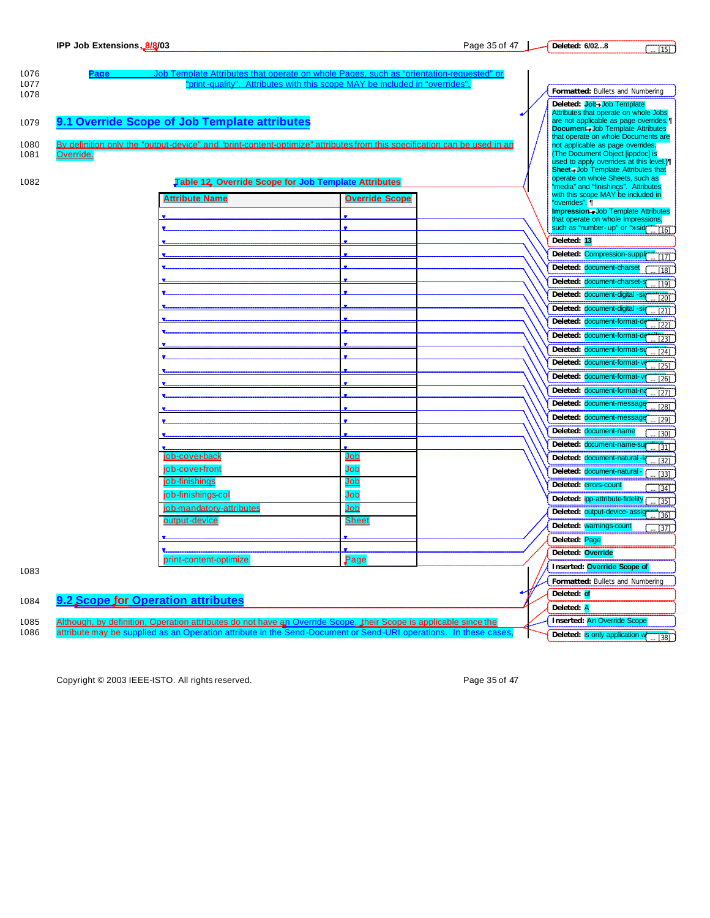| 1076         |                                           | <b>Job Temp</b>                                                                                                                                                                                                                     | late Attributes that operate on whole Pages, such as "orientation-requested" or                                          |  |                                                                                |
|--------------|-------------------------------------------|-------------------------------------------------------------------------------------------------------------------------------------------------------------------------------------------------------------------------------------|--------------------------------------------------------------------------------------------------------------------------|--|--------------------------------------------------------------------------------|
| 1077         |                                           | "print-quality". Attributes with this scope MAY be included in "overrides"                                                                                                                                                          |                                                                                                                          |  | <b>Formatted: Bullets and Numbering</b>                                        |
| 1078         |                                           |                                                                                                                                                                                                                                     |                                                                                                                          |  | Deleted: Job+Job Template                                                      |
|              |                                           |                                                                                                                                                                                                                                     |                                                                                                                          |  | Attributes that operate on whole Jobs                                          |
| 1079         |                                           | 9.1 Override Scope of Job Template attributes                                                                                                                                                                                       |                                                                                                                          |  | are not applicable as page overrides.                                          |
|              |                                           |                                                                                                                                                                                                                                     |                                                                                                                          |  | <b>Document-Job Template Attributes</b><br>that operate on whole Documents are |
| 1080         |                                           |                                                                                                                                                                                                                                     | By definition only the "output-device" and "brint-content-optimize" attributes from this specification can be used in an |  | not applicable as page overrides.                                              |
| 1081         | Override.                                 |                                                                                                                                                                                                                                     |                                                                                                                          |  | (The Document Object [ippdoc] is<br>used to apply overrides at this level.)    |
|              |                                           |                                                                                                                                                                                                                                     |                                                                                                                          |  | <b>Sheet-Job Template Attributes that</b>                                      |
| 1082         |                                           | Table 12, Override Scope for Job Template Attributes                                                                                                                                                                                |                                                                                                                          |  | operate on whole Sheets, such as<br>"media" and "finishings". Attributes       |
|              |                                           | <b>Attribute Name</b>                                                                                                                                                                                                               | <b>Override Scope</b>                                                                                                    |  | with this scope MAY be included in                                             |
|              |                                           |                                                                                                                                                                                                                                     |                                                                                                                          |  | "overrides". 1<br><b>Impression-Job Template Attributes</b>                    |
|              |                                           |                                                                                                                                                                                                                                     |                                                                                                                          |  | that operate on whole Impressions,                                             |
|              |                                           |                                                                                                                                                                                                                                     |                                                                                                                          |  | such as "number-up" or "xsid<br>[16]                                           |
|              |                                           |                                                                                                                                                                                                                                     |                                                                                                                          |  | Deleted: 13                                                                    |
|              |                                           |                                                                                                                                                                                                                                     |                                                                                                                          |  | Deleted: Compression-suppli<br>[17]                                            |
|              |                                           |                                                                                                                                                                                                                                     |                                                                                                                          |  | Deleted: document-charset<br>[18]                                              |
|              |                                           |                                                                                                                                                                                                                                     |                                                                                                                          |  | Deleted: document-charset-s<br>[19]                                            |
|              |                                           |                                                                                                                                                                                                                                     |                                                                                                                          |  | Deleted: document-digital<br>[20]                                              |
|              |                                           |                                                                                                                                                                                                                                     |                                                                                                                          |  | Deleted: document-digital -si<br>[21]                                          |
|              |                                           |                                                                                                                                                                                                                                     |                                                                                                                          |  | Deleted: document-format<br>$\overline{1221}$                                  |
|              |                                           |                                                                                                                                                                                                                                     |                                                                                                                          |  | Deleted: document-format-d                                                     |
|              |                                           |                                                                                                                                                                                                                                     |                                                                                                                          |  | $\overline{23}$<br>Deleted: document-format-su                                 |
|              |                                           |                                                                                                                                                                                                                                     |                                                                                                                          |  | [24]                                                                           |
|              |                                           |                                                                                                                                                                                                                                     |                                                                                                                          |  | Deleted: document-format-<br>$\overline{25}$                                   |
|              |                                           |                                                                                                                                                                                                                                     |                                                                                                                          |  | Deleted: document-format-v<br>[26]                                             |
|              |                                           |                                                                                                                                                                                                                                     |                                                                                                                          |  | Deleted: document-format-na<br>$\overline{27}$                                 |
|              |                                           |                                                                                                                                                                                                                                     |                                                                                                                          |  | Deleted: document-message<br>$\overline{1281}$                                 |
|              |                                           |                                                                                                                                                                                                                                     |                                                                                                                          |  | Deleted: document-message<br>[29]                                              |
|              |                                           |                                                                                                                                                                                                                                     |                                                                                                                          |  | Deleted: document-name<br>$\overline{30}$                                      |
|              |                                           |                                                                                                                                                                                                                                     |                                                                                                                          |  | Deleted: document-name-sup<br>$[31]$                                           |
|              |                                           | job-cover-back                                                                                                                                                                                                                      | Job                                                                                                                      |  | Deleted: document-natural-<br>$\overline{321}$                                 |
|              |                                           | job-cover-front                                                                                                                                                                                                                     | Job                                                                                                                      |  | Deleted: document-natural<br>$[33]$                                            |
|              |                                           | <u>job-finishings</u>                                                                                                                                                                                                               | Job                                                                                                                      |  | Deleted: errors-count<br>$\overline{341}$                                      |
|              |                                           | job-finishings-col                                                                                                                                                                                                                  | Job                                                                                                                      |  | Deleted: ipp-attribute-fidelity<br>$\overline{1351}$                           |
|              |                                           | <u>iob-mandatory-attributes</u>                                                                                                                                                                                                     | <u>Job</u>                                                                                                               |  | Deleted: output-device-assig<br>$\overline{361}$                               |
|              |                                           | output-device                                                                                                                                                                                                                       | Sheet                                                                                                                    |  | Deleted: warnings-count<br>$\overline{37}$                                     |
|              |                                           |                                                                                                                                                                                                                                     |                                                                                                                          |  | Deleted: Page                                                                  |
|              |                                           |                                                                                                                                                                                                                                     |                                                                                                                          |  | Deleted: Override                                                              |
|              |                                           | print-content-optimize                                                                                                                                                                                                              | $\mathbf{Page}$                                                                                                          |  | <b>Inserted: Override Scope of</b>                                             |
| 1083         |                                           |                                                                                                                                                                                                                                     |                                                                                                                          |  | Formatted: Bullets and Numbering                                               |
|              |                                           |                                                                                                                                                                                                                                     |                                                                                                                          |  | Deleted: of                                                                    |
| 1084         | <u>9.2 Scope for Operation attributes</u> |                                                                                                                                                                                                                                     |                                                                                                                          |  | Deleted: A                                                                     |
|              |                                           |                                                                                                                                                                                                                                     |                                                                                                                          |  | <b>Inserted: An Override Scope</b>                                             |
| 1085<br>1086 |                                           | Although, by definition, Operation attributes do not have an Override Scope, their Scope is applicable since the<br>attribute may be supplied as an Operation attribute in the Send-Document or Send-URI operations. In these cases |                                                                                                                          |  |                                                                                |
|              |                                           |                                                                                                                                                                                                                                     |                                                                                                                          |  | Deleted: is only application w<br>[38]                                         |

Copyright © 2003 IEEE-ISTO. All rights reserved. expansion of the extended page 35 of 47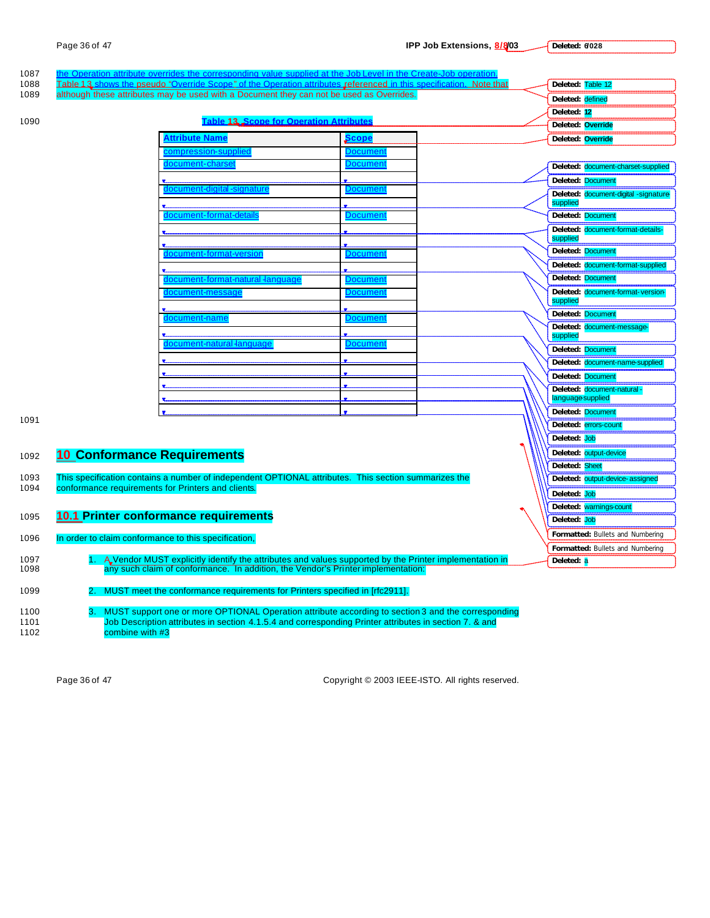| 1087         |                                                      | he Operation attribute overrides the corresponding value supplied at the Job Level in the Create-Job operation.    |                 |  |                                                  |
|--------------|------------------------------------------------------|--------------------------------------------------------------------------------------------------------------------|-----------------|--|--------------------------------------------------|
| 1088         |                                                      | Table 13 shows the pseudo "Override Scope" of the Operation attributes referenced in this specification. Note that |                 |  | Deleted: Table 12                                |
| 1089         |                                                      | although these attributes may be used with a Document they can not be used as Overrides.                           |                 |  | Deleted: defined                                 |
| 1090         |                                                      | <b>Table 13, Scope for Operation Attributes</b>                                                                    |                 |  | Deleted: 12                                      |
|              |                                                      |                                                                                                                    |                 |  | Deleted: Override                                |
|              |                                                      | <b>\ttribute Name</b>                                                                                              | Scope           |  | Deleted: Override                                |
|              |                                                      | ompression-supplied                                                                                                | Document        |  |                                                  |
|              |                                                      | document-chars                                                                                                     | Documen         |  | Deleted: document-charset-supplied               |
|              |                                                      | document-digital -signatur                                                                                         | Document        |  | <b>Deleted: Document</b>                         |
|              |                                                      |                                                                                                                    |                 |  | Deleted: document-digital -signature<br>supplied |
|              |                                                      | document-format-de                                                                                                 | <b>Documen</b>  |  | Deleted: Document                                |
|              |                                                      |                                                                                                                    |                 |  | Deleted: document-format-details-                |
|              |                                                      |                                                                                                                    |                 |  | supplied                                         |
|              |                                                      | <u>  document-format-version</u>                                                                                   | <u>Document</u> |  | Deleted: Document                                |
|              |                                                      |                                                                                                                    |                 |  | Deleted: document-format-supplied                |
|              |                                                      | locument-format-natural languag                                                                                    | <b>Jocumen</b>  |  | Deleted: Document                                |
|              |                                                      | document-message                                                                                                   | Documen         |  | Deleted: document-format-version-<br>supplied    |
|              |                                                      | document-name                                                                                                      | Documen         |  | Deleted: Document                                |
|              |                                                      |                                                                                                                    |                 |  | Deleted: document-message-<br>supplied           |
|              |                                                      | document-natural languag                                                                                           | )ocumen         |  | Deleted: Document                                |
|              |                                                      |                                                                                                                    |                 |  | Deleted: document-name-supplied                  |
|              |                                                      |                                                                                                                    |                 |  | Deleted: Document                                |
|              |                                                      |                                                                                                                    |                 |  | Deleted: document-natural-                       |
|              |                                                      |                                                                                                                    |                 |  | language supplied                                |
| 1091         |                                                      |                                                                                                                    |                 |  | Deleted: Document                                |
|              |                                                      |                                                                                                                    |                 |  | Deleted: errors-count                            |
|              |                                                      |                                                                                                                    |                 |  | Deleted: Job                                     |
| 1092         | <b>10 Conformance Requirements</b>                   |                                                                                                                    |                 |  | Deleted: output-device                           |
|              |                                                      |                                                                                                                    |                 |  | Deleted: Sheet                                   |
| 1093<br>1094 | conformance requirements for Printers and clients.   | This specification contains a number of independent OPTIONAL attributes. This section summarizes the               |                 |  | Deleted: output-device-assigned                  |
|              |                                                      |                                                                                                                    |                 |  | Deleted: Job                                     |
| 1095         | <b>10.1 Printer conformance requirements</b>         |                                                                                                                    |                 |  | Deleted: warnings-count                          |
|              |                                                      |                                                                                                                    |                 |  | Deleted: Job                                     |
| 1096         | In order to claim conformance to this specification, |                                                                                                                    |                 |  | Formatted: Bullets and Numbering                 |
| 1097         |                                                      | A Vendor MUST explicitly identify the attributes and values supported by the Printer implementation in             |                 |  | Formatted: Bullets and Numbering                 |
| 1098         |                                                      | any such claim of conformance. In addition, the Vendor's Printer implementation:                                   |                 |  | Deleted: a                                       |
|              |                                                      |                                                                                                                    |                 |  |                                                  |
| 1099         |                                                      | MUST meet the conformance requirements for Printers specified in [rfc2911].                                        |                 |  |                                                  |
| 1100         |                                                      | 3. MUST support one or more OPTIONAL Operation attribute according to section 3 and the corresponding              |                 |  |                                                  |
| 1101<br>1102 | combine with #3                                      | Job Description attributes in section 4.1.5.4 and corresponding Printer attributes in section 7. & and             |                 |  |                                                  |

Page 36 of 47 Copyright © 2003 IEEE-ISTO. All rights reserved.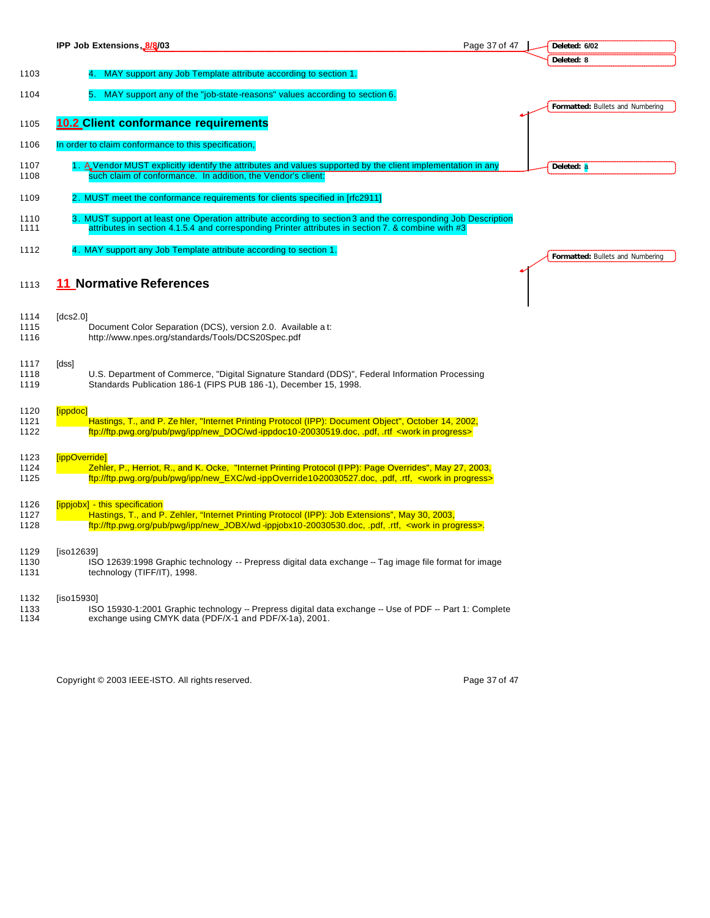|              | IPP Job Extensions, 8/8/03<br>Page 37 of 47                                                                                                                                                                                 | Deleted: 6/02                    |
|--------------|-----------------------------------------------------------------------------------------------------------------------------------------------------------------------------------------------------------------------------|----------------------------------|
|              |                                                                                                                                                                                                                             | Deleted: 8                       |
| 1103         | MAY support any Job Template attribute according to section 1.                                                                                                                                                              |                                  |
| 1104         | MAY support any of the "job-state-reasons" values according to section 6.                                                                                                                                                   |                                  |
|              |                                                                                                                                                                                                                             | Formatted: Bullets and Numbering |
| 1105         | <b>10.2 Client conformance requirements</b>                                                                                                                                                                                 |                                  |
|              |                                                                                                                                                                                                                             |                                  |
| 1106         | In order to claim conformance to this specification,                                                                                                                                                                        |                                  |
| 1107         | 1. A Vendor MUST explicitly identify the attributes and values supported by the client implementation in any                                                                                                                | Deleted: a                       |
| 1108         | such claim of conformance. In addition, the Vendor's client:                                                                                                                                                                |                                  |
| 1109         | 2. MUST meet the conformance requirements for clients specified in [rfc2911]                                                                                                                                                |                                  |
| 1110<br>1111 | 3. MUST support at least one Operation attribute according to section 3 and the corresponding Job Description<br>attributes in section 4.1.5.4 and corresponding Printer attributes in section 7. & combine with #3         |                                  |
| 1112         | 4. MAY support any Job Template attribute according to section 1.                                                                                                                                                           | Formatted: Bullets and Numbering |
|              |                                                                                                                                                                                                                             |                                  |
| 1113         | 11 Normative References                                                                                                                                                                                                     |                                  |
|              |                                                                                                                                                                                                                             |                                  |
| 1114         | [dcs2.0]                                                                                                                                                                                                                    |                                  |
| 1115<br>1116 | Document Color Separation (DCS), version 2.0. Available a t:<br>http://www.npes.org/standards/Tools/DCS20Spec.pdf                                                                                                           |                                  |
|              |                                                                                                                                                                                                                             |                                  |
| 1117         | [dss]                                                                                                                                                                                                                       |                                  |
| 1118<br>1119 | U.S. Department of Commerce, "Digital Signature Standard (DDS)", Federal Information Processing<br>Standards Publication 186-1 (FIPS PUB 186-1), December 15, 1998.                                                         |                                  |
|              |                                                                                                                                                                                                                             |                                  |
| 1120         | [ippdoc]                                                                                                                                                                                                                    |                                  |
| 1121<br>1122 | Hastings, T., and P. Ze hler, "Internet Printing Protocol (IPP): Document Object", October 14, 2002,<br>ftp://ftp.pwg.org/pub/pwg/ipp/new_DOC/wd-ippdoc10-20030519.doc, .pdf, .rtf <work in="" progress=""></work>          |                                  |
|              |                                                                                                                                                                                                                             |                                  |
| 1123         | [ippOverride]                                                                                                                                                                                                               |                                  |
| 1124<br>1125 | Zehler, P., Herriot, R., and K. Ocke, "Internet Printing Protocol (IPP): Page Overrides", May 27, 2003,<br>ftp://ftp.pwg.org/pub/pwg/ipp/new_EXC/wd-ippOverride10-20030527.doc, .pdf, .rtf, <work in="" progress=""></work> |                                  |
|              |                                                                                                                                                                                                                             |                                  |
| 1126         | [ippjobx] - this specification                                                                                                                                                                                              |                                  |
| 1127<br>1128 | Hastings, T., and P. Zehler, "Internet Printing Protocol (IPP): Job Extensions", May 30, 2003,<br>ftp://ftp.pwg.org/pub/pwg/ipp/new_JOBX/wd-ippjobx10-20030530.doc, pdf, rtf, <work in="" progress="">.</work>              |                                  |
|              |                                                                                                                                                                                                                             |                                  |
| 1129         | [iso12639]                                                                                                                                                                                                                  |                                  |
| 1130<br>1131 | ISO 12639:1998 Graphic technology -- Prepress digital data exchange -- Tag image file format for image<br>technology (TIFF/IT), 1998.                                                                                       |                                  |
|              |                                                                                                                                                                                                                             |                                  |
| 1132         | [iso15930]                                                                                                                                                                                                                  |                                  |
| 1133<br>1134 | ISO 15930-1:2001 Graphic technology -- Prepress digital data exchange -- Use of PDF -- Part 1: Complete<br>exchange using CMYK data (PDF/X-1 and PDF/X-1a), 2001.                                                           |                                  |
|              |                                                                                                                                                                                                                             |                                  |

Copyright © 2003 IEEE-ISTO. All rights reserved. Copyright © 2003 IEEE-ISTO. All rights reserved.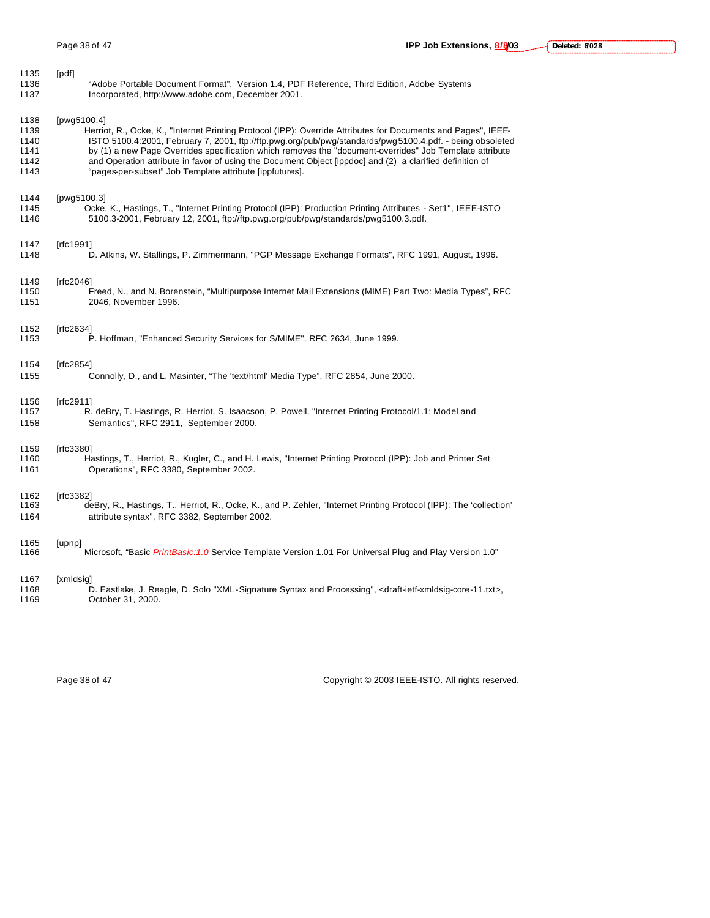| 1135 | [pdf]                                                                                                                                     |
|------|-------------------------------------------------------------------------------------------------------------------------------------------|
| 1136 | "Adobe Portable Document Format", Version 1.4, PDF Reference, Third Edition, Adobe Systems                                                |
| 1137 | Incorporated, http://www.adobe.com, December 2001.                                                                                        |
| 1138 | [pwg5100.4]                                                                                                                               |
| 1139 | Herriot, R., Ocke, K., "Internet Printing Protocol (IPP): Override Attributes for Documents and Pages", IEEE-                             |
| 1140 | ISTO 5100.4:2001, February 7, 2001, ftp://ftp.pwg.org/pub/pwg/standards/pwg5100.4.pdf. - being obsoleted                                  |
| 1141 | by (1) a new Page Overrides specification which removes the "document-overrides" Job Template attribute                                   |
| 1142 | and Operation attribute in favor of using the Document Object [ippdoc] and (2) a clarified definition of                                  |
| 1143 | "pages-per-subset" Job Template attribute [ippfutures].                                                                                   |
| 1144 | [pwg5100.3]                                                                                                                               |
| 1145 | Ocke, K., Hastings, T., "Internet Printing Protocol (IPP): Production Printing Attributes - Set1", IEEE-ISTO                              |
| 1146 | 5100.3-2001, February 12, 2001, ftp://ftp.pwg.org/pub/pwg/standards/pwg5100.3.pdf.                                                        |
| 1147 | [rfc1991]                                                                                                                                 |
| 1148 | D. Atkins, W. Stallings, P. Zimmermann, "PGP Message Exchange Formats", RFC 1991, August, 1996.                                           |
| 1149 | [rfc2046]                                                                                                                                 |
| 1150 | Freed, N., and N. Borenstein, "Multipurpose Internet Mail Extensions (MIME) Part Two: Media Types", RFC                                   |
| 1151 | 2046, November 1996.                                                                                                                      |
| 1152 | [rfc2634]                                                                                                                                 |
| 1153 | P. Hoffman, "Enhanced Security Services for S/MIME", RFC 2634, June 1999.                                                                 |
| 1154 | [rfc2854]                                                                                                                                 |
| 1155 | Connolly, D., and L. Masinter, "The 'text/html' Media Type", RFC 2854, June 2000.                                                         |
| 1156 | [rfc2911]                                                                                                                                 |
| 1157 | R. deBry, T. Hastings, R. Herriot, S. Isaacson, P. Powell, "Internet Printing Protocol/1.1: Model and                                     |
| 1158 | Semantics", RFC 2911, September 2000.                                                                                                     |
| 1159 | [rfc3380]                                                                                                                                 |
| 1160 | Hastings, T., Herriot, R., Kugler, C., and H. Lewis, "Internet Printing Protocol (IPP): Job and Printer Set                               |
| 1161 | Operations", RFC 3380, September 2002.                                                                                                    |
| 1162 | [rfc3382]                                                                                                                                 |
| 1163 | deBry, R., Hastings, T., Herriot, R., Ocke, K., and P. Zehler, "Internet Printing Protocol (IPP): The 'collection'                        |
| 1164 | attribute syntax", RFC 3382, September 2002.                                                                                              |
| 1165 | [upnp]                                                                                                                                    |
| 1166 | "Microsoft, "Basic <i>PrintBasic:1.0</i> Service Template Version 1.01 For Universal Plug and Play Version 1.0                            |
| 1167 | [xmldsig]                                                                                                                                 |
| 1168 | D. Eastlake, J. Reagle, D. Solo "XML-Signature Syntax and Processing", <draft-ietf-xmldsig-core-11.txt>,</draft-ietf-xmldsig-core-11.txt> |
| 1169 | October 31, 2000.                                                                                                                         |

Page 38 of 47 Copyright © 2003 IEEE-ISTO. All rights reserved.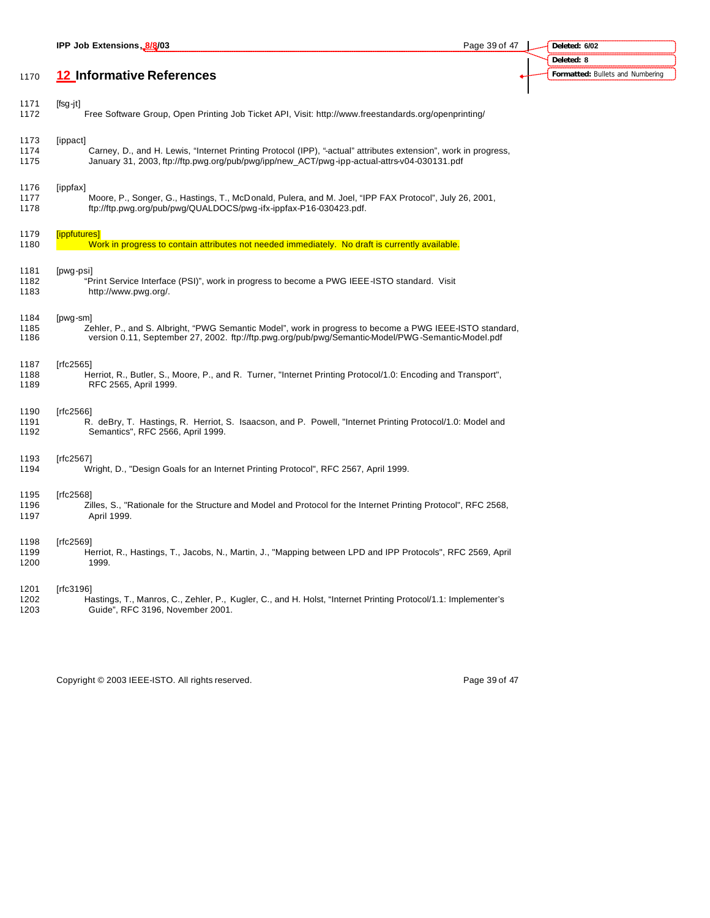|                      | IPP Job Extensions, 8/8/03                                                                                                                                                                                               | Page 39 of 47 | Deleted: 6/02                    |
|----------------------|--------------------------------------------------------------------------------------------------------------------------------------------------------------------------------------------------------------------------|---------------|----------------------------------|
|                      |                                                                                                                                                                                                                          |               | Deleted: 8                       |
| 1170                 | 12 Informative References                                                                                                                                                                                                |               | Formatted: Bullets and Numbering |
|                      |                                                                                                                                                                                                                          |               |                                  |
| 1171<br>1172         | $[fsg-jt]$<br>Free Software Group, Open Printing Job Ticket API, Visit: http://www.freestandards.org/openprinting/                                                                                                       |               |                                  |
| 1173                 | [ippact]                                                                                                                                                                                                                 |               |                                  |
| 1174<br>1175         | Carney, D., and H. Lewis, "Internet Printing Protocol (IPP), "-actual" attributes extension", work in progress,<br>January 31, 2003, ftp://ftp.pwg.org/pub/pwg/ipp/new_ACT/pwg-ipp-actual-attrs-v04-030131.pdf           |               |                                  |
| 1176<br>1177<br>1178 | [ippfax]<br>Moore, P., Songer, G., Hastings, T., McDonald, Pulera, and M. Joel, "IPP FAX Protocol", July 26, 2001,<br>ftp://ftp.pwg.org/pub/pwg/QUALDOCS/pwg-ifx-ippfax-P16-030423.pdf.                                  |               |                                  |
| 1179                 | [ippfutures]                                                                                                                                                                                                             |               |                                  |
| 1180                 | Work in progress to contain attributes not needed immediately. No draft is currently available.                                                                                                                          |               |                                  |
| 1181<br>1182<br>1183 | [pwg-psi]<br>"Print Service Interface (PSI)", work in progress to become a PWG IEEE-ISTO standard. Visit<br>http://www.pwg.org/.                                                                                         |               |                                  |
| 1184<br>1185<br>1186 | [pwg-sm]<br>Zehler, P., and S. Albright, "PWG Semantic Model", work in progress to become a PWG IEEE-ISTO standard,<br>version 0.11, September 27, 2002. ftp://ftp.pwg.org/pub/pwg/Semantic-Model/PWG-Semantic-Model.pdf |               |                                  |
| 1187<br>1188<br>1189 | [rfc2565]<br>Herriot, R., Butler, S., Moore, P., and R. Turner, "Internet Printing Protocol/1.0: Encoding and Transport",<br>RFC 2565, April 1999.                                                                       |               |                                  |
| 1190<br>1191<br>1192 | [rfc2566]<br>R. deBry, T. Hastings, R. Herriot, S. Isaacson, and P. Powell, "Internet Printing Protocol/1.0: Model and<br>Semantics", RFC 2566, April 1999.                                                              |               |                                  |
| 1193<br>1194         | [rfc2567]<br>Wright, D., "Design Goals for an Internet Printing Protocol", RFC 2567, April 1999.                                                                                                                         |               |                                  |
| 1195<br>1196<br>1197 | [rfc2568]<br>Zilles, S., "Rationale for the Structure and Model and Protocol for the Internet Printing Protocol", RFC 2568,<br>April 1999.                                                                               |               |                                  |
| 1198<br>1199<br>1200 | [rfc2569]<br>Herriot, R., Hastings, T., Jacobs, N., Martin, J., "Mapping between LPD and IPP Protocols", RFC 2569, April<br>1999.                                                                                        |               |                                  |
| 1201<br>1202<br>1203 | [rfc3196]<br>Hastings, T., Manros, C., Zehler, P., Kugler, C., and H. Holst, "Internet Printing Protocol/1.1: Implementer's<br>Guide", RFC 3196, November 2001.                                                          |               |                                  |
|                      |                                                                                                                                                                                                                          |               |                                  |

Copyright © 2003 IEEE-ISTO. All rights reserved. Copyright © 2003 IEEE-ISTO. All rights reserved.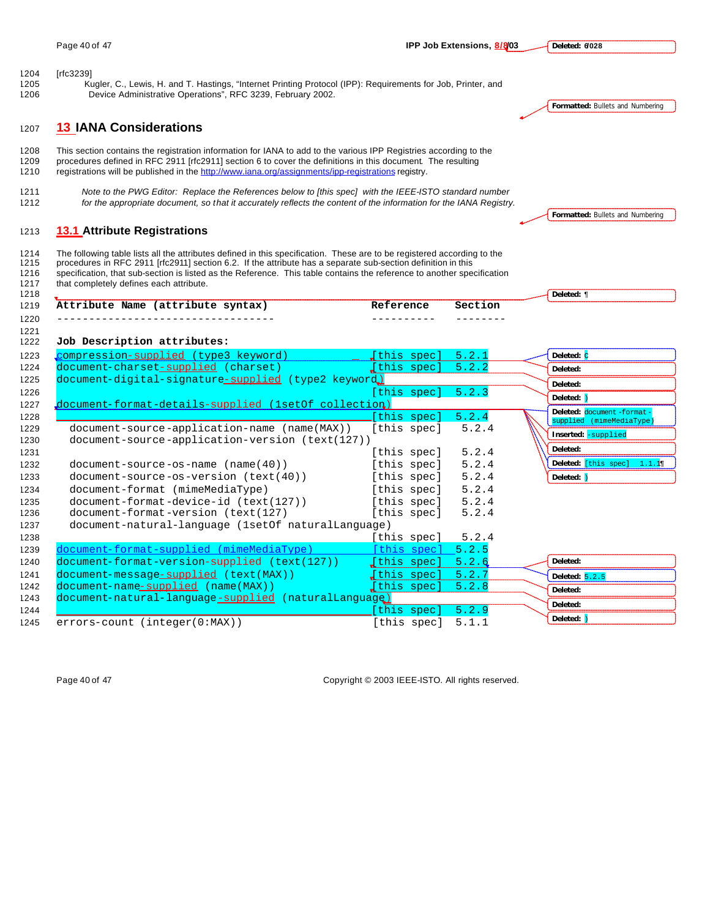**Deleted: 6/028**

[rfc3239]

 Kugler, C., Lewis, H. and T. Hastings, "Internet Printing Protocol (IPP): Requirements for Job, Printer, and Device Administrative Operations", RFC 3239, February 2002.

**13 IANA Considerations**

 This section contains the registration information for IANA to add to the various IPP Registries according to the procedures defined in RFC 2911 [rfc2911] section 6 to cover the definitions in this document. The resulting registrations will be published in the http://www.iana.org/assignments/ipp-registrations registry.

 *Note to the PWG Editor: Replace the References below to [this spec] with the IEEE-ISTO standard number for the appropriate document, so that it accurately reflects the content of the information for the IANA Registry.*

## **13.1 Attribute Registrations**

1214 The following table lists all the attributes defined in this specification. These are to be registered according to the 1215 procedures in RFC 2911 [rfc2911] section 6.2. If the attribute has a separate sub-section de procedures in RFC 2911 [rfc2911] section 6.2. If the attribute has a separate sub-section definition in this specification, that sub-section is listed as the Reference. This table contains the reference to another specification that completely defines each attribute.

**Formatted:** Bullets and Numbering

**Formatted:** Bullets and Numbering

| 1214 | The following table lists all the attributes defined in this specification. Threse are to be registered according to the |
|------|--------------------------------------------------------------------------------------------------------------------------|
| 1215 | procedures in RFC 2911 [rfc2911] section 6.2. If the attribute has a separate sub-section definition in this             |
| 1216 | specification, that sub-section is listed as the Reference. This table contains the reference to another specification   |
| 1217 | that completely defines each attribute.                                                                                  |
| 1218 |                                                                                                                          |

| 1219 | Attribute Name (attribute syntax)                   | Reference                                         | Section |            |
|------|-----------------------------------------------------|---------------------------------------------------|---------|------------|
| 1220 |                                                     |                                                   |         |            |
| 1221 |                                                     |                                                   |         |            |
| 1222 | Job Description attributes:                         |                                                   |         |            |
| 1223 | compression-supplied (type3 keyword)                | $\begin{bmatrix} \end{bmatrix}$ (this spec) 5.2.1 |         | Deleted: C |
| 1224 | document-charset-supplied (charset)                 | [this spec] $5.2.2$                               |         | Deleted:   |
| 1225 | document-digital-signature-supplied (type2 keyword) |                                                   |         | Deleted:   |
| 122c |                                                     | $[+b]$ g anogl $[+b]$                             |         |            |

**Deleted:** ¶

| 1225 | document-digital-signature-supplied (type2 keyword)  |                     |       | Deleted:                                               |
|------|------------------------------------------------------|---------------------|-------|--------------------------------------------------------|
| 1226 |                                                      | [this spec] $5.2.3$ |       |                                                        |
| 1227 | document-format-details-supplied (1setOf collection) |                     |       | Deleted: $\sqrt{ }$                                    |
| 1228 |                                                      | this spec]          | 5.2.4 | Deleted: document -format-<br>supplied (mimeMediaType) |
| 1229 | document-source-application-name (name(MAX))         | [this spec]         | 5.2.4 | Inserted: -supplied                                    |
| 1230 | document-source-application-version (text(127))      |                     |       |                                                        |
| 1231 |                                                      | [this spec]         | 5.2.4 | Deleted:                                               |
| 1232 | $document-source-os-name (name(40))$                 | [this spec]         | 5.2.4 | Deleted: [this spec] 1.1.19                            |
| 1233 | $document-source-os-version (text(40))$              | [this spec]         | 5.2.4 | Deleted: )                                             |
| 1234 | document-format (mimeMediaType)                      | [this spec]         | 5.2.4 |                                                        |
| 1235 | $document-format-device-id (text(127))$              | [this spec]         | 5.2.4 |                                                        |
| 1236 | document-format-version (text(127)                   | [this spec]         | 5.2.4 |                                                        |
| 1237 | document-natural-language (1setOf naturalLanguage)   |                     |       |                                                        |
| 1238 |                                                      | [this spec]         | 5.2.4 |                                                        |
| 1239 | document-format-supplied (mimeMediaType)             | [this spec] $5.2.5$ |       |                                                        |
| 1240 | document-format-version-supplied (text(127))         | [this spec]         | 5.2.6 | Deleted:                                               |
| 1241 | document-message-supplied (text (MAX))               | [this spec]         | 5.2.7 | Deleted: $5.2.5$                                       |
| 1242 | $document-name-supplied$ (name(MAX))                 | [this spec]         | 5.2.8 | Deleted:                                               |
| 1243 | document-natural-language-supplied (naturalLanguage) |                     |       | Deleted:                                               |
| 1244 |                                                      | this spec]          | 5.2.9 |                                                        |
| 1245 | $errors$ -count (integer( $0:MAX$ ))                 | [this spec]         | 5.1.1 | Deleted:                                               |

Page 40 of 47 Copyright © 2003 IEEE-ISTO. All rights reserved.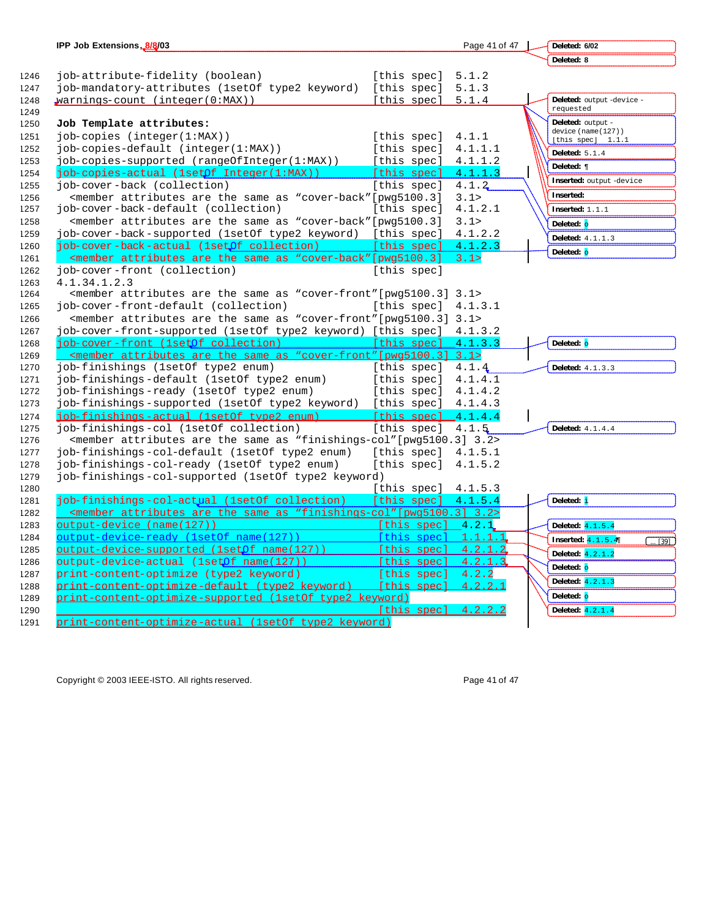|      | IPP Job Extensions, 8/8/03                                                                                                                    |                               | Page 41 of 47 | Deleted: 6/02                             |
|------|-----------------------------------------------------------------------------------------------------------------------------------------------|-------------------------------|---------------|-------------------------------------------|
|      |                                                                                                                                               |                               |               | Deleted: 8                                |
| 1246 | job-attribute-fidelity (boolean)                                                                                                              | [this spec]                   | 5.1.2         |                                           |
| 1247 | job-mandatory-attributes (1setOf type2 keyword)                                                                                               | [this spec]                   | 5.1.3         |                                           |
| 1248 | warnings-count (integer(0:MAX))                                                                                                               | [this spec]                   | 5.1.4         | Deleted: output -device -                 |
| 1249 |                                                                                                                                               |                               |               | requested                                 |
| 1250 | Job Template attributes:                                                                                                                      |                               |               | <b>Deleted:</b> output -                  |
| 1251 | $job$ copies $(inteqer(1:MAX))$                                                                                                               | [this spec]                   | 4.1.1         | device (name(127))<br>[this spec] $1.1.1$ |
| 1252 | job-copies-default (integer(1:MAX))                                                                                                           | [this spec]                   | 4.1.1.1       |                                           |
| 1253 | job-copies-supported (rangeOfInteger(1:MAX)) [this spec]                                                                                      |                               | 4.1.1.2       | Deleted: $5.1.4$                          |
| 1254 | job-copies-actual (1setOf Integer(1:MAX))                                                                                                     | [this spec]                   | 4.1.1.3       | Deleted: ¶                                |
| 1255 | job-cover-back (collection)                                                                                                                   | [this spec]                   | 4.1.2         | Inserted: output -device                  |
| 1256 | <member "cover-back"="" [pwq5100.3]<="" are="" as="" attributes="" same="" td="" the=""><td></td><td>3.1&gt;</td><td>Inserted:</td></member>  |                               | 3.1>          | Inserted:                                 |
| 1257 | job-cover-back-default (collection)                                                                                                           | [this spec]                   | 4.1.2.1       | Inserted: $1.1.1$                         |
| 1258 | <member "cover-back"="" [pwq5100.3]<="" are="" as="" attributes="" same="" td="" the=""><td></td><td>3.1&gt;</td><td>Deleted: o</td></member> |                               | 3.1>          | Deleted: o                                |
| 1259 | job-cover-back-supported (1setOf type2 keyword) [this spec]                                                                                   |                               | 4.1.2.2       | <b>Deleted:</b> 4.1.1.3                   |
| 1260 | job-cover-back-actual (1setOf collection)                                                                                                     | [this spec]                   | 4.1.2.3       |                                           |
| 1261 | <member "cover-back"="" [pwg5100.3]<="" are="" as="" attributes="" same="" td="" the=""><td></td><td>3.1&gt;</td><td>Deleted: o</td></member> |                               | 3.1>          | Deleted: o                                |
| 1262 | job-cover-front (collection)                                                                                                                  | [this spec]                   |               |                                           |
| 1263 | 4.1.34.1.2.3                                                                                                                                  |                               |               |                                           |
| 1264 | <member "cover-front"="" 3.1="" [pwq5100.3]="" are="" as="" attributes="" same="" the=""></member>                                            |                               |               |                                           |
| 1265 | job-cover-front-default (collection)                                                                                                          | [this spec]                   | 4.1.3.1       |                                           |
| 1266 | <member "cover-front"="" 3.1="" [pwg5100.3]="" are="" as="" attributes="" same="" the=""></member>                                            |                               |               |                                           |
| 1267 | job-cover-front-supported (1setOf type2 keyword) [this spec] 4.1.3.2                                                                          |                               |               |                                           |
| 1268 | iob-cover-front (1setOf collection) [this spec] 4.1.3.3                                                                                       |                               |               | Deleted: o                                |
| 1269 | <member "cover-front"[pwg5100.3]="" 3.1="" are="" as="" attributes="" same="" the=""></member>                                                |                               |               |                                           |
| 1270 | job-finishings (1setOf type2 enum)                                                                                                            | [this spec]                   | 4.1.4         | Deleted: 4.1.3.3                          |
| 1271 | job-finishings-default (1setOf type2 enum)                                                                                                    | [this spec]                   | 4.1.4.1       |                                           |
| 1272 | job-finishings-ready (1setOf type2 enum)                                                                                                      | [this spec]                   | 4.1.4.2       |                                           |
| 1273 | job-finishings-supported (1setOf type2 keyword)                                                                                               | [this spec] $4.1.4.3$         |               |                                           |
| 1274 | iob-finishings-actual (1setOf type2 enum)                                                                                                     | [this spec] $4.1.4.4$         |               |                                           |
| 1275 | job-finishings-col (1set0f collection)                                                                                                        | [this spec]                   | 4.1.5         | Deleted: 4.1.4.4                          |
| 1276 | <member "finishings-col"[pwg5100.3]="" 3.2="" are="" as="" attributes="" same="" the=""></member>                                             |                               |               |                                           |
| 1277 | job-finishings-col-default (1setOf type2 enum)                                                                                                | [this spec]                   | 4.1.5.1       |                                           |
| 1278 | job-finishings-col-ready (1setOf type2 enum)                                                                                                  | [this spec]                   | 4.1.5.2       |                                           |
| 1279 | job-finishings-col-supported (1setOf type2 keyword)                                                                                           |                               |               |                                           |
| 1280 |                                                                                                                                               | [this spec]                   | 4.1.5.3       |                                           |
| 1281 | job-finishings-col-actual (1setOf collection)                                                                                                 | [this spec]                   | 4.1.5.4       | Deleted: i                                |
| 1282 | <member "finishings-col"="" 3.2="" [pwq5100.3]="" are="" as="" attributes="" same="" the=""></member>                                         |                               |               |                                           |
| 1283 | output-device (name(127))                                                                                                                     | $[this \text{ spec}]$ $4.2.1$ |               | Deleted: 4.1.5.4                          |
| 1284 | output-device-ready (1setOf name(127))                                                                                                        | [this spec] $1.1.1.1$         |               | Inserted: $4.1.5.4$<br>$\frac{1}{2}$ [39] |
| 1285 | output-device-supported (1setOf name(127))                                                                                                    | [this spec] 4.2.1.2           |               | Deleted: 4.2.1.2                          |
| 1286 | output-device-actual (1setOf name(127))                                                                                                       | [this spec]                   | 4.2.1.3       | Deleted: o                                |
| 1287 | print-content-optimize (type2 keyword)                                                                                                        | [this spec]                   | 4.2.2         |                                           |
| 1288 | <u> print-content-optimize-default (type2 keyword)</u>                                                                                        | <u> [this spec]</u>           | 4.2.2.1       | Deleted: 4.2.1.3                          |
| 1289 | print-content-optimize-supported (1setOf type2 keyword)                                                                                       |                               |               | Deleted: o                                |
| 1290 |                                                                                                                                               | [this spec]                   | 4.2.2.2       | Deleted: 4.2.1.4                          |
| 1291 | print-content-optimize-actual (lsetOf type2 keyword)                                                                                          |                               |               |                                           |

Copyright © 2003 IEEE-ISTO. All rights reserved. Copyright © 2003 IEEE-ISTO. All rights reserved.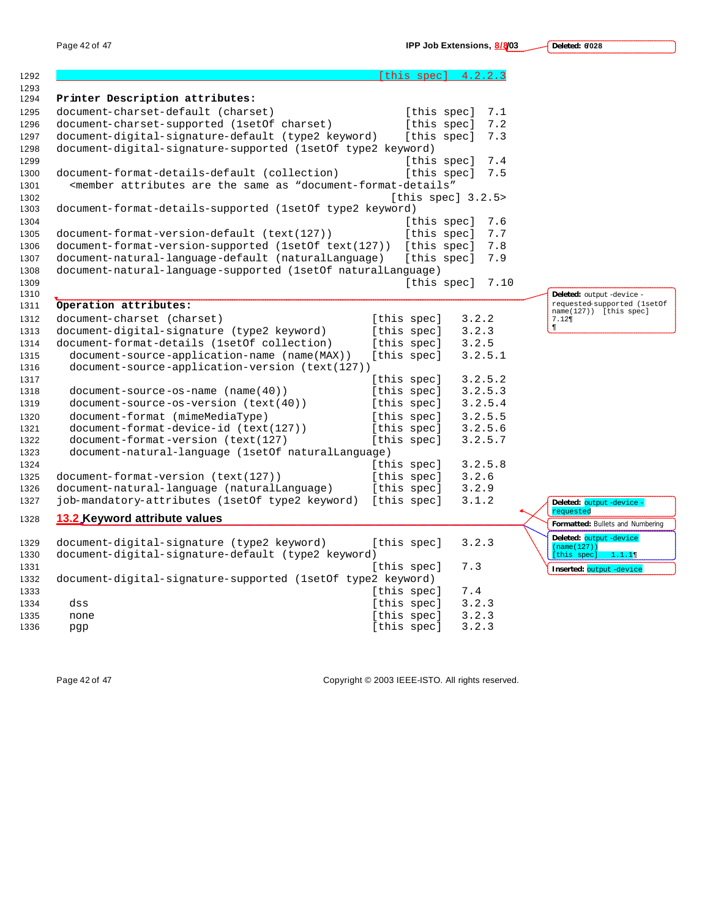**Deleted: 6/028**

|                                                                                                                            |             | $[this \; spec]$ 4.2.2.3 |                                                       |
|----------------------------------------------------------------------------------------------------------------------------|-------------|--------------------------|-------------------------------------------------------|
| Printer Description attributes:                                                                                            |             |                          |                                                       |
| document-charset-default (charset)                                                                                         |             | [this spec]<br>7.1       |                                                       |
| document-charset-supported (1setOf charset)                                                                                |             | [this spec]<br>7.2       |                                                       |
| document-digital-signature-default (type2 keyword)                                                                         |             | [this spec]<br>7.3       |                                                       |
| document-digital-signature-supported (1setOf type2 keyword)                                                                |             |                          |                                                       |
|                                                                                                                            |             | [this spec]<br>7.4       |                                                       |
| document-format-details-default (collection)                                                                               |             | [this spec]<br>7.5       |                                                       |
| <member "document-format-details"<="" are="" as="" attributes="" same="" td="" the=""><td></td><td></td><td></td></member> |             |                          |                                                       |
|                                                                                                                            |             | [this spec] $3.2.5$      |                                                       |
| document-format-details-supported (1setOf type2 keyword)                                                                   |             |                          |                                                       |
|                                                                                                                            |             | [this spec]<br>7.6       |                                                       |
| document-format-version-default (text(127))                                                                                |             | [this spec]<br>7.7       |                                                       |
| document-format-version-supported (1setOf text(127))                                                                       |             | [this spec]<br>7.8       |                                                       |
| document-natural-language-default (naturalLanguage)                                                                        |             | [this spec]<br>7.9       |                                                       |
| document-natural-language-supported (1setOf naturalLanguage)                                                               |             |                          |                                                       |
|                                                                                                                            |             | [this spec]<br>7.10      |                                                       |
|                                                                                                                            |             |                          | Deleted: output-device-                               |
| Operation attributes:                                                                                                      |             |                          | requested-supported (lsetOf<br>name(127)) [this spec] |
| document-charset (charset)                                                                                                 | [this spec] | 3.2.2                    | 7.12                                                  |
| document-digital-signature (type2 keyword)                                                                                 | [this spec] | 3.2.3                    | $\P$                                                  |
| document-format-details (1setOf collection)                                                                                | [this spec] | 3.2.5                    |                                                       |
| document-source-application-name (name(MAX))                                                                               | [this spec] | 3.2.5.1                  |                                                       |
| document-source-application-version (text(127))                                                                            |             |                          |                                                       |
|                                                                                                                            | [this spec] | 3.2.5.2                  |                                                       |
| $document-source-os-name (name(40))$                                                                                       | [this spec] | 3.2.5.3                  |                                                       |
| document-source-os-version (text(40))                                                                                      | [this spec] | 3.2.5.4                  |                                                       |
| document-format (mimeMediaType)                                                                                            | [this spec] | 3.2.5.5                  |                                                       |
| document-format-device-id (text(127))                                                                                      | [this spec] | 3.2.5.6                  |                                                       |
| document-format-version (text(127)                                                                                         | [this spec] | 3.2.5.7                  |                                                       |
| document-natural-language (1setOf naturalLanguage)                                                                         |             |                          |                                                       |
|                                                                                                                            | [this spec] | 3.2.5.8                  |                                                       |
| document-format-version (text(127))                                                                                        | [this spec] | 3.2.6                    |                                                       |
| document-natural-language (naturalLanguage)                                                                                | [this spec] | 3.2.9                    |                                                       |
| job-mandatory-attributes (1setOf type2 keyword)                                                                            | [this spec] | 3.1.2                    | Deleted: output -device -                             |
| 13.2 Keyword attribute values                                                                                              |             |                          | requested<br>Formatted: Bullets and Numbering         |
|                                                                                                                            |             |                          | Deleted: output -device                               |
| document-digital-signature (type2 keyword)                                                                                 | [this spec] | 3.2.3                    | (name(127))                                           |
| document-digital-signature-default (type2 keyword)                                                                         |             |                          | [this spec]<br>1.1.11                                 |
|                                                                                                                            | [this spec] | 7.3                      | Inserted: output -device                              |
| document-digital-signature-supported (1set0f type2 keyword)                                                                |             |                          |                                                       |
|                                                                                                                            | [this spec] | 7.4                      |                                                       |
| dss                                                                                                                        | [this spec] | 3.2.3                    |                                                       |
| none                                                                                                                       | [this spec] | 3.2.3                    |                                                       |
| pgp                                                                                                                        | [this spec] | 3.2.3                    |                                                       |

Page 42 of 47 Copyright © 2003 IEEE-ISTO. All rights reserved.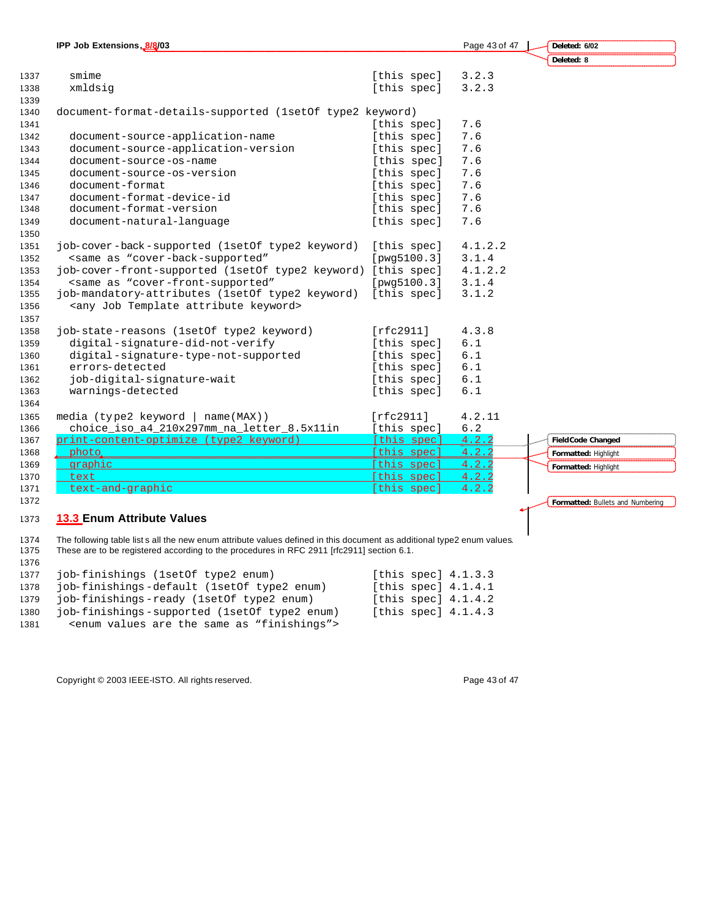|      | IPP Job Extensions, 8/8/03                                                                       |             | Page 43 of 47 | Deleted: 6/02                    |
|------|--------------------------------------------------------------------------------------------------|-------------|---------------|----------------------------------|
|      |                                                                                                  |             |               | Deleted: 8                       |
| 1337 | smime                                                                                            | [this spec] | 3.2.3         |                                  |
| 1338 | xmldsig                                                                                          | [this spec] | 3.2.3         |                                  |
| 1339 |                                                                                                  |             |               |                                  |
| 1340 | document-format-details-supported (1set0f type2 keyword)                                         |             |               |                                  |
| 1341 |                                                                                                  | [this spec] | 7.6           |                                  |
| 1342 | document-source-application-name                                                                 | [this spec] | 7.6           |                                  |
| 1343 | document-source-application-version                                                              | [this spec] | 7.6           |                                  |
| 1344 | document-source-os-name                                                                          | [this spec] | 7.6           |                                  |
| 1345 | document-source-os-version                                                                       | [this spec] | 7.6           |                                  |
| 1346 | document-format                                                                                  | [this spec] | 7.6           |                                  |
| 1347 | document-format-device-id                                                                        | [this spec] | 7.6           |                                  |
| 1348 | document-format-version                                                                          | [this spec] | 7.6           |                                  |
| 1349 | document-natural-language                                                                        | [this spec] | 7.6           |                                  |
| 1350 |                                                                                                  |             |               |                                  |
| 1351 | job-cover-back-supported (1setOf type2 keyword)                                                  | [this spec] | 4.1.2.2       |                                  |
| 1352 | <same "cover-back-supported"<="" as="" td=""><td>[pwg5100.3]</td><td>3.1.4</td><td></td></same>  | [pwg5100.3] | 3.1.4         |                                  |
| 1353 | job-cover-front-supported (1setOf type2 keyword) [this spec]                                     |             | 4.1.2.2       |                                  |
| 1354 | <same "cover-front-supported"<="" as="" td=""><td>[pwg5100.3]</td><td>3.1.4</td><td></td></same> | [pwg5100.3] | 3.1.4         |                                  |
| 1355 | job-mandatory-attributes (1setOf type2 keyword)                                                  | [this spec] | 3.1.2         |                                  |
| 1356 | <any attribute="" job="" keyword="" template=""></any>                                           |             |               |                                  |
| 1357 |                                                                                                  |             |               |                                  |
| 1358 | job-state-reasons (1setOf type2 keyword)                                                         | [rfc2911]   | 4.3.8         |                                  |
| 1359 | digital-signature-did-not-verify                                                                 | [this spec] | 6.1           |                                  |
| 1360 | digital-signature-type-not-supported                                                             | [this spec] | 6.1           |                                  |
| 1361 | errors-detected                                                                                  | [this spec] | 6.1           |                                  |
| 1362 | job-digital-signature-wait                                                                       | [this spec] | 6.1           |                                  |
| 1363 | warnings-detected                                                                                | [this spec] | 6.1           |                                  |
| 1364 |                                                                                                  |             |               |                                  |
| 1365 | media (type2 keyword  <br>name(MAX))                                                             | [rfc2911]   | 4.2.11        |                                  |
| 1366 | choice_iso_a4_210x297mm_na_letter_8.5x11in                                                       | [this spec] | $6.2$         |                                  |
| 1367 | print-content-optimize (type2 keyword)                                                           | [this spec] | 4.2.2         | <b>Field Code Changed</b>        |
| 1368 | photo.                                                                                           | [this spec] | 4.2.2         | Formatted: Highlight             |
| 1369 | graphic                                                                                          | [this spec] | 4.2.2         | Formatted: Highlight             |
| 1370 | text                                                                                             | [this spec] | 4.2.2         |                                  |
| 1371 | text-and-graphic                                                                                 | [this spec] | 4.2.2         |                                  |
| 1372 |                                                                                                  |             |               | Formatted: Bullets and Numbering |

## **13.3 Enum Attribute Values**

 The following table list s all the new enum attribute values defined in this document as additional type2 enum values. These are to be registered according to the procedures in RFC 2911 [rfc2911] section 6.1.

| 1376 |                                                                     |                       |
|------|---------------------------------------------------------------------|-----------------------|
| 1377 | iob-finishings (1setOf type2 enum)                                  | [this spec] $4.1.3.3$ |
| 1378 | job-finishings-default (1set Of type 2 enum)                        | [this spec] $4.1.4.1$ |
| 1379 | job-finishings-ready (1setOf type2 enum)                            | [this spec] $4.1.4.2$ |
| 1380 | job-finishings-supported (1set of type2 enum)                       | [this spec] $4.1.4.3$ |
| 1381 | <enum "finishings"="" are="" as="" same="" the="" values=""></enum> |                       |

Copyright © 2003 IEEE-ISTO. All rights reserved. Page 43 of 47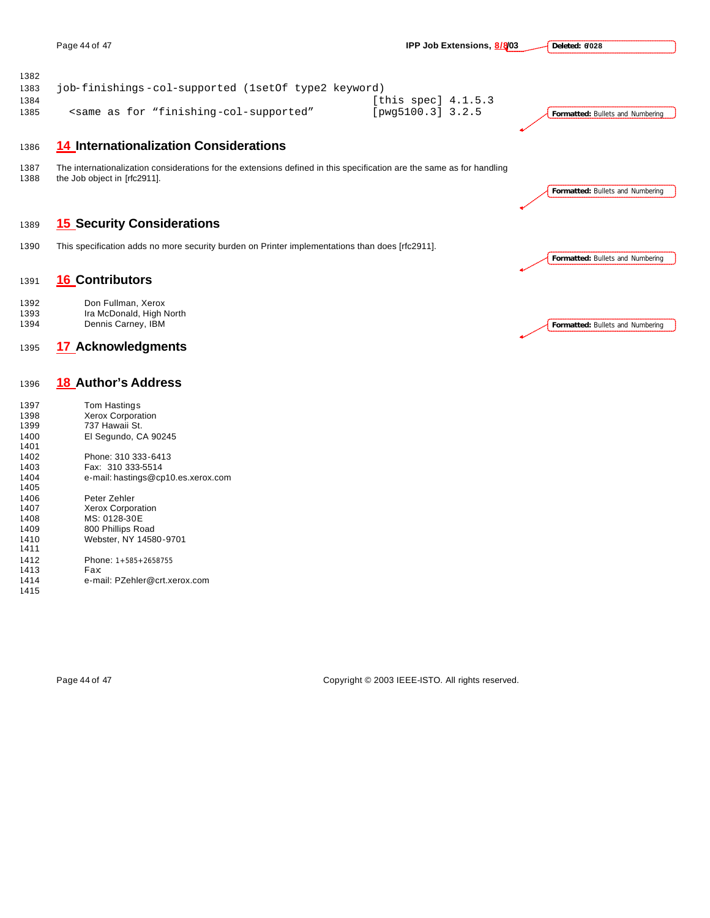**Deleted: 6/028**

| 1000          | 14 Internationalization Considerations                                                                                                                             |                         |                                         |
|---------------|--------------------------------------------------------------------------------------------------------------------------------------------------------------------|-------------------------|-----------------------------------------|
| 1385          | <same "finishing-col-supported"<="" as="" for="" td=""><td>[<math>pvq5100.3</math>] <math>3.2.5</math></td><td><b>Formatted: Bullets and Numbering</b></td></same> | [ $pvq5100.3$ ] $3.2.5$ | <b>Formatted: Bullets and Numbering</b> |
| 1384          |                                                                                                                                                                    | [this spec] 4.1.5.3     |                                         |
| ے ں ر<br>1383 | job-finishings-col-supported (lsetOf type2 keyword)                                                                                                                |                         |                                         |

## **14 Internationalization Considerations**

 The internationalization considerations for the extensions defined in this specification are the same as for handling the Job object in [rfc2911].

## **15 Security Considerations**

This specification adds no more security burden on Printer implementations than does [rfc2911].

## **16 Contributors**

1392 Don Fullman, Xerox<br>1393 Ira McDonald, High N Ira McDonald, High North Dennis Carney, IBM

## **17 Acknowledgments**

## **18 Author's Address**

| 1397 | Tom Hastings                       |
|------|------------------------------------|
| 1398 | <b>Xerox Corporation</b>           |
| 1399 | 737 Hawaii St.                     |
| 1400 | El Segundo, CA 90245               |
| 1401 |                                    |
| 1402 | Phone: 310 333-6413                |
| 1403 | Fax: 310 333-5514                  |
| 1404 | e-mail: hastings@cp10.es.xerox.com |
| 1405 |                                    |
| 1406 | Peter Zehler                       |
| 1407 | <b>Xerox Corporation</b>           |
| 1408 | MS: 0128-30E                       |
| 1409 | 800 Phillips Road                  |
| 1410 | Webster, NY 14580-9701             |
| 1411 |                                    |
| 1412 | Phone: $1+585+2658755$             |
| 1413 | Fax                                |
| 1414 | e-mail: PZehler@crt.xerox.com      |

**Formatted:** Bullets and Numbering

**Formatted:** Bullets and Numbering

**Formatted:** Bullets and Numbering

Page 44 of 47 Copyright © 2003 IEEE-ISTO. All rights reserved.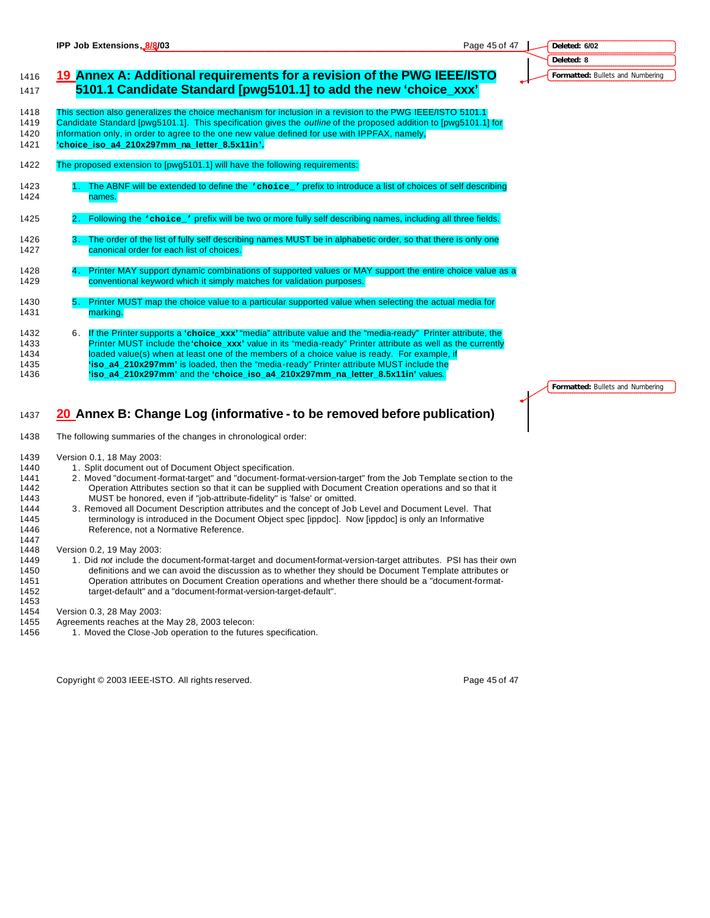## **Deleted: 6/02 Deleted: 8 Formatted:** Bullets and Numbering

## **19 Annex A: Additional requirements for a revision of the PWG IEEE/ISTO 5101.1 Candidate Standard [pwg5101.1] to add the new 'choice\_xxx'**

 This section also generalizes the choice mechanism for inclusion in a revision to the PWG IEEE/ISTO 5101.1 Candidate Standard [pwg5101.1]. This specification gives the *outline* of the proposed addition to [pwg5101.1] for

- information only, in order to agree to the one new value defined for use with IPPFAX, namely,
- **'choice\_iso\_a4\_210x297mm\_na\_letter\_8.5x11in'.**
- The proposed extension to [pwg5101.1] will have the following requirements:
- 1423 1. The ABNF will be extended to define the **'choice\_'** prefix to introduce a list of choices of self describing names.
- 2. Following the **'choice\_'** prefix will be two or more fully self describing names, including all three fields.
- 3. The order of the list of fully self describing names MUST be in alphabetic order, so that there is only one 1427 canonical order for each list of choices.
- 1428 4. Printer MAY support dynamic combinations of supported values or MAY support the entire choice value as a **conventional keyword which it simply matches for validation purposes.**
- 5. Printer MUST map the choice value to a particular supported value when selecting the actual media for 1431 marking.
- 6. If the Printer supports a **'choice\_xxx'** "media" attribute value and the "media-ready" Printer attribute, the Printer MUST include the **'choice\_xxx'** value in its "media-ready" Printer attribute as well as the currently loaded value(s) when at least one of the members of a choice value is ready. For example, if **'iso\_a4\_210x297mm'** is loaded, then the "media-ready" Printer attribute MUST include the **'iso\_a4\_210x297mm'** and the **'choice\_iso\_a4\_210x297mm\_na\_letter\_8.5x11in'** values.

## **20 Annex B: Change Log (informative - to be removed before publication)**

- The following summaries of the changes in chronological order:
- Version 0.1, 18 May 2003:
- 1440 1. Split document out of Document Object specification.
- 2. Moved "document-format-target" and "document-format-version-target" from the Job Template section to the Operation Attributes section so that it can be supplied with Document Creation operations and so that it MUST be honored, even if "job-attribute-fidelity" is 'false' or omitted.
- 3. Removed all Document Description attributes and the concept of Job Level and Document Level. That terminology is introduced in the Document Object spec [ippdoc]. Now [ippdoc] is only an Informative Reference, not a Normative Reference.
- Version 0.2, 19 May 2003:

- 1. Did *not* include the document-format-target and document-format-version-target attributes. PSI has their own definitions and we can avoid the discussion as to whether they should be Document Template attributes or Operation attributes on Document Creation operations and whether there should be a "document-format-target-default" and a "document-format-version-target-default".
- Version 0.3, 28 May 2003:
- Agreements reaches at the May 28, 2003 telecon:
- 1456 1. Moved the Close-Job operation to the futures specification.

Copyright © 2003 IEEE-ISTO. All rights reserved. Copyright C 2003 IEEE-ISTO. All rights reserved.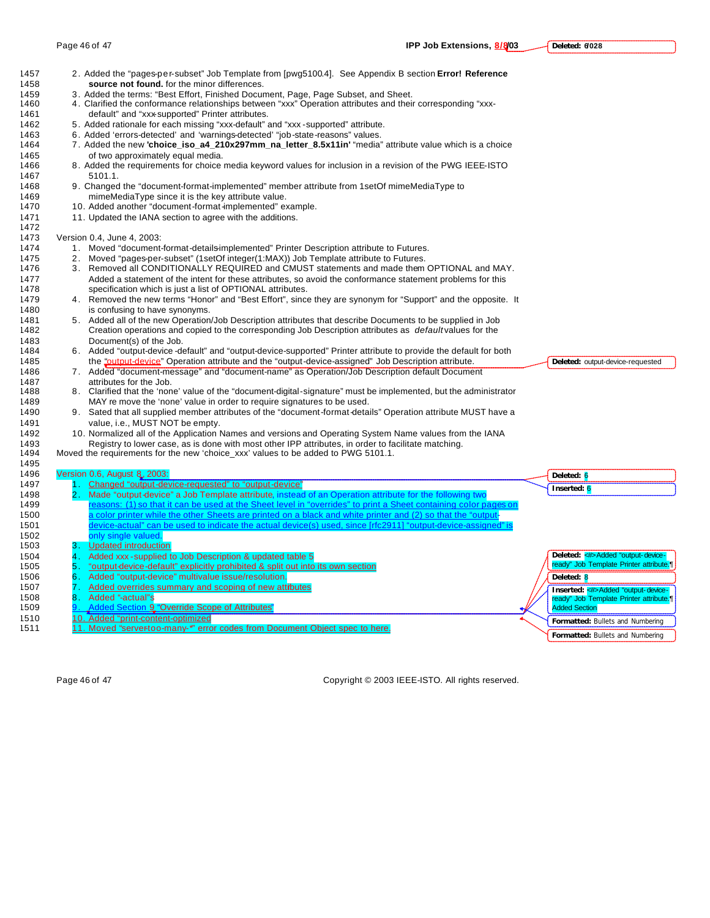| 1457         |      | 2. Added the "pages-per-subset" Job Template from [pwg5100.4]. See Appendix B section <b>Error! Reference</b>         |                                         |
|--------------|------|-----------------------------------------------------------------------------------------------------------------------|-----------------------------------------|
| 1458         |      | source not found. for the minor differences.                                                                          |                                         |
| 1459         |      | 3. Added the terms: "Best Effort, Finished Document, Page, Page Subset, and Sheet.                                    |                                         |
| 1460         |      | 4. Clarified the conformance relationships between "xxx" Operation attributes and their corresponding "xxx-           |                                         |
| 1461         |      | default" and "xxx-supported" Printer attributes.                                                                      |                                         |
| 1462         |      | 5. Added rationale for each missing "xxx-default" and "xxx-supported" attribute.                                      |                                         |
| 1463         |      | 6. Added 'errors-detected' and 'warnings-detected' "job-state-reasons" values.                                        |                                         |
| 1464         |      | 7. Added the new 'choice_iso_a4_210x297mm_na_letter_8.5x11in' "media" attribute value which is a choice               |                                         |
| 1465         |      | of two approximately equal media.                                                                                     |                                         |
| 1466         |      | 8. Added the requirements for choice media keyword values for inclusion in a revision of the PWG IEEE-ISTO<br>5101.1. |                                         |
| 1467         |      |                                                                                                                       |                                         |
| 1468         |      | 9. Changed the "document-format-implemented" member attribute from 1setOf mimeMediaType to                            |                                         |
| 1469<br>1470 |      | mimeMediaType since it is the key attribute value.<br>10. Added another "document-format-implemented" example.        |                                         |
|              |      |                                                                                                                       |                                         |
| 1471<br>1472 |      | 11. Updated the IANA section to agree with the additions.                                                             |                                         |
| 1473         |      | Version 0.4, June 4, 2003:                                                                                            |                                         |
| 1474         |      | 1. Moved "document-format-details-implemented" Printer Description attribute to Futures.                              |                                         |
| 1475         | 2.   | Moved "pages-per-subset" (1setOf integer(1:MAX)) Job Template attribute to Futures.                                   |                                         |
| 1476         |      | 3. Removed all CONDITIONALLY REQUIRED and CMUST statements and made them OPTIONAL and MAY.                            |                                         |
| 1477         |      | Added a statement of the intent for these attributes, so avoid the conformance statement problems for this            |                                         |
| 1478         |      | specification which is just a list of OPTIONAL attributes.                                                            |                                         |
| 1479         |      | 4. Removed the new terms "Honor" and "Best Effort", since they are synonym for "Support" and the opposite. It         |                                         |
| 1480         |      | is confusing to have synonyms.                                                                                        |                                         |
| 1481         |      | 5. Added all of the new Operation/Job Description attributes that describe Documents to be supplied in Job            |                                         |
| 1482         |      | Creation operations and copied to the corresponding Job Description attributes as <i>defaultvalues</i> for the        |                                         |
| 1483         |      | Document(s) of the Job.                                                                                               |                                         |
| 1484         |      | 6. Added "output-device-default" and "output-device-supported" Printer attribute to provide the default for both      |                                         |
| 1485         |      | the "output-device" Operation attribute and the "output-device-assigned" Job Description attribute.                   | Deleted: output-device-requested        |
| 1486         |      | 7. Added "document-message" and "document-name" as Operation/Job Description default Document                         |                                         |
| 1487         |      | attributes for the Job.                                                                                               |                                         |
| 1488         |      | 8. Clarified that the 'none' value of the "document-digital-signature" must be implemented, but the administrator     |                                         |
| 1489         |      | MAY re move the 'none' value in order to require signatures to be used.                                               |                                         |
| 1490         |      | 9. Sated that all supplied member attributes of the "document-format details" Operation attribute MUST have a         |                                         |
| 1491         |      | value, i.e., MUST NOT be empty.                                                                                       |                                         |
| 1492         |      | 10. Normalized all of the Application Names and versions and Operating System Name values from the IANA               |                                         |
| 1493         |      | Registry to lower case, as is done with most other IPP attributes, in order to facilitate matching.                   |                                         |
| 1494         |      | Moved the requirements for the new 'choice_xxx' values to be added to PWG 5101.1.                                     |                                         |
| 1495         |      |                                                                                                                       |                                         |
| 1496         |      | Version 0.6, August 8, 2003:                                                                                          | Deleted: 6                              |
| 1497         |      | 1 Changed "output-device-requested" to "output-device"                                                                | Inserted: 6                             |
| 1498         |      | 2. Made "output device" a Job Template attribute, instead of an Operation attribute for the following two             |                                         |
| 1499         |      | reasons: (1) so that it can be used at the Sheet level in "overrides" to print a Sheet containing color pages on      |                                         |
| 1500         |      | a color printer while the other Sheets are printed on a black and white printer and (2) so that the "output-          |                                         |
| 1501         |      | device-actual" can be used to indicate the actual device(s) used, since [rfc2911] "output-device-assigned" is         |                                         |
| 1502         |      | only single valued.                                                                                                   |                                         |
| 1503         |      | 3. Updated introduction                                                                                               |                                         |
| 1504         | 4.   | Added xxx - supplied to Job Description & updated table 5                                                             | Deleted: < #> Added "output-device-     |
| 1505         | 5.   | "output-device-default" explicitly prohibited & split out into its own section                                        | ready" Job Template Printer attribute.  |
| 1506         | 6.   | Added "output-device" multivalue issue/resolution.                                                                    | Deleted: 8                              |
| 1507         | 7.   | Added overrides summary and scoping of new attibutes                                                                  | Inserted: < /> Added "output-device-    |
| 1508         | 8. . | Added "-actual"s                                                                                                      | ready" Job Template Printer attribute.¶ |
| 1509         |      | <u>Added Section 9 "Override Scope of Attributes"</u>                                                                 | <b>Added Section</b>                    |
| 1510         |      | 10. Added "print-content-optimized                                                                                    | Formatted: Bullets and Numbering        |
| 1511         |      | 11. Moved "servertoo-many-*" error codes from Document Object spec to here.                                           | Formatted: Bullets and Numbering        |
|              |      |                                                                                                                       |                                         |

Page 46 of 47 Copyright © 2003 IEEE-ISTO. All rights reserved.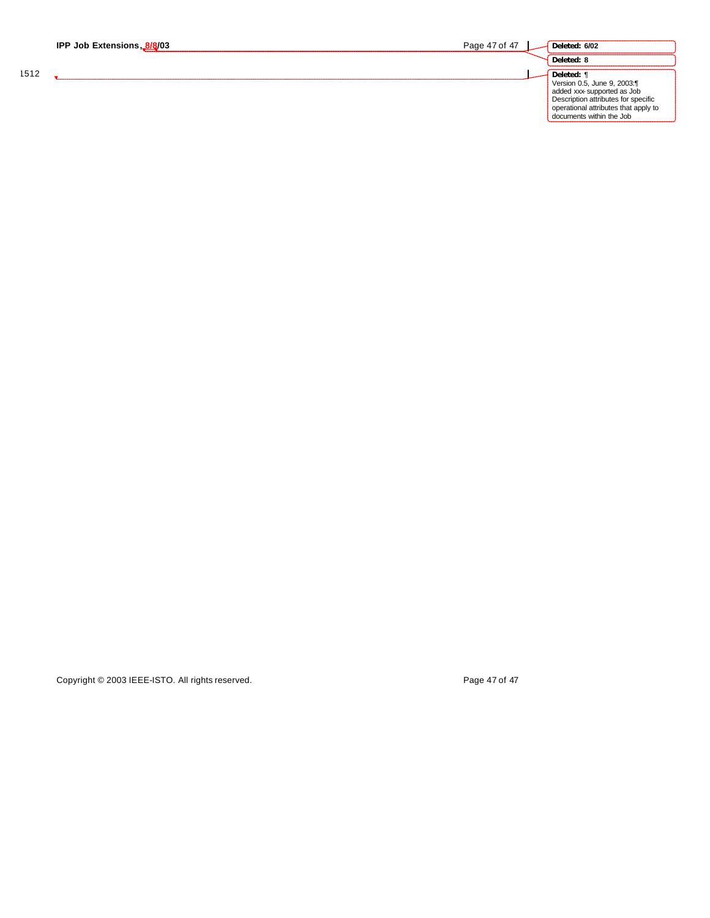|      | IPP Job Extensions, 8/8/03 | Page 47 of 47 | Deleted: 6/02                                                                                                                                                                      |
|------|----------------------------|---------------|------------------------------------------------------------------------------------------------------------------------------------------------------------------------------------|
|      |                            |               | Deleted: 8                                                                                                                                                                         |
| 1512 |                            |               | Deleted: ¶<br>Version 0.5, June 9, 2003:¶<br>added xxx-supported as Job<br>Description attributes for specific<br>operational attributes that apply to<br>documents within the Job |

Copyright © 2003 IEEE-ISTO. All rights reserved. Copyright © 2003 IEEE-ISTO. All rights reserved.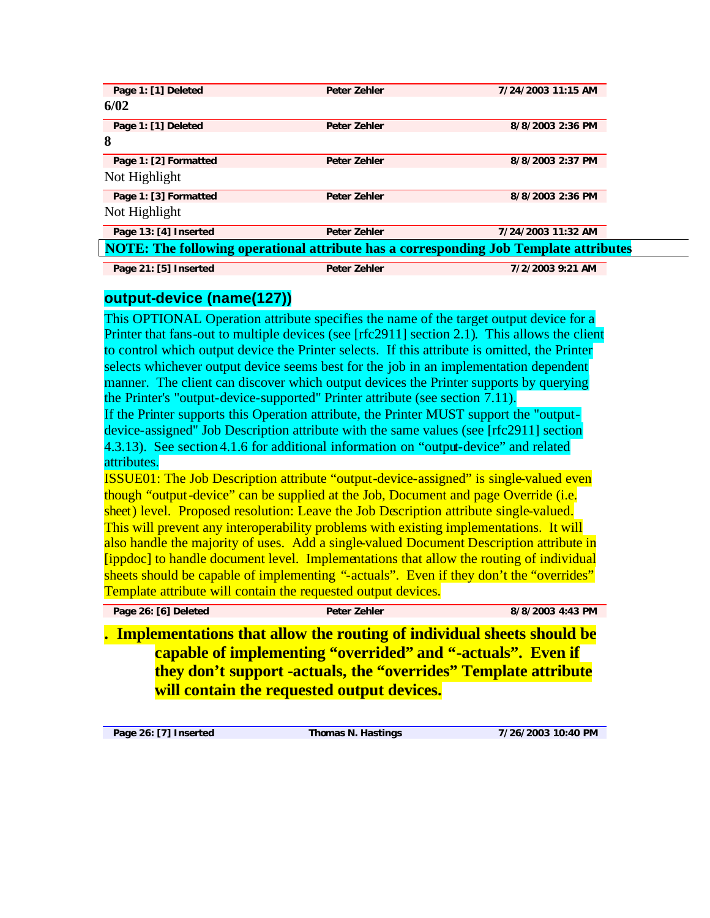| Page 1: [1] Deleted                                                                   | <b>Peter Zehler</b> | 7/24/2003 11:15 AM |
|---------------------------------------------------------------------------------------|---------------------|--------------------|
| 6/02                                                                                  |                     |                    |
| Page 1: [1] Deleted                                                                   | <b>Peter Zehler</b> | 8/8/2003 2:36 PM   |
| 8                                                                                     |                     |                    |
| Page 1: [2] Formatted                                                                 | <b>Peter Zehler</b> | 8/8/2003 2:37 PM   |
| Not Highlight                                                                         |                     |                    |
| Page 1: [3] Formatted                                                                 | <b>Peter Zehler</b> | 8/8/2003 2:36 PM   |
| Not Highlight                                                                         |                     |                    |
| Page 13: [4] Inserted                                                                 | <b>Peter Zehler</b> | 7/24/2003 11:32 AM |
| NOTE: The following operational attribute has a corresponding Job Template attributes |                     |                    |
| Page 21: [5] Inserted                                                                 | <b>Peter Zehler</b> | 7/2/2003 9:21 AM   |

# **output-device (name(127))**

This OPTIONAL Operation attribute specifies the name of the target output device for a Printer that fans-out to multiple devices (see [rfc2911] section 2.1). This allows the client to control which output device the Printer selects. If this attribute is omitted, the Printer selects whichever output device seems best for the job in an implementation dependent manner. The client can discover which output devices the Printer supports by querying the Printer's "output-device-supported" Printer attribute (see section 7.11).

If the Printer supports this Operation attribute, the Printer MUST support the "outputdevice-assigned" Job Description attribute with the same values (see [rfc2911] section 4.3.13). See section 4.1.6 for additional information on "output-device" and related attributes.

ISSUE01: The Job Description attribute "output-device-assigned" is single-valued even though "output-device" can be supplied at the Job, Document and page Override (i.e. sheet) level. Proposed resolution: Leave the Job Description attribute single-valued. This will prevent any interoperability problems with existing implementations. It will also handle the majority of uses. Add a single-valued Document Description attribute in [ippdoc] to handle document level. Implementations that allow the routing of individual sheets should be capable of implementing "-actuals". Even if they don't the "overrides" Template attribute will contain the requested output devices.

| Page 26: [6] Deleted                                                                                                   |  |  | Peter Zehler |  |  | 8/8/2003 4:43 PM |
|------------------------------------------------------------------------------------------------------------------------|--|--|--------------|--|--|------------------|
| . Implementations that allow the routing of individual sheets should be                                                |  |  |              |  |  |                  |
| <u> 11 A 1 A 10 A 10 A 110 A 110 A 110 A 110 A 110 A 110 A 110 A 110 A 110 A 110 A 110 A 110 A 110 A 110 A 110 A 1</u> |  |  |              |  |  |                  |

**capable of implementing "overrided" and "-actuals". Even if they don't support -actuals, the "overrides" Template attribute will contain the requested output devices.**

**Page 26: [7] Inserted Thomas N. Hastings 7/26/2003 10:40 PM**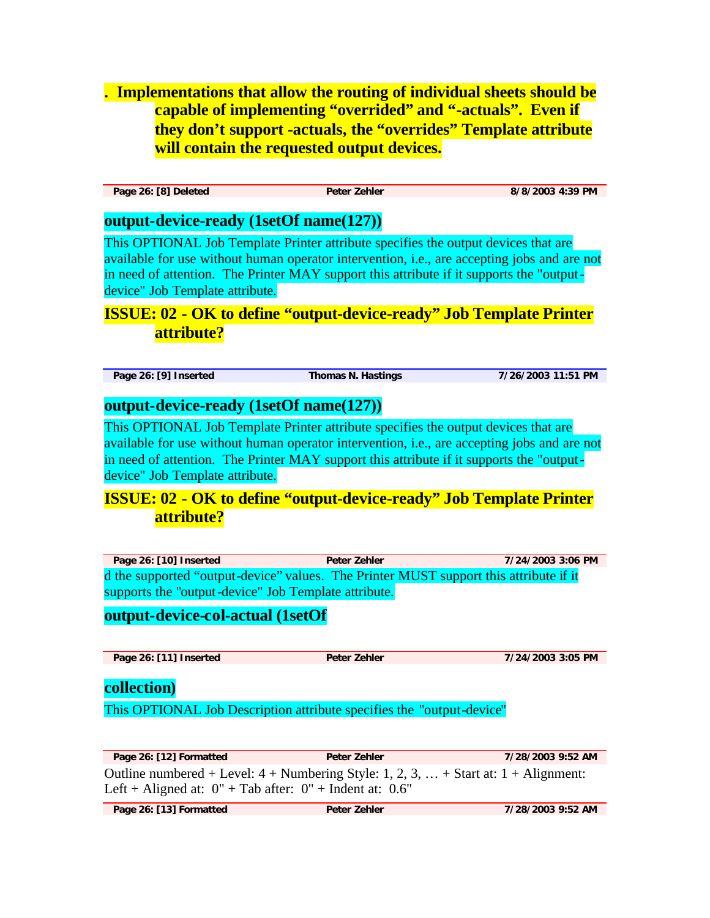**. Implementations that allow the routing of individual sheets should be capable of implementing "overrided" and "-actuals". Even if they don't support -actuals, the "overrides" Template attribute will contain the requested output devices.**

**Page 26: [8] Deleted Peter Zehler 8/8/2003 4:39 PM**

## **output-device-ready (1setOf name(127))**

This OPTIONAL Job Template Printer attribute specifies the output devices that are available for use without human operator intervention, i.e., are accepting jobs and are not in need of attention. The Printer MAY support this attribute if it supports the "outputdevice" Job Template attribute.

# **ISSUE: 02 - OK to define "output-device-ready" Job Template Printer attribute?**

**Page 26: [9] Inserted Thomas N. Hastings 7/26/2003 11:51 PM**

## **output-device-ready (1setOf name(127))**

This OPTIONAL Job Template Printer attribute specifies the output devices that are available for use without human operator intervention, i.e., are accepting jobs and are not in need of attention. The Printer MAY support this attribute if it supports the "outputdevice" Job Template attribute.

# **ISSUE: 02 - OK to define "output-device-ready" Job Template Printer attribute?**

**Page 26: [10] Inserted Peter Zehler 7/24/2003 3:06 PM** d the supported "output-device" values. The Printer MUST support this attribute if it supports the "output-device" Job Template attribute.

## **output-device-col-actual (1setOf**

**Page 26: [11] Inserted Peter Zehler 7/24/2003 3:05 PM**

## **collection)**

This OPTIONAL Job Description attribute specifies the "output-device"

**Page 26: [12] Formatted Peter Zehler 7/28/2003 9:52 AM** Outline numbered + Level:  $4 +$  Numbering Style: 1, 2, 3,  $\ldots$  + Start at: 1 + Alignment: Left + Aligned at:  $0" + Tab$  after:  $0" + Ind$ ent at: 0.6"

**Page 26: [13] Formatted Peter Zehler 7/28/2003 9:52 AM**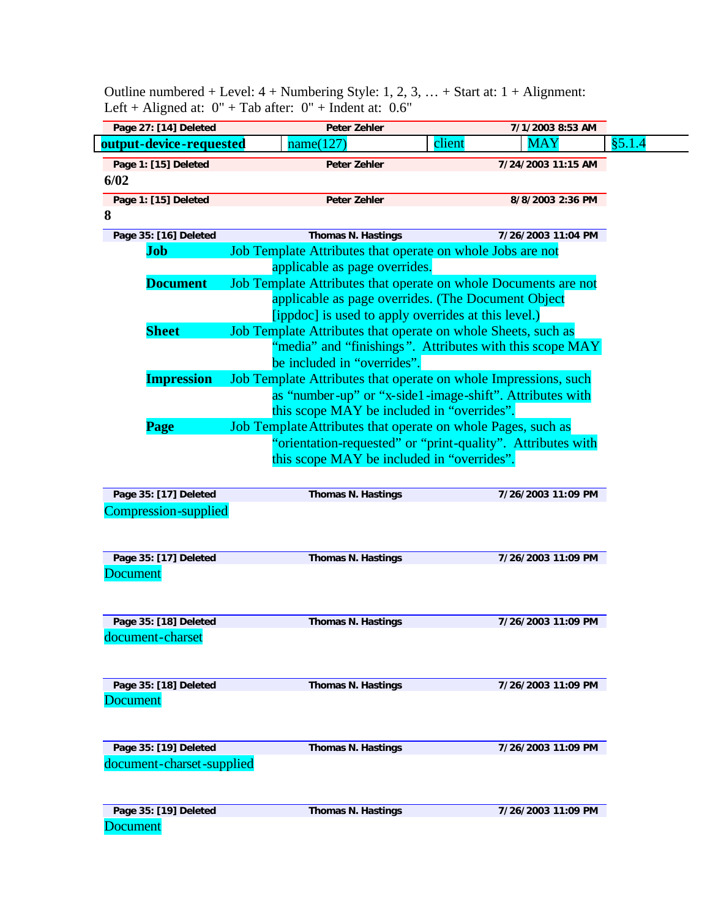| Page 27: [14] Deleted                     | Peter Zehler                                                                                   |        | 7/1/2003 8:53 AM   |
|-------------------------------------------|------------------------------------------------------------------------------------------------|--------|--------------------|
| output-device-requested                   | name(127)                                                                                      | client | <b>MAY</b>         |
| Page 1: [15] Deleted                      | <b>Peter Zehler</b>                                                                            |        | 7/24/2003 11:15 AM |
| 6/02                                      |                                                                                                |        |                    |
| Page 1: [15] Deleted                      | <b>Peter Zehler</b>                                                                            |        | 8/8/2003 2:36 PM   |
| 8                                         |                                                                                                |        |                    |
| Page 35: [16] Deleted                     | Thomas N. Hastings                                                                             |        | 7/26/2003 11:04 PM |
| Job                                       | Job Template Attributes that operate on whole Jobs are not                                     |        |                    |
|                                           | applicable as page overrides.                                                                  |        |                    |
| <b>Document</b>                           | Job Template Attributes that operate on whole Documents are not                                |        |                    |
|                                           | applicable as page overrides. (The Document Object                                             |        |                    |
|                                           | [ippdoc] is used to apply overrides at this level.)                                            |        |                    |
| <b>Sheet</b>                              | Job Template Attributes that operate on whole Sheets, such as                                  |        |                    |
|                                           | "media" and "finishings". Attributes with this scope MAY                                       |        |                    |
| <b>Impression</b>                         | be included in "overrides".<br>Job Template Attributes that operate on whole Impressions, such |        |                    |
|                                           | as "number-up" or "x-side1-image-shift". Attributes with                                       |        |                    |
|                                           | this scope MAY be included in "overrides".                                                     |        |                    |
| <b>Page</b>                               | Job Template Attributes that operate on whole Pages, such as                                   |        |                    |
|                                           | "orientation-requested" or "print-quality". Attributes with                                    |        |                    |
|                                           | this scope MAY be included in "overrides".                                                     |        |                    |
|                                           |                                                                                                |        |                    |
| Page 35: [17] Deleted                     | Thomas N. Hastings                                                                             |        | 7/26/2003 11:09 PM |
| <b>Compression-supplied</b>               |                                                                                                |        |                    |
|                                           |                                                                                                |        |                    |
|                                           |                                                                                                |        |                    |
|                                           |                                                                                                |        |                    |
| Page 35: [17] Deleted                     | <b>Thomas N. Hastings</b>                                                                      |        | 7/26/2003 11:09 PM |
| <b>Document</b>                           |                                                                                                |        |                    |
|                                           |                                                                                                |        |                    |
|                                           |                                                                                                |        |                    |
| Page 35: [18] Deleted                     | <b>Thomas N. Hastings</b>                                                                      |        | 7/26/2003 11:09 PM |
|                                           |                                                                                                |        |                    |
|                                           |                                                                                                |        |                    |
| document-charset<br>Page 35: [18] Deleted | <b>Thomas N. Hastings</b>                                                                      |        | 7/26/2003 11:09 PM |
| <b>Document</b>                           |                                                                                                |        |                    |
|                                           |                                                                                                |        |                    |
|                                           |                                                                                                |        |                    |
| Page 35: [19] Deleted                     | <b>Thomas N. Hastings</b>                                                                      |        | 7/26/2003 11:09 PM |
| document-charset-supplied                 |                                                                                                |        |                    |
|                                           |                                                                                                |        |                    |
| Page 35: [19] Deleted                     | <b>Thomas N. Hastings</b>                                                                      |        | 7/26/2003 11:09 PM |

Outline numbered + Level:  $4 +$  Numbering Style: 1, 2, 3, ... + Start at:  $1 +$  Alignment: Left + Aligned at:  $0" + Tab$  after:  $0" + Ind$ ent at: 0.6"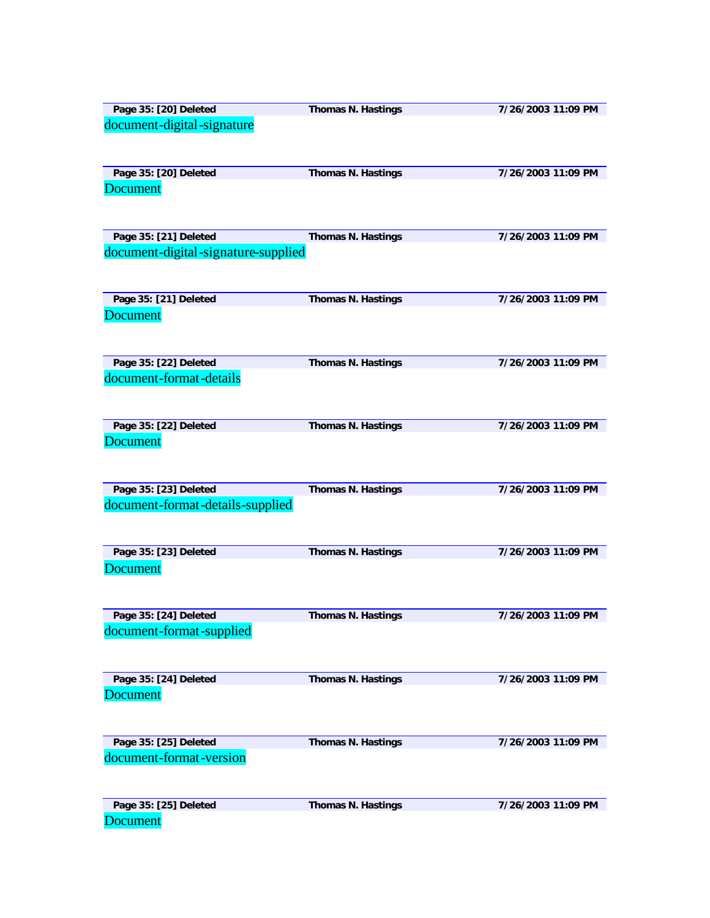| Page 35: [20] Deleted               | <b>Thomas N. Hastings</b> | 7/26/2003 11:09 PM |
|-------------------------------------|---------------------------|--------------------|
| document-digital-signature          |                           |                    |
|                                     |                           |                    |
|                                     |                           |                    |
| Page 35: [20] Deleted               | <b>Thomas N. Hastings</b> | 7/26/2003 11:09 PM |
| <b>Document</b>                     |                           |                    |
|                                     |                           |                    |
|                                     |                           |                    |
| Page 35: [21] Deleted               | <b>Thomas N. Hastings</b> | 7/26/2003 11:09 PM |
| document-digital-signature-supplied |                           |                    |
|                                     |                           |                    |
|                                     |                           |                    |
| Page 35: [21] Deleted               | <b>Thomas N. Hastings</b> | 7/26/2003 11:09 PM |
|                                     |                           |                    |
| <b>Document</b>                     |                           |                    |
|                                     |                           |                    |
|                                     |                           |                    |
| Page 35: [22] Deleted               | <b>Thomas N. Hastings</b> | 7/26/2003 11:09 PM |
| document-format-details             |                           |                    |
|                                     |                           |                    |
|                                     |                           |                    |
| Page 35: [22] Deleted               | <b>Thomas N. Hastings</b> | 7/26/2003 11:09 PM |
| <b>Document</b>                     |                           |                    |
|                                     |                           |                    |
|                                     |                           |                    |
| Page 35: [23] Deleted               | <b>Thomas N. Hastings</b> | 7/26/2003 11:09 PM |
| document-format-details-supplied    |                           |                    |
|                                     |                           |                    |
|                                     |                           |                    |
| Page 35: [23] Deleted               | <b>Thomas N. Hastings</b> | 7/26/2003 11:09 PM |
| <b>Document</b>                     |                           |                    |
|                                     |                           |                    |
|                                     |                           |                    |
| Page 35: [24] Deleted               | <b>Thomas N. Hastings</b> | 7/26/2003 11:09 PM |
| document-format-supplied            |                           |                    |
|                                     |                           |                    |
|                                     |                           |                    |
|                                     |                           |                    |
| Page 35: [24] Deleted               | <b>Thomas N. Hastings</b> | 7/26/2003 11:09 PM |
| <b>Document</b>                     |                           |                    |
|                                     |                           |                    |
|                                     |                           |                    |
| Page 35: [25] Deleted               | <b>Thomas N. Hastings</b> | 7/26/2003 11:09 PM |
| document-format-version             |                           |                    |
|                                     |                           |                    |
|                                     |                           |                    |
| Page 35: [25] Deleted               | <b>Thomas N. Hastings</b> | 7/26/2003 11:09 PM |
| <b>Document</b>                     |                           |                    |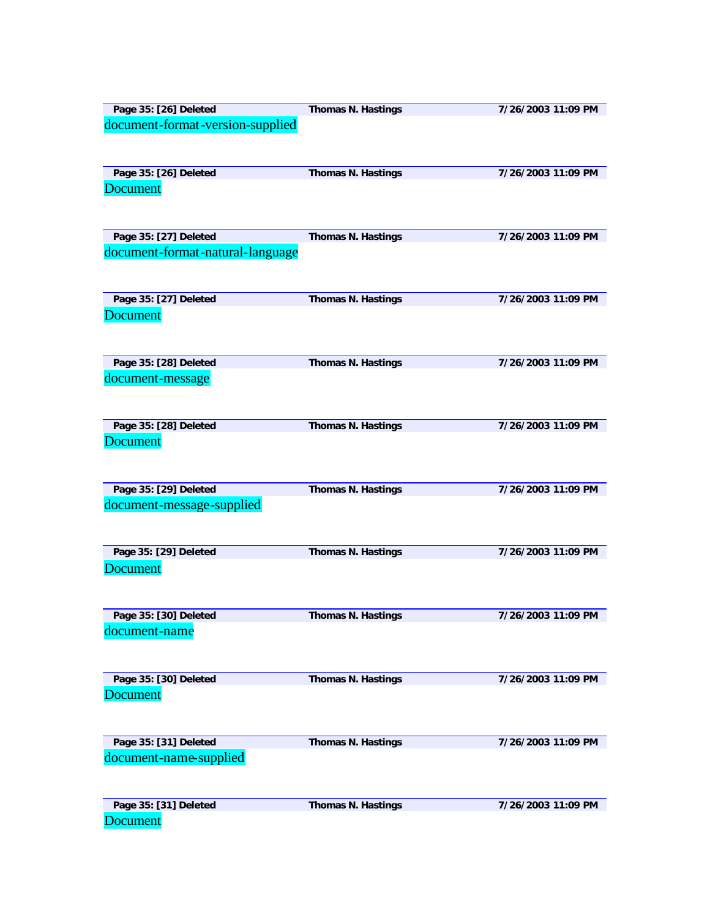| Page 35: [26] Deleted            | <b>Thomas N. Hastings</b> | 7/26/2003 11:09 PM |
|----------------------------------|---------------------------|--------------------|
| document-format-version-supplied |                           |                    |
|                                  |                           |                    |
| Page 35: [26] Deleted            | <b>Thomas N. Hastings</b> | 7/26/2003 11:09 PM |
| <b>Document</b>                  |                           |                    |
|                                  |                           |                    |
| Page 35: [27] Deleted            | <b>Thomas N. Hastings</b> | 7/26/2003 11:09 PM |
| document-format-natural-language |                           |                    |
|                                  |                           |                    |
| Page 35: [27] Deleted            | <b>Thomas N. Hastings</b> | 7/26/2003 11:09 PM |
| <b>Document</b>                  |                           |                    |
|                                  |                           |                    |
| Page 35: [28] Deleted            | <b>Thomas N. Hastings</b> | 7/26/2003 11:09 PM |
| document-message                 |                           |                    |
|                                  |                           |                    |
| Page 35: [28] Deleted            | <b>Thomas N. Hastings</b> | 7/26/2003 11:09 PM |
| <b>Document</b>                  |                           |                    |
|                                  |                           |                    |
| Page 35: [29] Deleted            | <b>Thomas N. Hastings</b> | 7/26/2003 11:09 PM |
| document-message-supplied        |                           |                    |
|                                  |                           |                    |
| Page 35: [29] Deleted            | Thomas N. Hastings        | 7/26/2003 11:09 PM |
| <b>Document</b>                  |                           |                    |
|                                  |                           |                    |
| Page 35: [30] Deleted            | <b>Thomas N. Hastings</b> | 7/26/2003 11:09 PM |
| document-name                    |                           |                    |
|                                  |                           |                    |
| Page 35: [30] Deleted            | <b>Thomas N. Hastings</b> | 7/26/2003 11:09 PM |
| <b>Document</b>                  |                           |                    |
|                                  |                           |                    |
| Page 35: [31] Deleted            | <b>Thomas N. Hastings</b> | 7/26/2003 11:09 PM |
| document-name-supplied           |                           |                    |
|                                  |                           |                    |
| Page 35: [31] Deleted            | <b>Thomas N. Hastings</b> | 7/26/2003 11:09 PM |
| <b>Document</b>                  |                           |                    |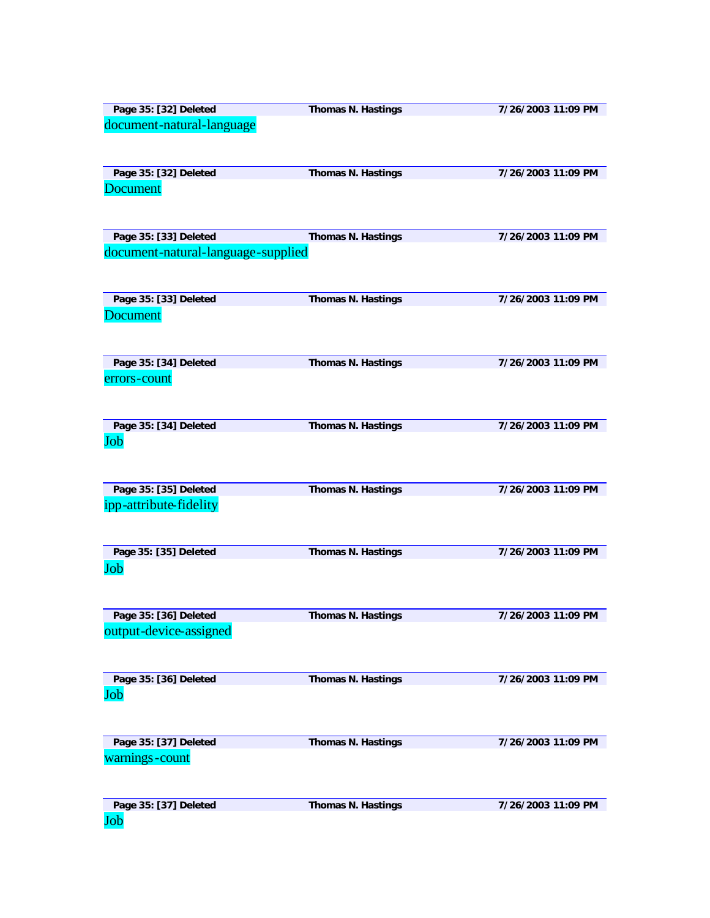| Page 35: [32] Deleted              | <b>Thomas N. Hastings</b> | 7/26/2003 11:09 PM |
|------------------------------------|---------------------------|--------------------|
| document-natural-language          |                           |                    |
|                                    |                           |                    |
|                                    |                           |                    |
|                                    |                           |                    |
| Page 35: [32] Deleted              | <b>Thomas N. Hastings</b> | 7/26/2003 11:09 PM |
| <b>Document</b>                    |                           |                    |
|                                    |                           |                    |
|                                    |                           |                    |
|                                    |                           |                    |
|                                    |                           |                    |
| Page 35: [33] Deleted              | <b>Thomas N. Hastings</b> | 7/26/2003 11:09 PM |
| document-natural-language-supplied |                           |                    |
|                                    |                           |                    |
|                                    |                           |                    |
|                                    |                           |                    |
| Page 35: [33] Deleted              | <b>Thomas N. Hastings</b> | 7/26/2003 11:09 PM |
| <b>Document</b>                    |                           |                    |
|                                    |                           |                    |
|                                    |                           |                    |
|                                    |                           |                    |
|                                    |                           |                    |
| Page 35: [34] Deleted              | Thomas N. Hastings        | 7/26/2003 11:09 PM |
| errors-count                       |                           |                    |
|                                    |                           |                    |
|                                    |                           |                    |
|                                    |                           |                    |
| Page 35: [34] Deleted              | <b>Thomas N. Hastings</b> | 7/26/2003 11:09 PM |
|                                    |                           |                    |
| Job                                |                           |                    |
|                                    |                           |                    |
|                                    |                           |                    |
|                                    |                           |                    |
| Page 35: [35] Deleted              | Thomas N. Hastings        | 7/26/2003 11:09 PM |
| ipp-attribute-fidelity             |                           |                    |
|                                    |                           |                    |
|                                    |                           |                    |
|                                    |                           |                    |
| Page 35: [35] Deleted              | <b>Thomas N. Hastings</b> | 7/26/2003 11:09 PM |
|                                    |                           |                    |
| Job                                |                           |                    |
|                                    |                           |                    |
|                                    |                           |                    |
|                                    |                           |                    |
| Page 35: [36] Deleted              | <b>Thomas N. Hastings</b> | 7/26/2003 11:09 PM |
| output-device-assigned             |                           |                    |
|                                    |                           |                    |
|                                    |                           |                    |
|                                    |                           |                    |
| Page 35: [36] Deleted              | Thomas N. Hastings        | 7/26/2003 11:09 PM |
|                                    |                           |                    |
| Job                                |                           |                    |
|                                    |                           |                    |
|                                    |                           |                    |
|                                    |                           |                    |
| Page 35: [37] Deleted              | Thomas N. Hastings        | 7/26/2003 11:09 PM |
| warnings-count                     |                           |                    |
|                                    |                           |                    |
|                                    |                           |                    |
|                                    |                           |                    |
| Page 35: [37] Deleted              | Thomas N. Hastings        | 7/26/2003 11:09 PM |
|                                    |                           |                    |
| Job                                |                           |                    |